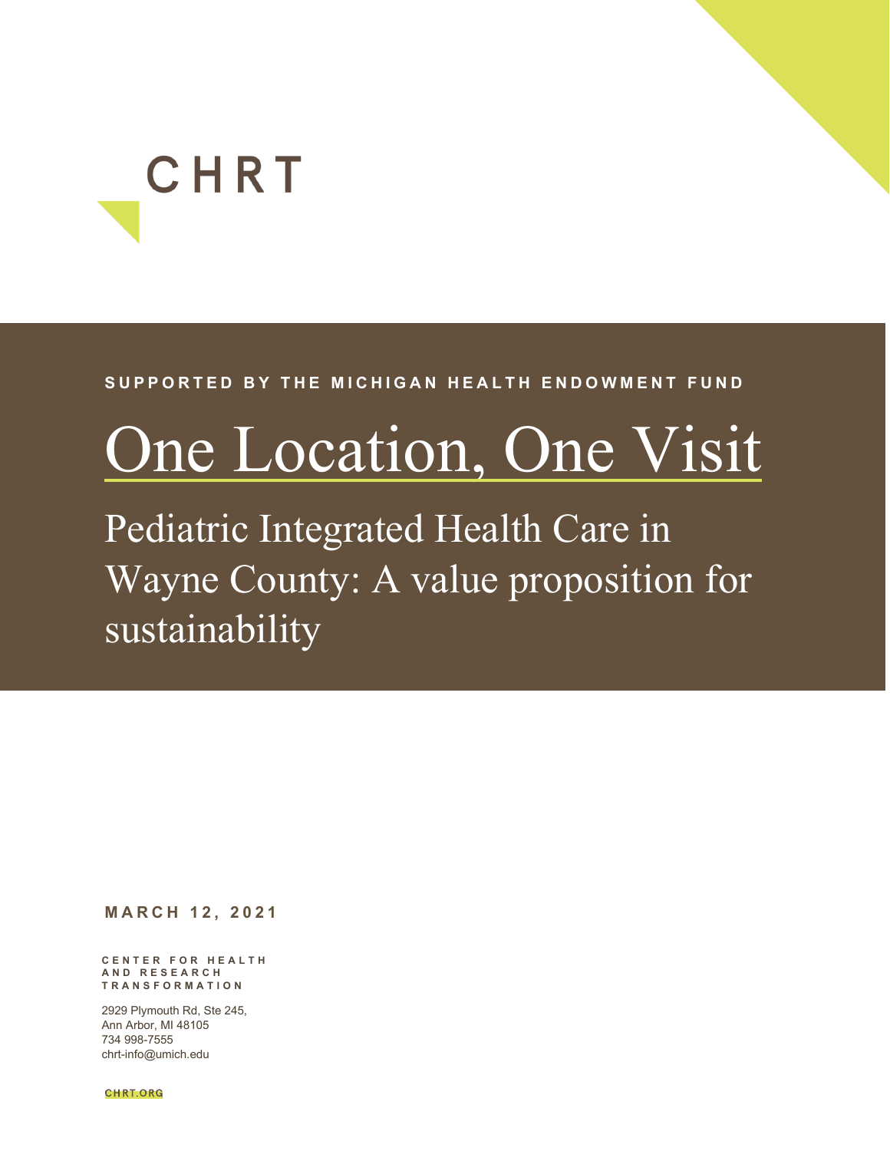# CHRT

#### **SUPPORTED BY THE MICHIGAN HEALTH ENDOWMENT FUND**

## <span id="page-0-0"></span>One Location, One Visit

Pediatric Integrated Health Care in Wayne County: A value proposition for sustainability

**MARCH 1 2 , 2021**

**CENTER FOR HEALTH AND RESEARCH TRANSFORMATION** 

2929 Plymouth Rd, Ste 245, Ann Arbor, MI 48105 734 998-7555 chrt-info@umich.edu

**CHRT.ORG**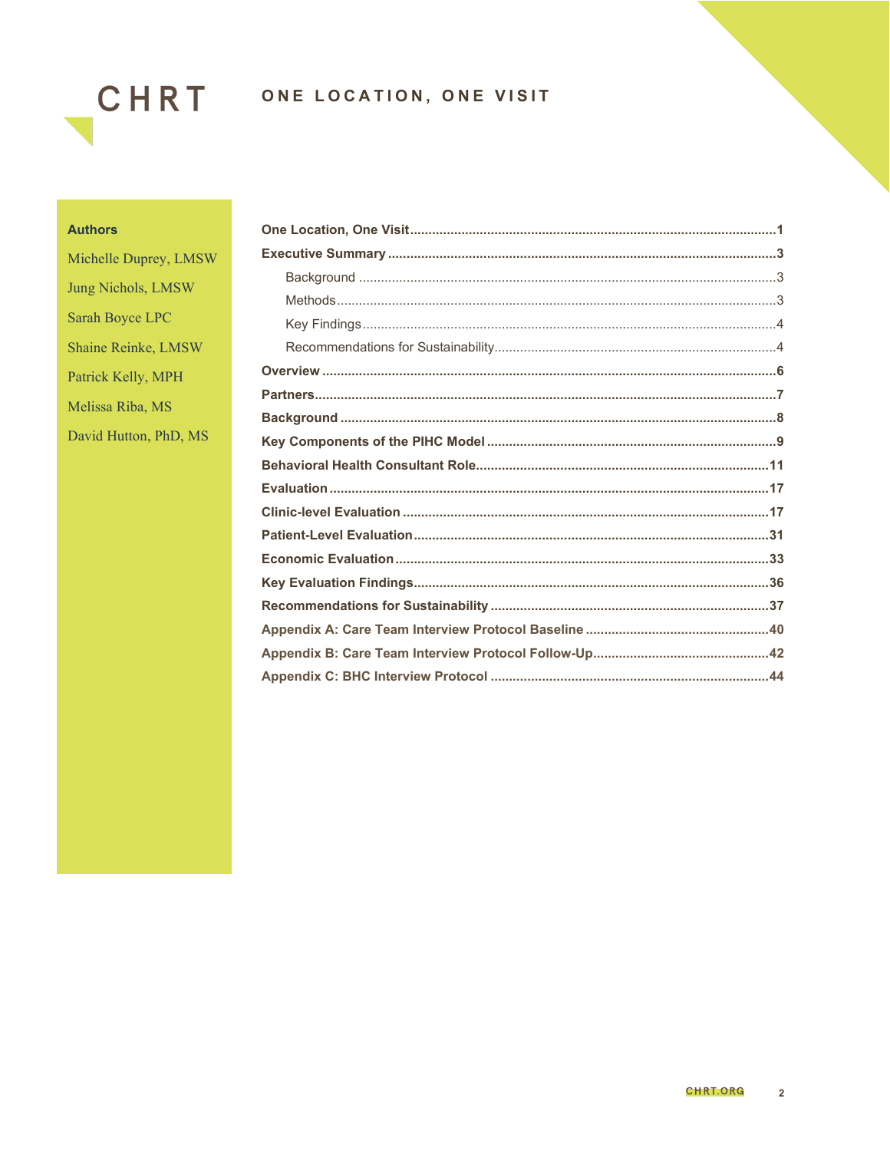

#### **Authors**

Michelle Duprey, LMSW Jung Nichols, LMSW Sarah Boyce LPC Shaine Reinke, LMSW Patrick Kelly, MPH Melissa Riba, MS David Hutton, PhD, MS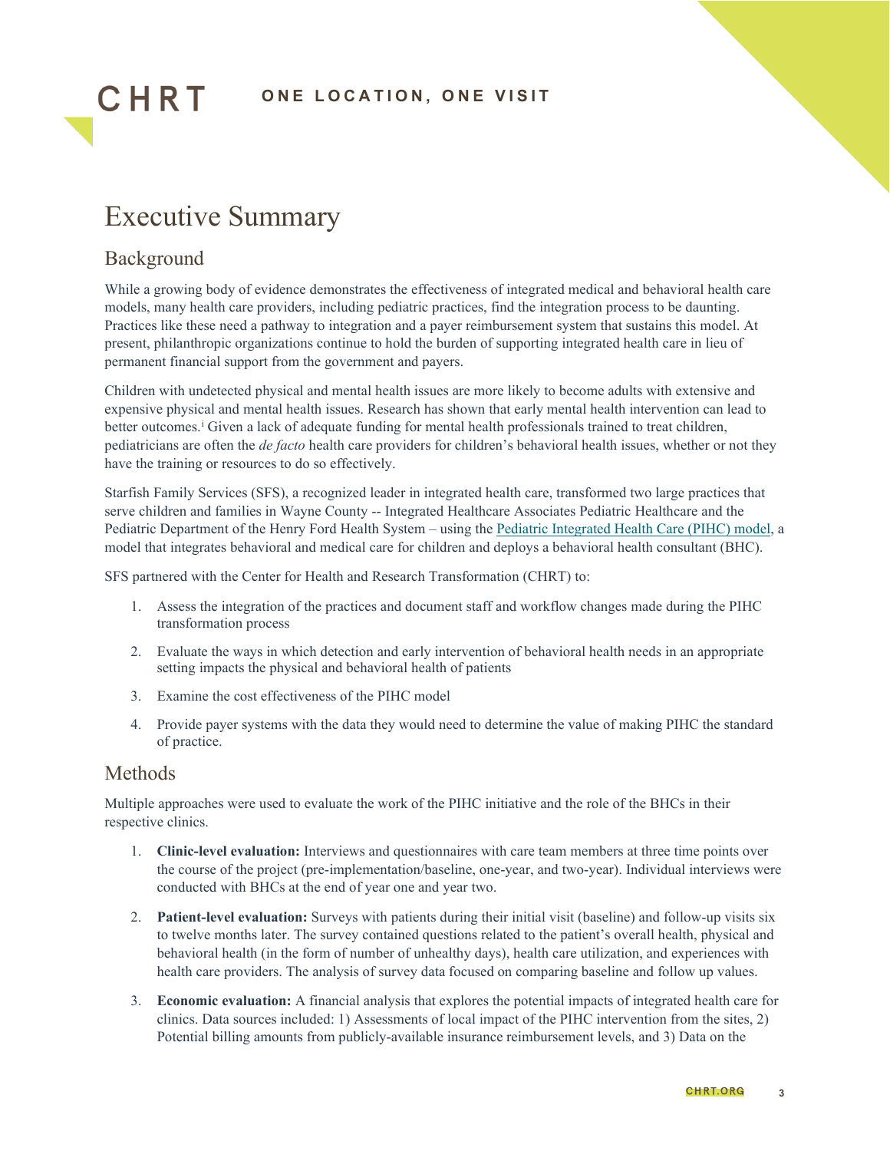

## <span id="page-2-0"></span>Executive Summary

#### <span id="page-2-1"></span>Background

CHRT

While a growing body of evidence demonstrates the effectiveness of integrated medical and behavioral health care models, many health care providers, including pediatric practices, find the integration process to be daunting. Practices like these need a pathway to integration and a payer reimbursement system that sustains this model. At present, philanthropic organizations continue to hold the burden of supporting integrated health care in lieu of permanent financial support from the government and payers.

Children with undetected physical and mental health issues are more likely to become adults with extensive and expensive physical and mental health issues. Research has shown that early mental health intervention can lead to better outcomes.<sup>[i](#page-45-0)</sup> Given a lack of adequate funding for mental health professionals trained to treat children, pediatricians are often the *de facto* health care providers for children's behavioral health issues, whether or not they have the training or resources to do so effectively.

Starfish Family Services (SFS), a recognized leader in integrated health care, transformed two large practices that serve children and families in Wayne County -- Integrated Healthcare Associates Pediatric Healthcare and the Pediatric Department of the Henry Ford Health System – using th[e Pediatric Integrated Health Care \(PIHC\) model,](https://www.starfishfamilyservices.org/wp-content/uploads/2020/11/STARFISH_K38101-IM-Manual_6.pdf) a model that integrates behavioral and medical care for children and deploys a behavioral health consultant (BHC).

SFS partnered with the Center for Health and Research Transformation (CHRT) to:

- 1. Assess the integration of the practices and document staff and workflow changes made during the PIHC transformation process
- 2. Evaluate the ways in which detection and early intervention of behavioral health needs in an appropriate setting impacts the physical and behavioral health of patients
- 3. Examine the cost effectiveness of the PIHC model
- 4. Provide payer systems with the data they would need to determine the value of making PIHC the standard of practice.

#### <span id="page-2-2"></span>Methods

Multiple approaches were used to evaluate the work of the PIHC initiative and the role of the BHCs in their respective clinics.

- 1. **Clinic-level evaluation:** Interviews and questionnaires with care team members at three time points over the course of the project (pre-implementation/baseline, one-year, and two-year). Individual interviews were conducted with BHCs at the end of year one and year two.
- 2. **Patient-level evaluation:** Surveys with patients during their initial visit (baseline) and follow-up visits six to twelve months later. The survey contained questions related to the patient's overall health, physical and behavioral health (in the form of number of unhealthy days), health care utilization, and experiences with health care providers. The analysis of survey data focused on comparing baseline and follow up values.
- 3. **Economic evaluation:** A financial analysis that explores the potential impacts of integrated health care for clinics. Data sources included: 1) Assessments of local impact of the PIHC intervention from the sites, 2) Potential billing amounts from publicly-available insurance reimbursement levels, and 3) Data on the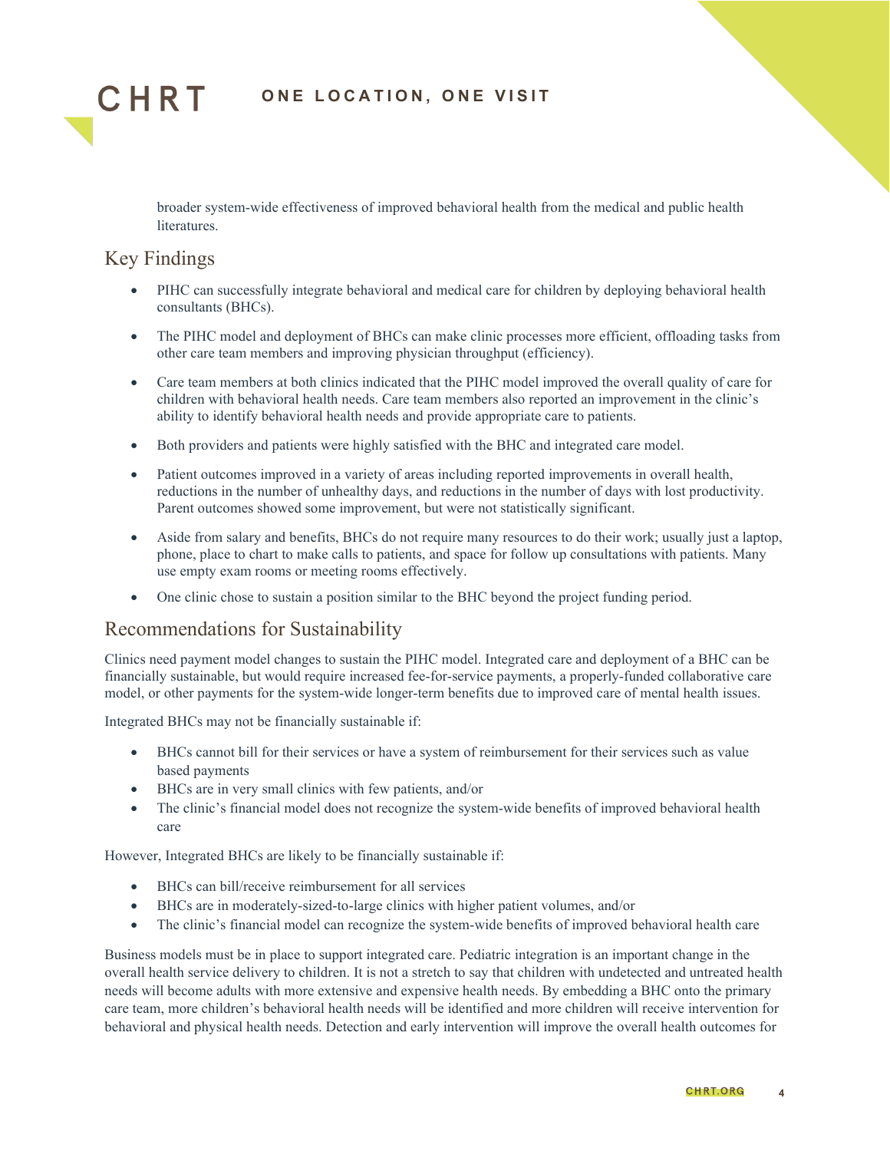

broader system-wide effectiveness of improved behavioral health from the medical and public health literatures.

#### <span id="page-3-0"></span>Key Findings

- PIHC can successfully integrate behavioral and medical care for children by deploying behavioral health consultants (BHCs).
- The PIHC model and deployment of BHCs can make clinic processes more efficient, offloading tasks from other care team members and improving physician throughput (efficiency).
- Care team members at both clinics indicated that the PIHC model improved the overall quality of care for children with behavioral health needs. Care team members also reported an improvement in the clinic's ability to identify behavioral health needs and provide appropriate care to patients.
- Both providers and patients were highly satisfied with the BHC and integrated care model.
- Patient outcomes improved in a variety of areas including reported improvements in overall health, reductions in the number of unhealthy days, and reductions in the number of days with lost productivity. Parent outcomes showed some improvement, but were not statistically significant.
- Aside from salary and benefits, BHCs do not require many resources to do their work; usually just a laptop, phone, place to chart to make calls to patients, and space for follow up consultations with patients. Many use empty exam rooms or meeting rooms effectively.
- One clinic chose to sustain a position similar to the BHC beyond the project funding period.

#### <span id="page-3-1"></span>Recommendations for Sustainability

Clinics need payment model changes to sustain the PIHC model. Integrated care and deployment of a BHC can be financially sustainable, but would require increased fee-for-service payments, a properly-funded collaborative care model, or other payments for the system-wide longer-term benefits due to improved care of mental health issues.

Integrated BHCs may not be financially sustainable if:

- BHCs cannot bill for their services or have a system of reimbursement for their services such as value based payments
- BHCs are in very small clinics with few patients, and/or
- The clinic's financial model does not recognize the system-wide benefits of improved behavioral health care

However, Integrated BHCs are likely to be financially sustainable if:

- BHCs can bill/receive reimbursement for all services
- BHCs are in moderately-sized-to-large clinics with higher patient volumes, and/or
- The clinic's financial model can recognize the system-wide benefits of improved behavioral health care

Business models must be in place to support integrated care. Pediatric integration is an important change in the overall health service delivery to children. It is not a stretch to say that children with undetected and untreated health needs will become adults with more extensive and expensive health needs. By embedding a BHC onto the primary care team, more children's behavioral health needs will be identified and more children will receive intervention for behavioral and physical health needs. Detection and early intervention will improve the overall health outcomes for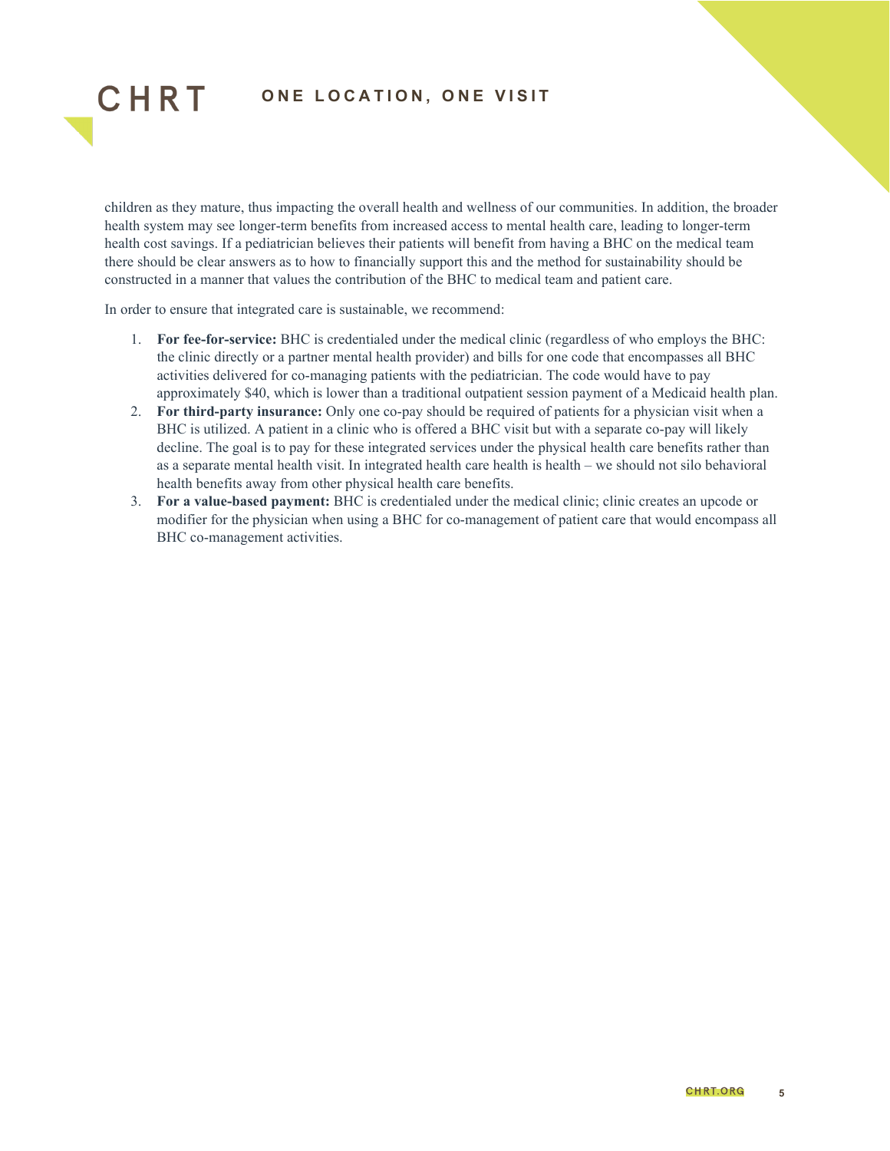CHRT

children as they mature, thus impacting the overall health and wellness of our communities. In addition, the broader health system may see longer-term benefits from increased access to mental health care, leading to longer-term health cost savings. If a pediatrician believes their patients will benefit from having a BHC on the medical team there should be clear answers as to how to financially support this and the method for sustainability should be constructed in a manner that values the contribution of the BHC to medical team and patient care.

In order to ensure that integrated care is sustainable, we recommend:

- 1. **For fee-for-service:** BHC is credentialed under the medical clinic (regardless of who employs the BHC: the clinic directly or a partner mental health provider) and bills for one code that encompasses all BHC activities delivered for co-managing patients with the pediatrician. The code would have to pay approximately \$40, which is lower than a traditional outpatient session payment of a Medicaid health plan.
- 2. **For third-party insurance:** Only one co-pay should be required of patients for a physician visit when a BHC is utilized. A patient in a clinic who is offered a BHC visit but with a separate co-pay will likely decline. The goal is to pay for these integrated services under the physical health care benefits rather than as a separate mental health visit. In integrated health care health is health – we should not silo behavioral health benefits away from other physical health care benefits.
- 3. **For a value-based payment:** BHC is credentialed under the medical clinic; clinic creates an upcode or modifier for the physician when using a BHC for co-management of patient care that would encompass all BHC co-management activities.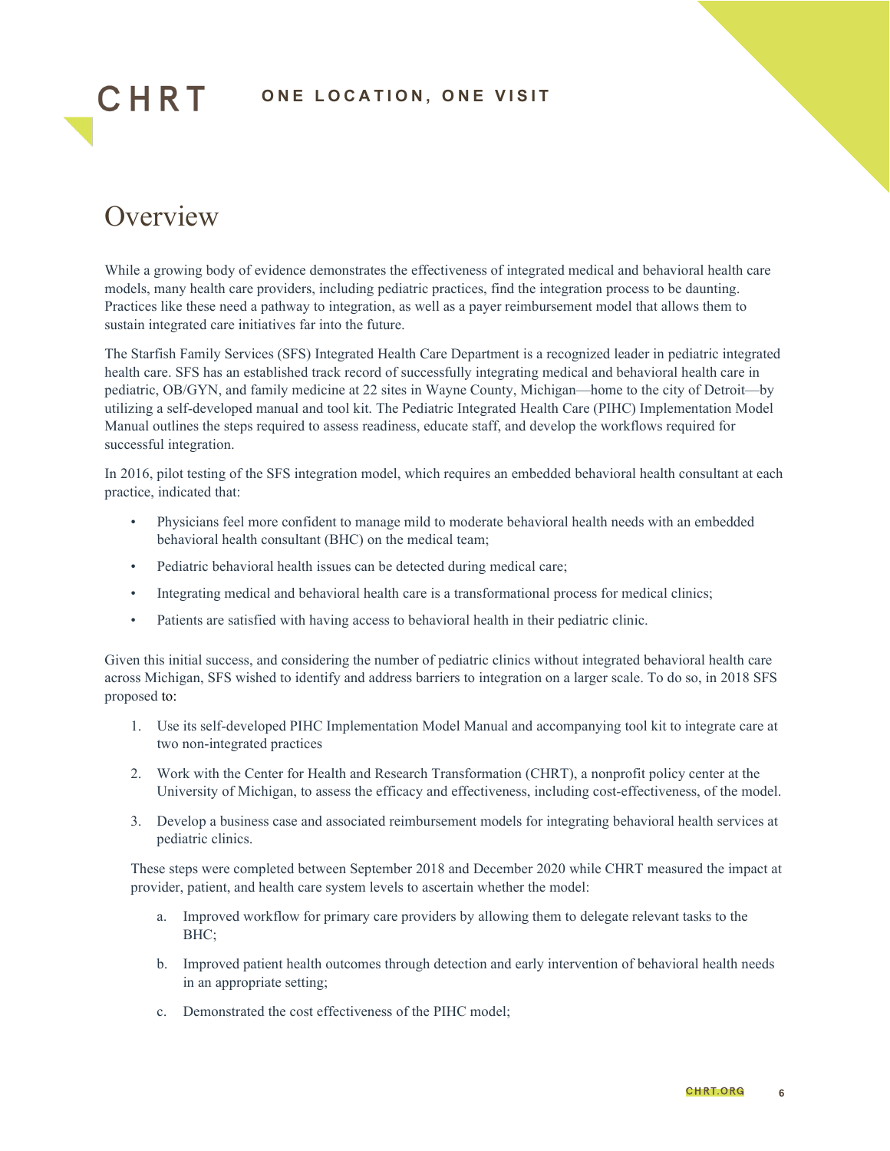## <span id="page-5-0"></span>**Overview**

CHRT

While a growing body of evidence demonstrates the effectiveness of integrated medical and behavioral health care models, many health care providers, including pediatric practices, find the integration process to be daunting. Practices like these need a pathway to integration, as well as a payer reimbursement model that allows them to sustain integrated care initiatives far into the future.

The Starfish Family Services (SFS) Integrated Health Care Department is a recognized leader in pediatric integrated health care. SFS has an established track record of successfully integrating medical and behavioral health care in pediatric, OB/GYN, and family medicine at 22 sites in Wayne County, Michigan—home to the city of Detroit—by utilizing a self-developed manual and tool kit. The Pediatric Integrated Health Care (PIHC) Implementation Model Manual outlines the steps required to assess readiness, educate staff, and develop the workflows required for successful integration.

In 2016, pilot testing of the SFS integration model, which requires an embedded behavioral health consultant at each practice, indicated that:

- Physicians feel more confident to manage mild to moderate behavioral health needs with an embedded behavioral health consultant (BHC) on the medical team;
- Pediatric behavioral health issues can be detected during medical care;
- Integrating medical and behavioral health care is a transformational process for medical clinics;
- Patients are satisfied with having access to behavioral health in their pediatric clinic.

Given this initial success, and considering the number of pediatric clinics without integrated behavioral health care across Michigan, SFS wished to identify and address barriers to integration on a larger scale. To do so, in 2018 SFS proposed to:

- 1. Use its self-developed PIHC Implementation Model Manual and accompanying tool kit to integrate care at two non-integrated practices
- 2. Work with the Center for Health and Research Transformation (CHRT), a nonprofit policy center at the University of Michigan, to assess the efficacy and effectiveness, including cost-effectiveness, of the model.
- 3. Develop a business case and associated reimbursement models for integrating behavioral health services at pediatric clinics.

These steps were completed between September 2018 and December 2020 while CHRT measured the impact at provider, patient, and health care system levels to ascertain whether the model:

- a. Improved workflow for primary care providers by allowing them to delegate relevant tasks to the BHC;
- b. Improved patient health outcomes through detection and early intervention of behavioral health needs in an appropriate setting;
- c. Demonstrated the cost effectiveness of the PIHC model;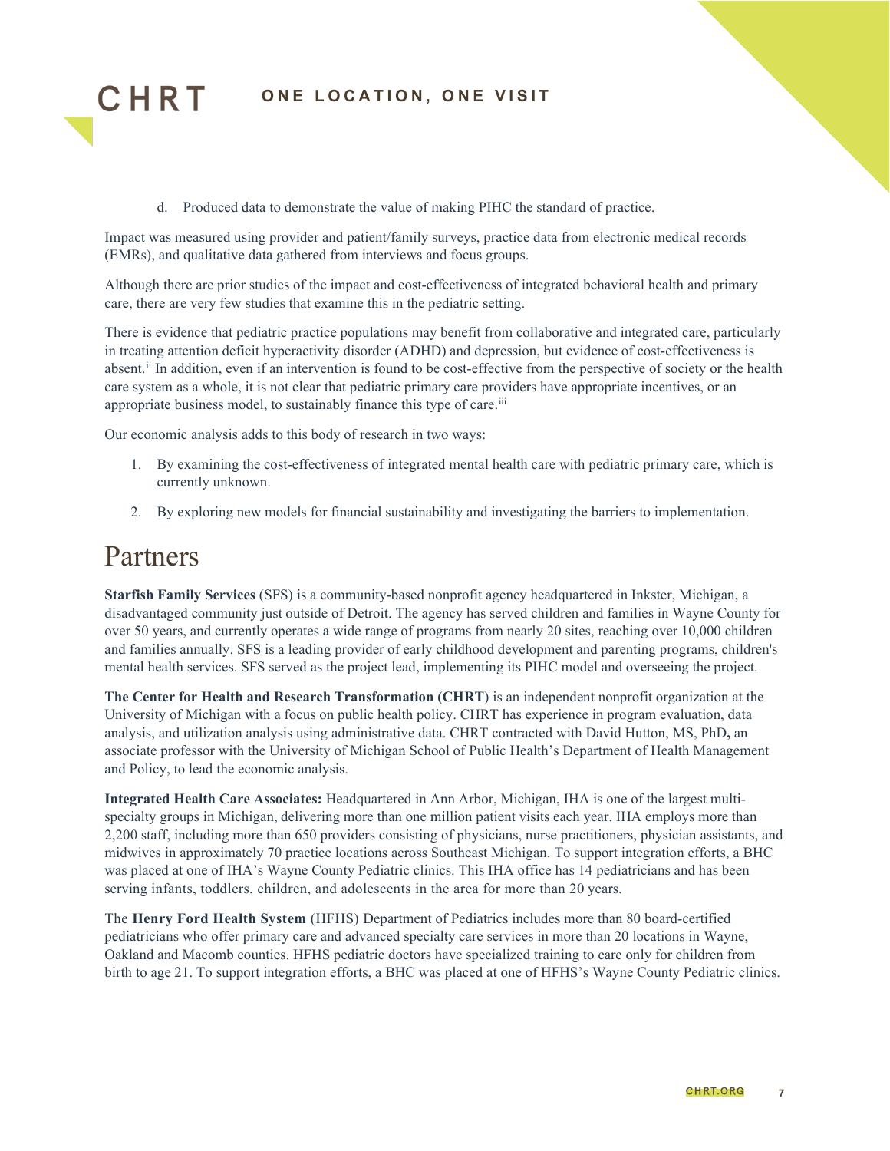

d. Produced data to demonstrate the value of making PIHC the standard of practice.

Impact was measured using provider and patient/family surveys, practice data from electronic medical records (EMRs), and qualitative data gathered from interviews and focus groups.

Although there are prior studies of the impact and cost-effectiveness of integrated behavioral health and primary care, there are very few studies that examine this in the pediatric setting.

There is evidence that pediatric practice populations may benefit from collaborative and integrated care, particularly in treating attention deficit hyperactivity disorder (ADHD) and depression, but evidence of cost-effectiveness is absent.<sup>[ii](#page-45-1)</sup> In addition, even if an intervention is found to be cost-effective from the perspective of society or the health care system as a whole, it is not clear that pediatric primary care providers have appropriate incentives, or an appropriate business model, to sustainably finance this type of care.<sup>[iii](#page-45-2)</sup>

Our economic analysis adds to this body of research in two ways:

- 1. By examining the cost-effectiveness of integrated mental health care with pediatric primary care, which is currently unknown.
- 2. By exploring new models for financial sustainability and investigating the barriers to implementation.

## <span id="page-6-0"></span>Partners

**Starfish Family Services** (SFS) is a community-based nonprofit agency headquartered in Inkster, Michigan, a disadvantaged community just outside of Detroit. The agency has served children and families in Wayne County for over 50 years, and currently operates a wide range of programs from nearly 20 sites, reaching over 10,000 children and families annually. SFS is a leading provider of early childhood development and parenting programs, children's mental health services. SFS served as the project lead, implementing its PIHC model and overseeing the project.

**The Center for Health and Research Transformation (CHRT**) is an independent nonprofit organization at the University of Michigan with a focus on public health policy. CHRT has experience in program evaluation, data analysis, and utilization analysis using administrative data. CHRT contracted with David Hutton, MS, PhD**,** an associate professor with the University of Michigan School of Public Health's Department of Health Management and Policy, to lead the economic analysis.

**Integrated Health Care Associates:** Headquartered in Ann Arbor, Michigan, IHA is one of the largest multispecialty groups in Michigan, delivering more than one million patient visits each year. IHA employs more than 2,200 staff, including more than 650 providers consisting of physicians, nurse practitioners, physician assistants, and midwives in approximately 70 practice locations across Southeast Michigan. To support integration efforts, a BHC was placed at one of IHA's Wayne County Pediatric clinics. This IHA office has 14 pediatricians and has been serving infants, toddlers, children, and adolescents in the area for more than 20 years.

The **Henry Ford Health System** (HFHS) Department of Pediatrics includes more than 80 board-certified pediatricians who offer primary care and advanced specialty care services in more than 20 locations in Wayne, Oakland and Macomb counties. HFHS pediatric doctors have specialized training to care only for children from birth to age 21. To support integration efforts, a BHC was placed at one of HFHS's Wayne County Pediatric clinics.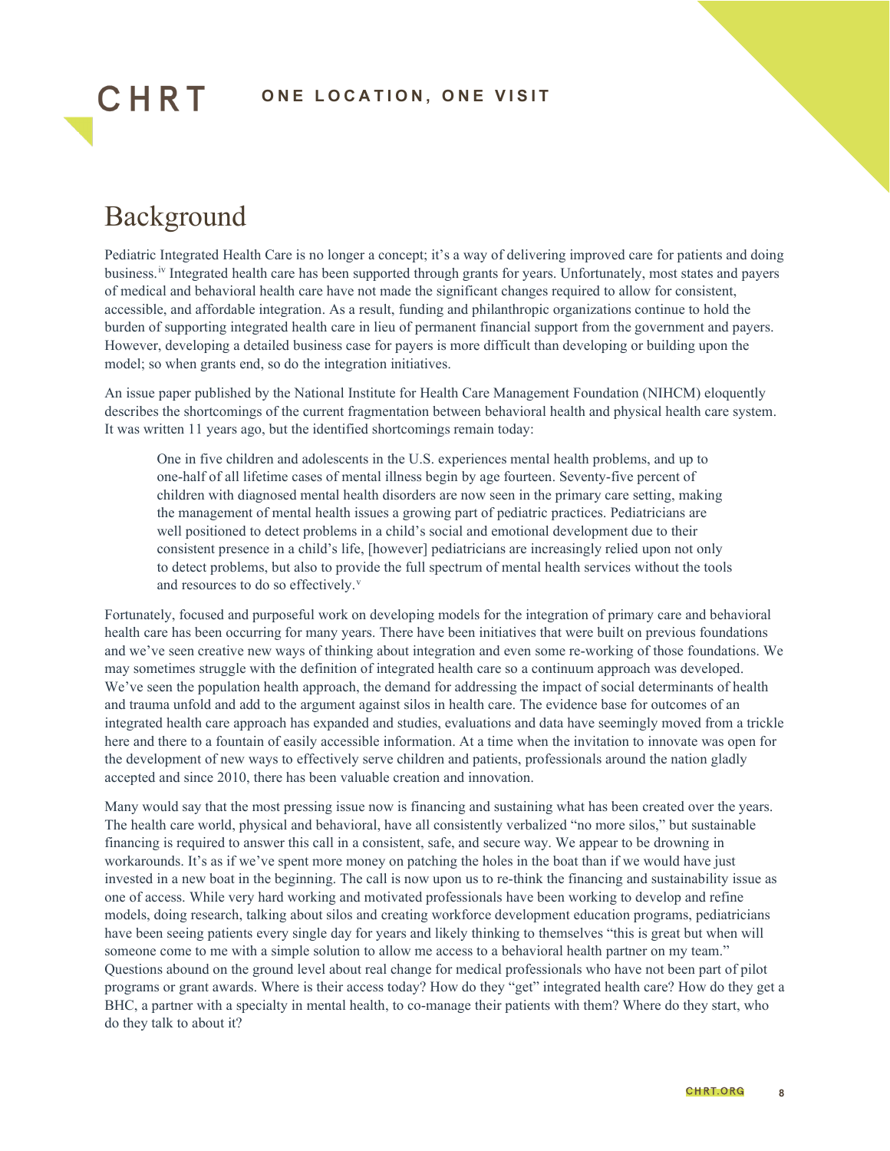## <span id="page-7-0"></span>Background

CHRT

Pediatric Integrated Health Care is no longer a concept; it's a way of delivering improved care for patients and doing business.[iv](#page-45-3) Integrated health care has been supported through grants for years. Unfortunately, most states and payers of medical and behavioral health care have not made the significant changes required to allow for consistent, accessible, and affordable integration. As a result, funding and philanthropic organizations continue to hold the burden of supporting integrated health care in lieu of permanent financial support from the government and payers. However, developing a detailed business case for payers is more difficult than developing or building upon the model; so when grants end, so do the integration initiatives.

An issue paper published by the National Institute for Health Care Management Foundation (NIHCM) eloquently describes the shortcomings of the current fragmentation between behavioral health and physical health care system. It was written 11 years ago, but the identified shortcomings remain today:

One in five children and adolescents in the U.S. experiences mental health problems, and up to one-half of all lifetime cases of mental illness begin by age fourteen. Seventy-five percent of children with diagnosed mental health disorders are now seen in the primary care setting, making the management of mental health issues a growing part of pediatric practices. Pediatricians are well positioned to detect problems in a child's social and emotional development due to their consistent presence in a child's life, [however] pediatricians are increasingly relied upon not only to detect problems, but also to provide the full spectrum of mental health services without the tools and resources to do so effecti[v](#page-45-4)ely.<sup>v</sup>

Fortunately, focused and purposeful work on developing models for the integration of primary care and behavioral health care has been occurring for many years. There have been initiatives that were built on previous foundations and we've seen creative new ways of thinking about integration and even some re-working of those foundations. We may sometimes struggle with the definition of integrated health care so a continuum approach was developed. We've seen the population health approach, the demand for addressing the impact of social determinants of health and trauma unfold and add to the argument against silos in health care. The evidence base for outcomes of an integrated health care approach has expanded and studies, evaluations and data have seemingly moved from a trickle here and there to a fountain of easily accessible information. At a time when the invitation to innovate was open for the development of new ways to effectively serve children and patients, professionals around the nation gladly accepted and since 2010, there has been valuable creation and innovation.

Many would say that the most pressing issue now is financing and sustaining what has been created over the years. The health care world, physical and behavioral, have all consistently verbalized "no more silos," but sustainable financing is required to answer this call in a consistent, safe, and secure way. We appear to be drowning in workarounds. It's as if we've spent more money on patching the holes in the boat than if we would have just invested in a new boat in the beginning. The call is now upon us to re-think the financing and sustainability issue as one of access. While very hard working and motivated professionals have been working to develop and refine models, doing research, talking about silos and creating workforce development education programs, pediatricians have been seeing patients every single day for years and likely thinking to themselves "this is great but when will someone come to me with a simple solution to allow me access to a behavioral health partner on my team." Questions abound on the ground level about real change for medical professionals who have not been part of pilot programs or grant awards. Where is their access today? How do they "get" integrated health care? How do they get a BHC, a partner with a specialty in mental health, to co-manage their patients with them? Where do they start, who do they talk to about it?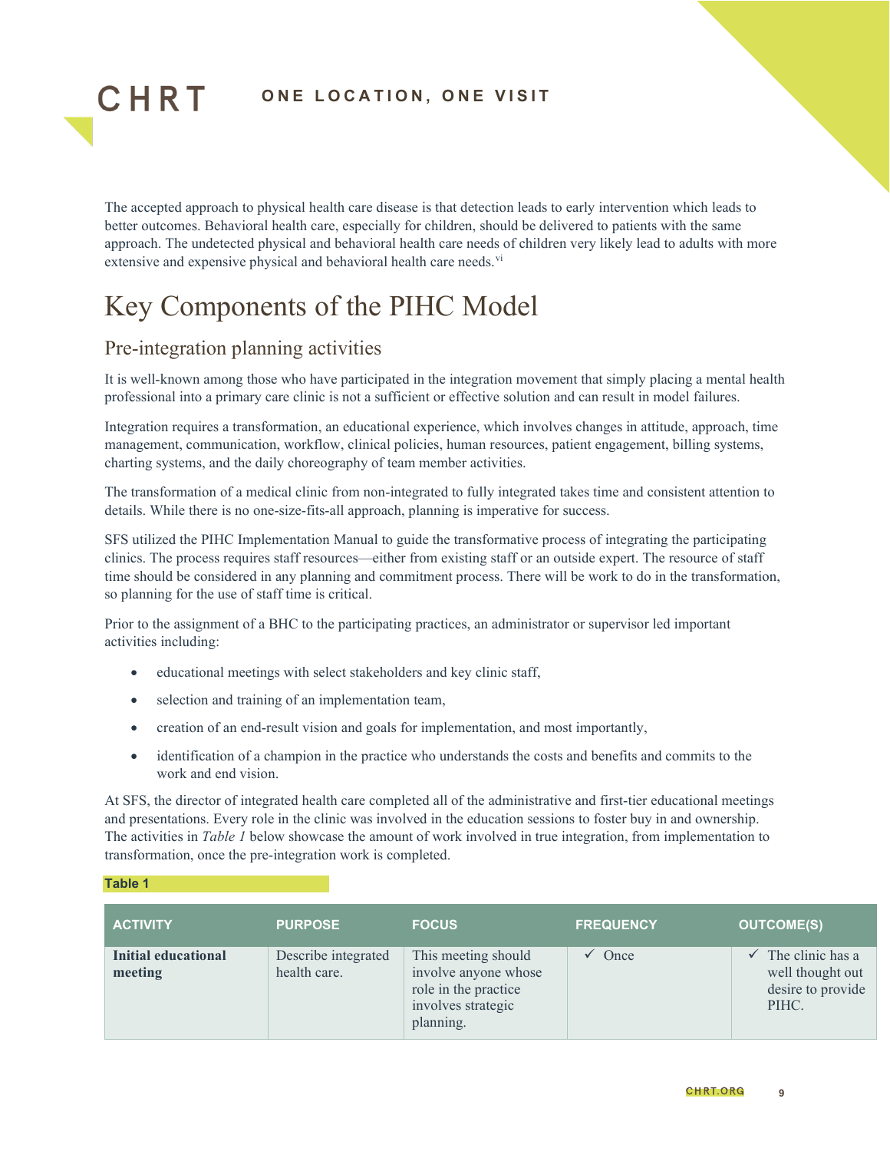

The accepted approach to physical health care disease is that detection leads to early intervention which leads to better outcomes. Behavioral health care, especially for children, should be delivered to patients with the same approach. The undetected physical and behavioral health care needs of children very likely lead to adults with more extensive and expensive physical and beha[vi](#page-45-5)oral health care needs.<sup>vi</sup>

## <span id="page-8-0"></span>Key Components of the PIHC Model

#### Pre-integration planning activities

It is well-known among those who have participated in the integration movement that simply placing a mental health professional into a primary care clinic is not a sufficient or effective solution and can result in model failures.

Integration requires a transformation, an educational experience, which involves changes in attitude, approach, time management, communication, workflow, clinical policies, human resources, patient engagement, billing systems, charting systems, and the daily choreography of team member activities.

The transformation of a medical clinic from non-integrated to fully integrated takes time and consistent attention to details. While there is no one-size-fits-all approach, planning is imperative for success.

SFS utilized the PIHC Implementation Manual to guide the transformative process of integrating the participating clinics. The process requires staff resources—either from existing staff or an outside expert. The resource of staff time should be considered in any planning and commitment process. There will be work to do in the transformation, so planning for the use of staff time is critical.

Prior to the assignment of a BHC to the participating practices, an administrator or supervisor led important activities including:

- educational meetings with select stakeholders and key clinic staff,
- selection and training of an implementation team,
- creation of an end-result vision and goals for implementation, and most importantly,
- identification of a champion in the practice who understands the costs and benefits and commits to the work and end vision.

At SFS, the director of integrated health care completed all of the administrative and first-tier educational meetings and presentations. Every role in the clinic was involved in the education sessions to foster buy in and ownership. The activities in *Table 1* below showcase the amount of work involved in true integration, from implementation to transformation, once the pre-integration work is completed.

#### **Table 1**

| <b>ACTIVITY</b>                | <b>PURPOSE</b>                      | <b>FOCUS</b>                                                                                           | <b>FREQUENCY</b> | <b>OUTCOME(S)</b>                                                  |
|--------------------------------|-------------------------------------|--------------------------------------------------------------------------------------------------------|------------------|--------------------------------------------------------------------|
| Initial educational<br>meeting | Describe integrated<br>health care. | This meeting should<br>involve anyone whose<br>role in the practice<br>involves strategic<br>planning. | Once             | The clinic has a<br>well thought out<br>desire to provide<br>PIHC. |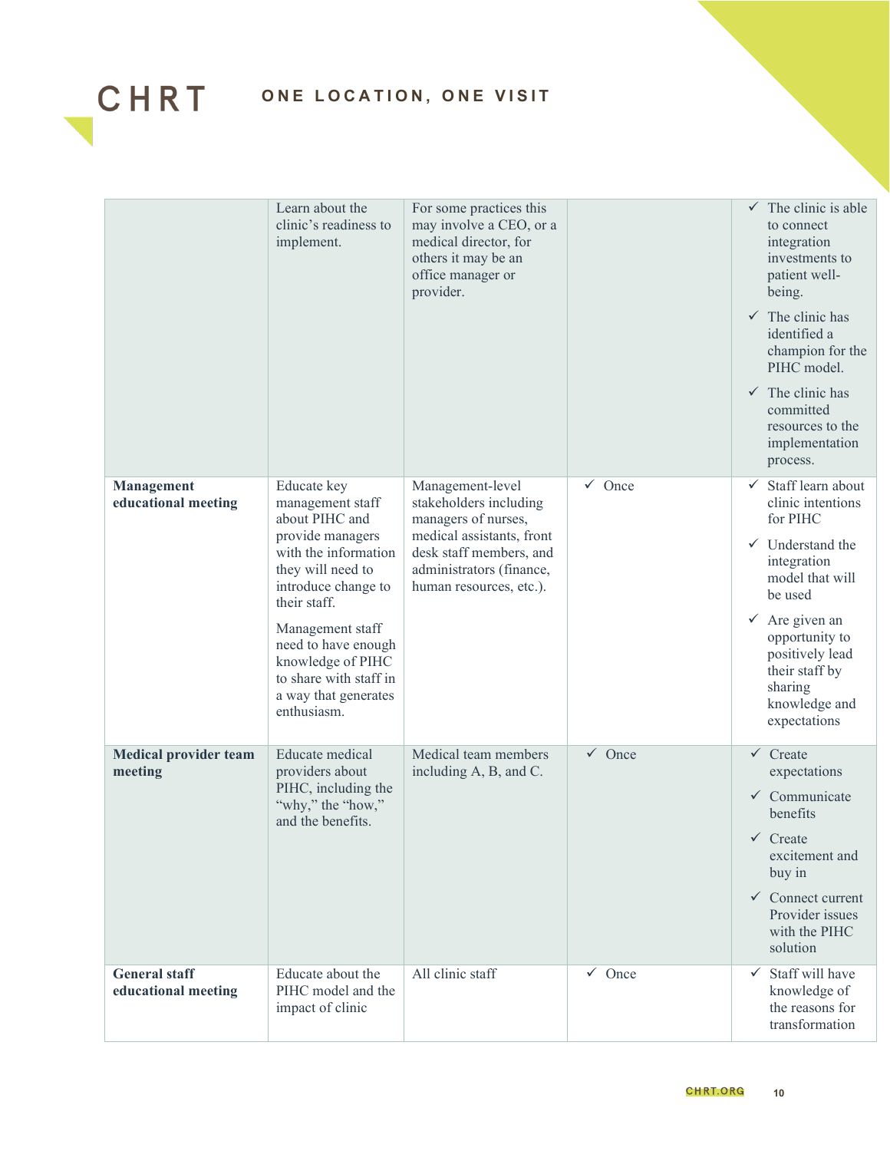

|                                             | Learn about the<br>clinic's readiness to<br>implement.                                                                                                                                                                                                                                     | For some practices this<br>may involve a CEO, or a<br>medical director, for<br>others it may be an<br>office manager or<br>provider.                                             |                   | $\checkmark$ The clinic is able<br>to connect<br>integration<br>investments to<br>patient well-<br>being.<br>$\checkmark$ The clinic has<br>identified a<br>champion for the<br>PIHC model.<br>$\checkmark$ The clinic has<br>committed<br>resources to the<br>implementation<br>process. |
|---------------------------------------------|--------------------------------------------------------------------------------------------------------------------------------------------------------------------------------------------------------------------------------------------------------------------------------------------|----------------------------------------------------------------------------------------------------------------------------------------------------------------------------------|-------------------|-------------------------------------------------------------------------------------------------------------------------------------------------------------------------------------------------------------------------------------------------------------------------------------------|
| <b>Management</b><br>educational meeting    | Educate key<br>management staff<br>about PIHC and<br>provide managers<br>with the information<br>they will need to<br>introduce change to<br>their staff.<br>Management staff<br>need to have enough<br>knowledge of PIHC<br>to share with staff in<br>a way that generates<br>enthusiasm. | Management-level<br>stakeholders including<br>managers of nurses,<br>medical assistants, front<br>desk staff members, and<br>administrators (finance,<br>human resources, etc.). | $\checkmark$ Once | $\checkmark$ Staff learn about<br>clinic intentions<br>for PIHC<br>$\checkmark$ Understand the<br>integration<br>model that will<br>be used<br>$\checkmark$ Are given an<br>opportunity to<br>positively lead<br>their staff by<br>sharing<br>knowledge and<br>expectations               |
| <b>Medical provider team</b><br>meeting     | <b>Educate</b> medical<br>providers about<br>PIHC, including the<br>"why," the "how,"<br>and the benefits.                                                                                                                                                                                 | Medical team members<br>including A, B, and C.                                                                                                                                   | $\checkmark$ Once | $\checkmark$ Create<br>expectations<br>$\checkmark$ Communicate<br>benefits<br>$\checkmark$ Create<br>excitement and<br>buy in<br>$\checkmark$ Connect current<br>Provider issues<br>with the PIHC<br>solution                                                                            |
| <b>General</b> staff<br>educational meeting | Educate about the<br>PIHC model and the<br>impact of clinic                                                                                                                                                                                                                                | All clinic staff                                                                                                                                                                 | $\checkmark$ Once | Staff will have<br>$\checkmark$<br>knowledge of<br>the reasons for<br>transformation                                                                                                                                                                                                      |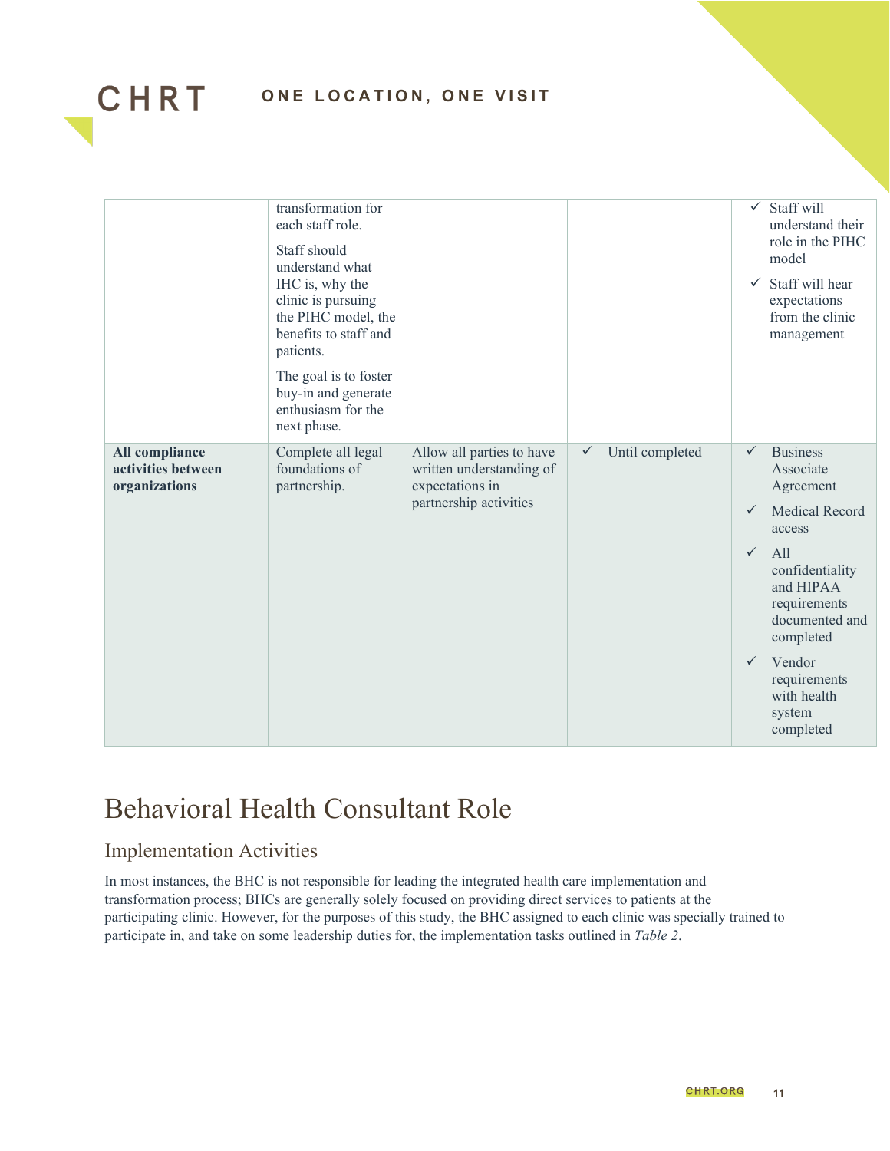

|                                                       | transformation for<br>each staff role.<br>Staff should<br>understand what<br>IHC is, why the<br>clinic is pursuing<br>the PIHC model, the<br>benefits to staff and<br>patients.<br>The goal is to foster<br>buy-in and generate<br>enthusiasm for the<br>next phase. |                                                                                                    |                                 | $\checkmark$<br>$\checkmark$                                 | Staff will<br>understand their<br>role in the PIHC<br>model<br>Staff will hear<br>expectations<br>from the clinic<br>management                                                                                                    |
|-------------------------------------------------------|----------------------------------------------------------------------------------------------------------------------------------------------------------------------------------------------------------------------------------------------------------------------|----------------------------------------------------------------------------------------------------|---------------------------------|--------------------------------------------------------------|------------------------------------------------------------------------------------------------------------------------------------------------------------------------------------------------------------------------------------|
| All compliance<br>activities between<br>organizations | Complete all legal<br>foundations of<br>partnership.                                                                                                                                                                                                                 | Allow all parties to have<br>written understanding of<br>expectations in<br>partnership activities | Until completed<br>$\checkmark$ | $\checkmark$<br>$\checkmark$<br>$\checkmark$<br>$\checkmark$ | <b>Business</b><br>Associate<br>Agreement<br><b>Medical Record</b><br>access<br>All<br>confidentiality<br>and HIPAA<br>requirements<br>documented and<br>completed<br>Vendor<br>requirements<br>with health<br>system<br>completed |

## <span id="page-10-0"></span>Behavioral Health Consultant Role

#### Implementation Activities

In most instances, the BHC is not responsible for leading the integrated health care implementation and transformation process; BHCs are generally solely focused on providing direct services to patients at the participating clinic. However, for the purposes of this study, the BHC assigned to each clinic was specially trained to participate in, and take on some leadership duties for, the implementation tasks outlined in *Table 2*.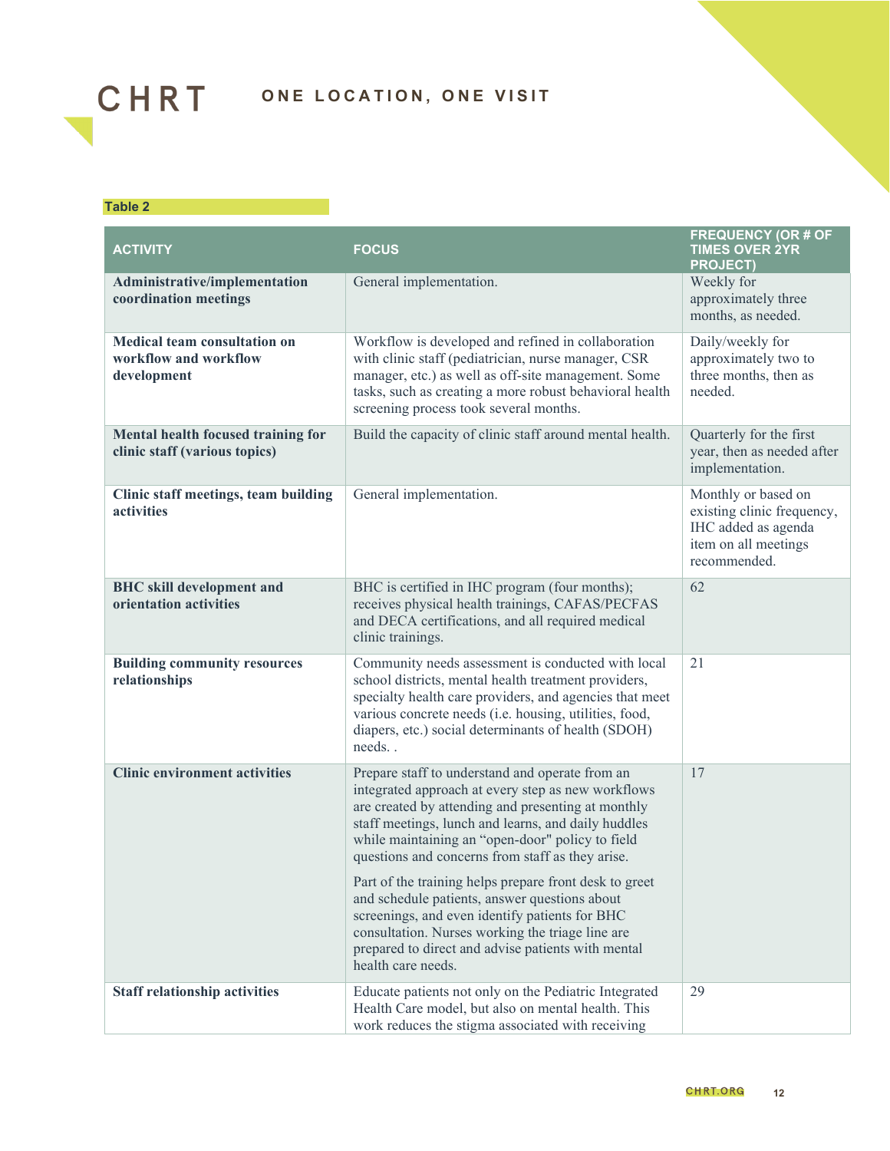

#### **Table 2**

| <b>ACTIVITY</b>                                                             | <b>FOCUS</b>                                                                                                                                                                                                                                                                                                               | <b>FREQUENCY (OR # OF</b><br><b>TIMES OVER 2YR</b><br><b>PROJECT)</b>                                            |
|-----------------------------------------------------------------------------|----------------------------------------------------------------------------------------------------------------------------------------------------------------------------------------------------------------------------------------------------------------------------------------------------------------------------|------------------------------------------------------------------------------------------------------------------|
| Administrative/implementation<br>coordination meetings                      | General implementation.                                                                                                                                                                                                                                                                                                    | Weekly for<br>approximately three<br>months, as needed.                                                          |
| <b>Medical team consultation on</b><br>workflow and workflow<br>development | Workflow is developed and refined in collaboration<br>with clinic staff (pediatrician, nurse manager, CSR<br>manager, etc.) as well as off-site management. Some<br>tasks, such as creating a more robust behavioral health<br>screening process took several months.                                                      | Daily/weekly for<br>approximately two to<br>three months, then as<br>needed.                                     |
| Mental health focused training for<br>clinic staff (various topics)         | Build the capacity of clinic staff around mental health.                                                                                                                                                                                                                                                                   | Quarterly for the first<br>year, then as needed after<br>implementation.                                         |
| Clinic staff meetings, team building<br>activities                          | General implementation.                                                                                                                                                                                                                                                                                                    | Monthly or based on<br>existing clinic frequency,<br>IHC added as agenda<br>item on all meetings<br>recommended. |
| <b>BHC</b> skill development and<br>orientation activities                  | BHC is certified in IHC program (four months);<br>receives physical health trainings, CAFAS/PECFAS<br>and DECA certifications, and all required medical<br>clinic trainings.                                                                                                                                               | 62                                                                                                               |
| <b>Building community resources</b><br>relationships                        | Community needs assessment is conducted with local<br>school districts, mental health treatment providers,<br>specialty health care providers, and agencies that meet<br>various concrete needs (i.e. housing, utilities, food,<br>diapers, etc.) social determinants of health (SDOH)<br>needs                            | 21                                                                                                               |
| <b>Clinic environment activities</b>                                        | Prepare staff to understand and operate from an<br>integrated approach at every step as new workflows<br>are created by attending and presenting at monthly<br>staff meetings, lunch and learns, and daily huddles<br>while maintaining an "open-door" policy to field<br>questions and concerns from staff as they arise. | 17                                                                                                               |
|                                                                             | Part of the training helps prepare front desk to greet<br>and schedule patients, answer questions about<br>screenings, and even identify patients for BHC<br>consultation. Nurses working the triage line are<br>prepared to direct and advise patients with mental<br>health care needs.                                  |                                                                                                                  |
| <b>Staff relationship activities</b>                                        | Educate patients not only on the Pediatric Integrated<br>Health Care model, but also on mental health. This<br>work reduces the stigma associated with receiving                                                                                                                                                           | 29                                                                                                               |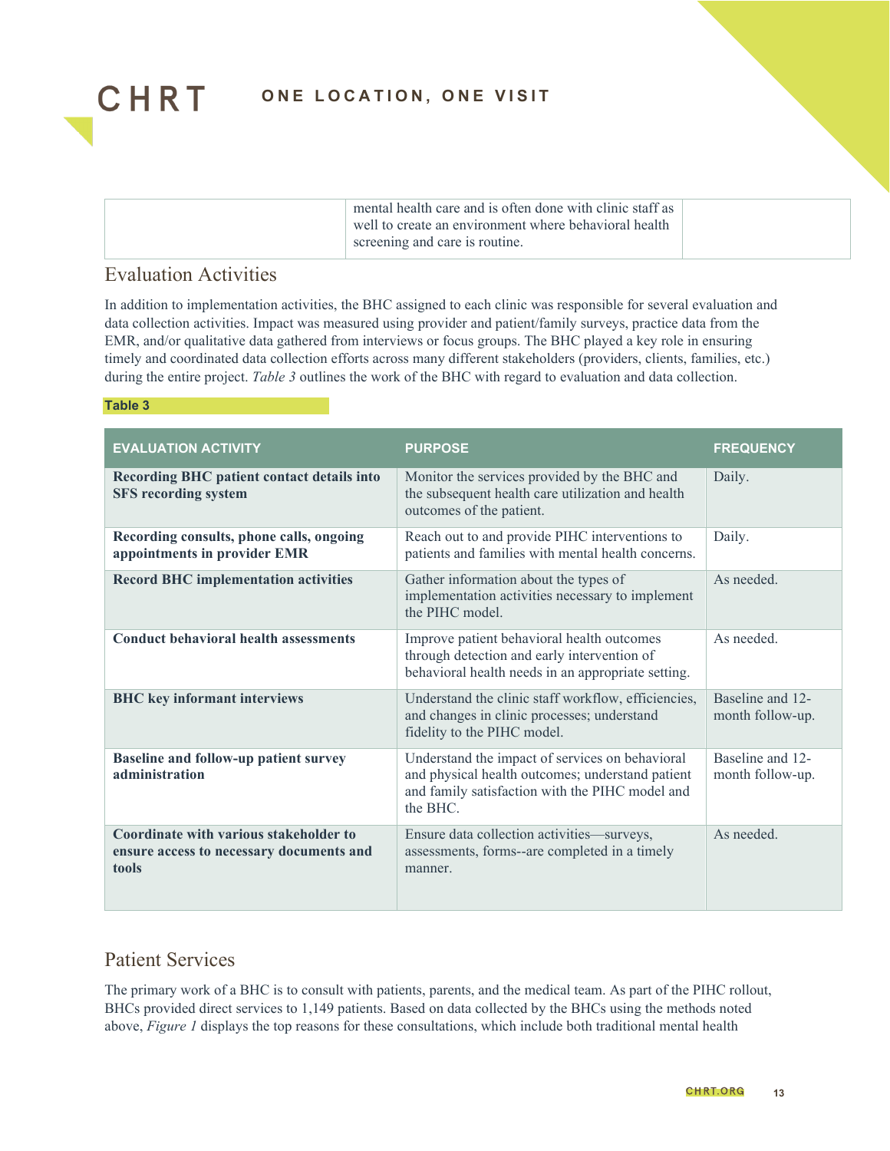

| mental health care and is often done with clinic staff as<br>well to create an environment where behavioral health<br>screening and care is routine. |  |
|------------------------------------------------------------------------------------------------------------------------------------------------------|--|
|------------------------------------------------------------------------------------------------------------------------------------------------------|--|

#### Evaluation Activities

In addition to implementation activities, the BHC assigned to each clinic was responsible for several evaluation and data collection activities. Impact was measured using provider and patient/family surveys, practice data from the EMR, and/or qualitative data gathered from interviews or focus groups. The BHC played a key role in ensuring timely and coordinated data collection efforts across many different stakeholders (providers, clients, families, etc.) during the entire project. *Table 3* outlines the work of the BHC with regard to evaluation and data collection.

#### **Table 3**

| <b>EVALUATION ACTIVITY</b>                                                                  | <b>PURPOSE</b>                                                                                                                                                     | <b>FREQUENCY</b>                     |
|---------------------------------------------------------------------------------------------|--------------------------------------------------------------------------------------------------------------------------------------------------------------------|--------------------------------------|
| Recording BHC patient contact details into<br><b>SFS recording system</b>                   | Monitor the services provided by the BHC and<br>the subsequent health care utilization and health<br>outcomes of the patient.                                      | Daily.                               |
| Recording consults, phone calls, ongoing<br>appointments in provider EMR                    | Reach out to and provide PIHC interventions to<br>patients and families with mental health concerns.                                                               | Daily.                               |
| <b>Record BHC implementation activities</b>                                                 | Gather information about the types of<br>implementation activities necessary to implement<br>the PIHC model                                                        | As needed.                           |
| <b>Conduct behavioral health assessments</b>                                                | Improve patient behavioral health outcomes<br>through detection and early intervention of<br>behavioral health needs in an appropriate setting.                    | As needed.                           |
| <b>BHC</b> key informant interviews                                                         | Understand the clinic staff workflow, efficiencies,<br>and changes in clinic processes; understand<br>fidelity to the PIHC model.                                  | Baseline and 12-<br>month follow-up. |
| <b>Baseline and follow-up patient survey</b><br>administration                              | Understand the impact of services on behavioral<br>and physical health outcomes; understand patient<br>and family satisfaction with the PIHC model and<br>the BHC. | Baseline and 12-<br>month follow-up. |
| Coordinate with various stakeholder to<br>ensure access to necessary documents and<br>tools | Ensure data collection activities—surveys,<br>assessments, forms--are completed in a timely<br>manner.                                                             | As needed.                           |

#### Patient Services

The primary work of a BHC is to consult with patients, parents, and the medical team. As part of the PIHC rollout, BHCs provided direct services to 1,149 patients. Based on data collected by the BHCs using the methods noted above, *Figure 1* displays the top reasons for these consultations, which include both traditional mental health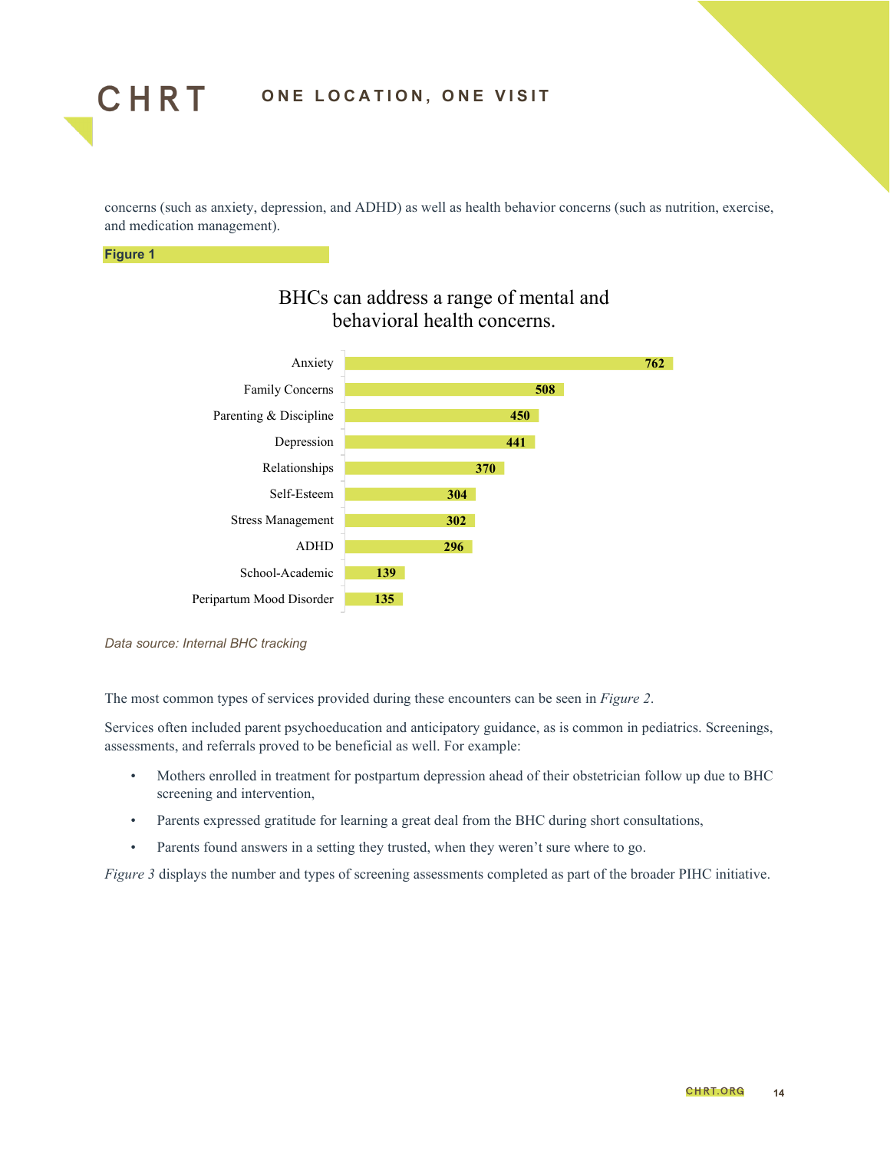

concerns (such as anxiety, depression, and ADHD) as well as health behavior concerns (such as nutrition, exercise, and medication management).

#### **Figure 1**



#### BHCs can address a range of mental and behavioral health concerns.

*Data source: Internal BHC tracking*

The most common types of services provided during these encounters can be seen in *Figure 2*.

Services often included parent psychoeducation and anticipatory guidance, as is common in pediatrics. Screenings, assessments, and referrals proved to be beneficial as well. For example:

- Mothers enrolled in treatment for postpartum depression ahead of their obstetrician follow up due to BHC screening and intervention,
- Parents expressed gratitude for learning a great deal from the BHC during short consultations,
- Parents found answers in a setting they trusted, when they weren't sure where to go.

*Figure 3* displays the number and types of screening assessments completed as part of the broader PIHC initiative.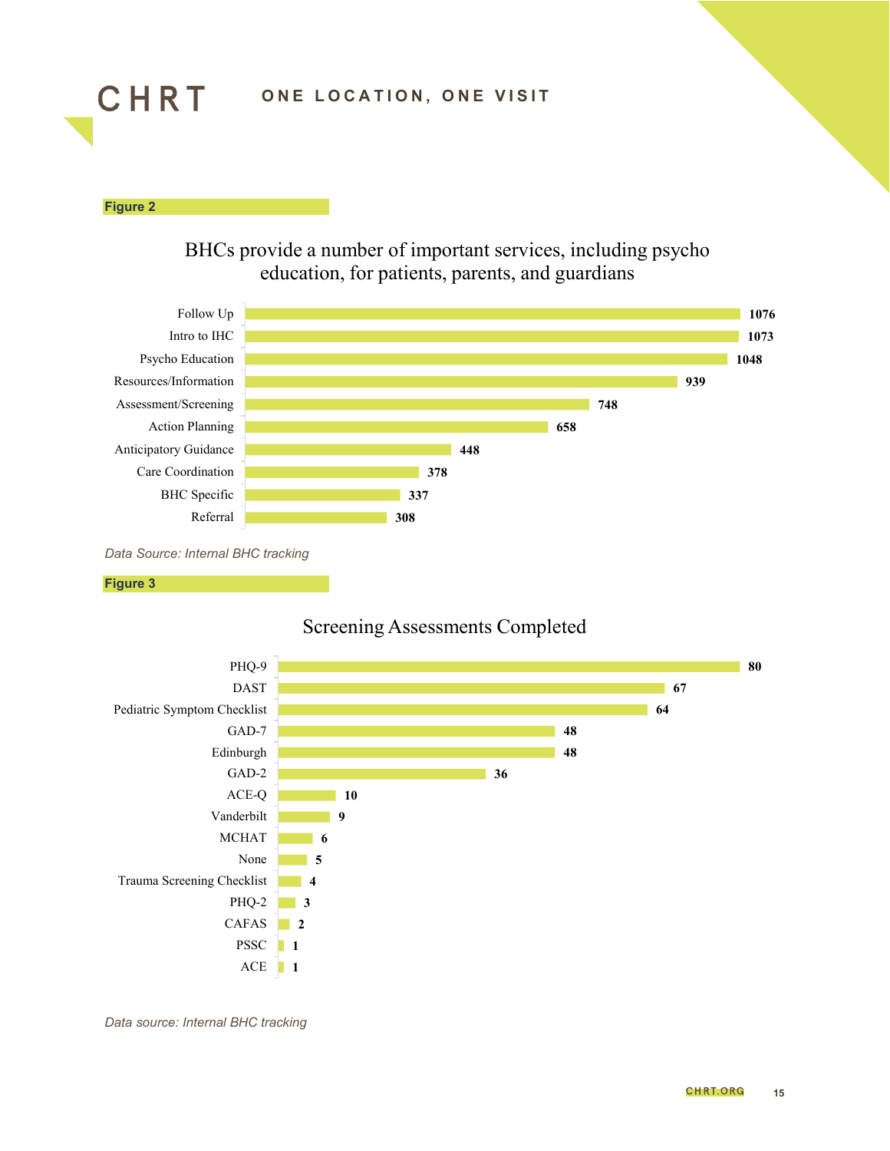

**Figure 2**

BHCs provide a number of important services, including psycho education, for patients, parents, and guardians



*Data Source: Internal BHC tracking*







*Data source: Internal BHC tracking*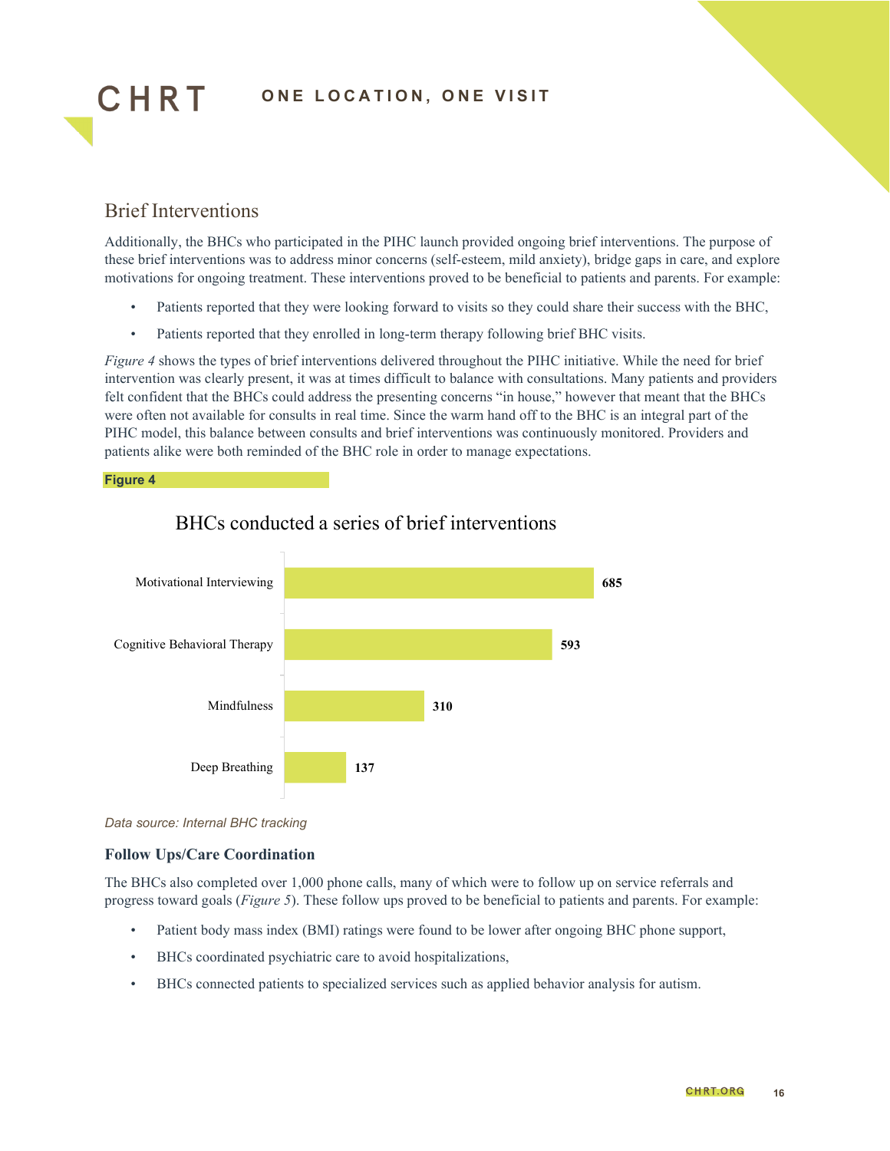

#### Brief Interventions

Additionally, the BHCs who participated in the PIHC launch provided ongoing brief interventions. The purpose of these brief interventions was to address minor concerns (self-esteem, mild anxiety), bridge gaps in care, and explore motivations for ongoing treatment. These interventions proved to be beneficial to patients and parents. For example:

- Patients reported that they were looking forward to visits so they could share their success with the BHC,
- Patients reported that they enrolled in long-term therapy following brief BHC visits.

*Figure 4* shows the types of brief interventions delivered throughout the PIHC initiative. While the need for brief intervention was clearly present, it was at times difficult to balance with consultations. Many patients and providers felt confident that the BHCs could address the presenting concerns "in house," however that meant that the BHCs were often not available for consults in real time. Since the warm hand off to the BHC is an integral part of the PIHC model, this balance between consults and brief interventions was continuously monitored. Providers and patients alike were both reminded of the BHC role in order to manage expectations.

#### **Figure 4**



#### BHCs conducted a series of brief interventions

*Data source: Internal BHC tracking*

#### **Follow Ups/Care Coordination**

The BHCs also completed over 1,000 phone calls, many of which were to follow up on service referrals and progress toward goals (*Figure 5*). These follow ups proved to be beneficial to patients and parents. For example:

- Patient body mass index (BMI) ratings were found to be lower after ongoing BHC phone support,
- BHCs coordinated psychiatric care to avoid hospitalizations,
- BHCs connected patients to specialized services such as applied behavior analysis for autism.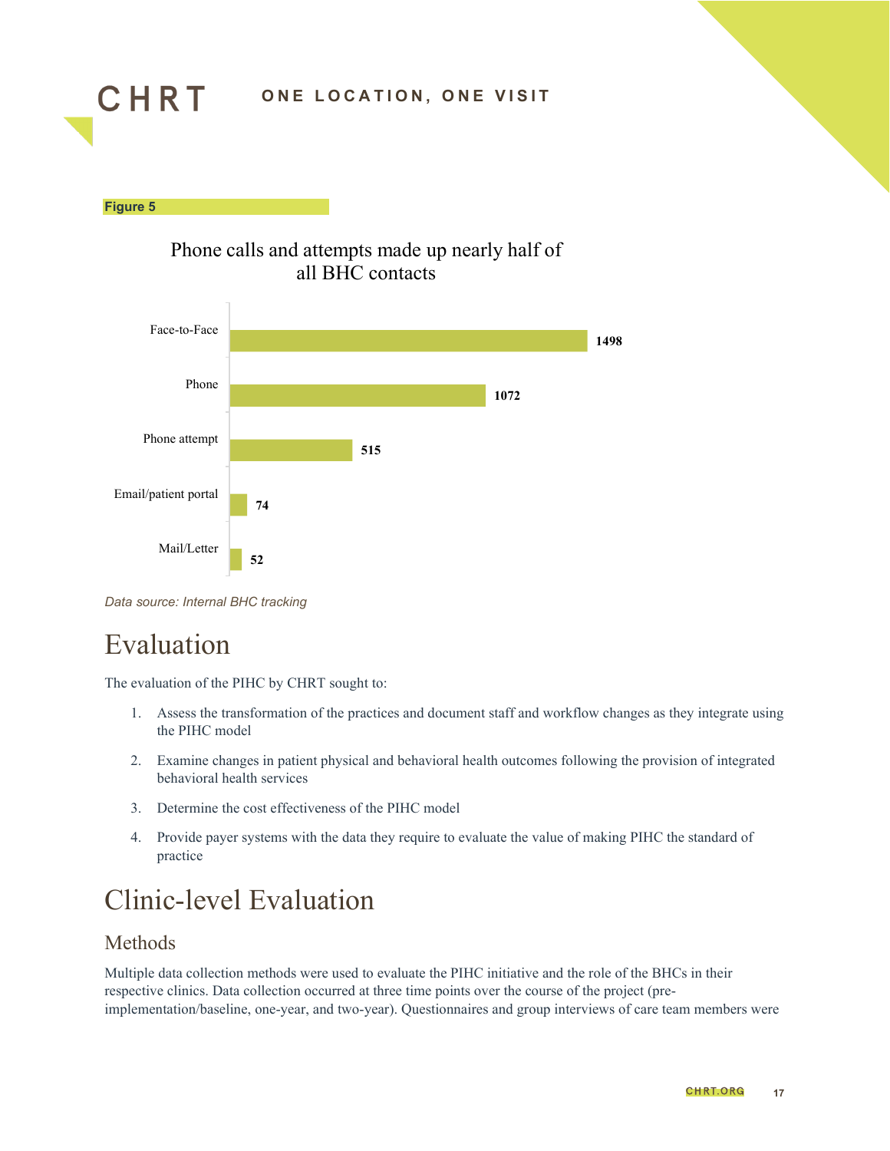





*Data source: Internal BHC tracking*

## <span id="page-16-0"></span>Evaluation

**Figure 5**

The evaluation of the PIHC by CHRT sought to:

- 1. Assess the transformation of the practices and document staff and workflow changes as they integrate using the PIHC model
- 2. Examine changes in patient physical and behavioral health outcomes following the provision of integrated behavioral health services
- 3. Determine the cost effectiveness of the PIHC model
- 4. Provide payer systems with the data they require to evaluate the value of making PIHC the standard of practice

## <span id="page-16-1"></span>Clinic-level Evaluation

#### Methods

Multiple data collection methods were used to evaluate the PIHC initiative and the role of the BHCs in their respective clinics. Data collection occurred at three time points over the course of the project (preimplementation/baseline, one-year, and two-year). Questionnaires and group interviews of care team members were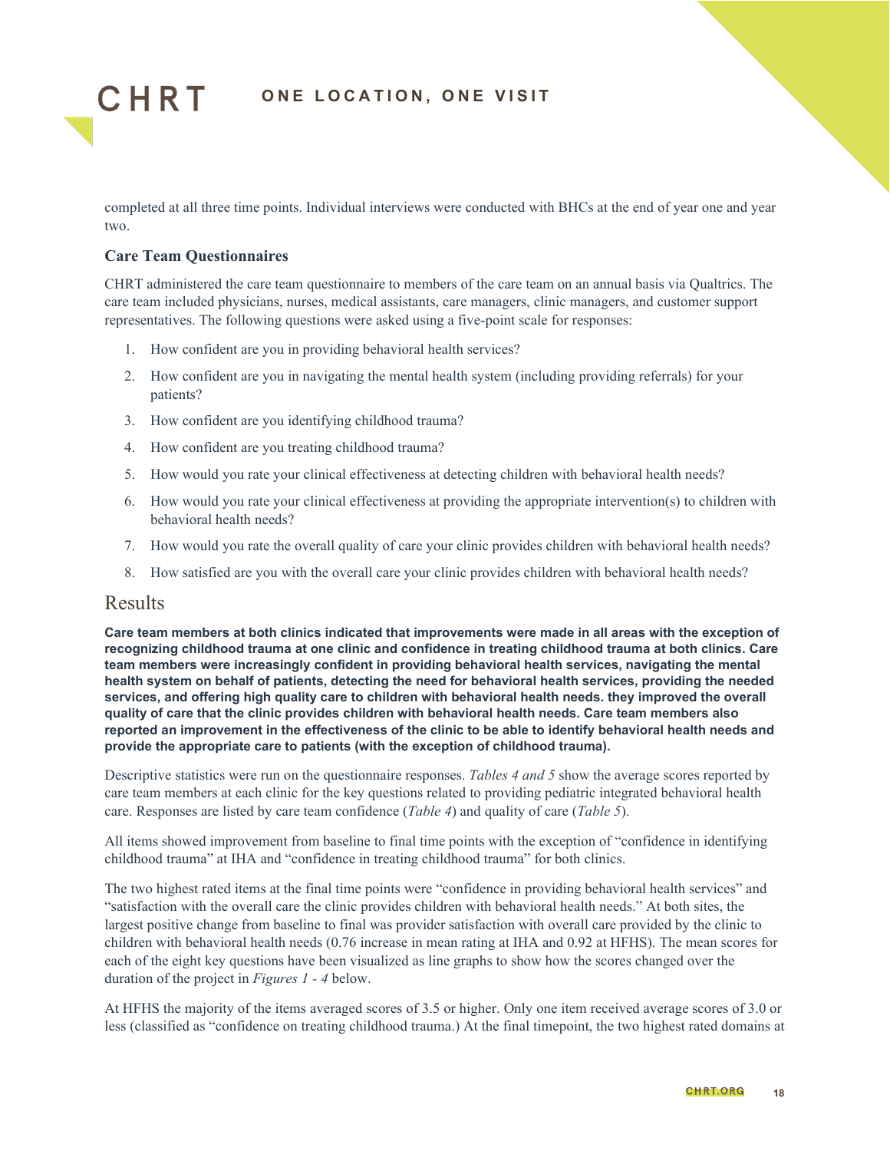

completed at all three time points. Individual interviews were conducted with BHCs at the end of year one and year two.

#### **Care Team Questionnaires**

CHRT administered the care team questionnaire to members of the care team on an annual basis via Qualtrics. The care team included physicians, nurses, medical assistants, care managers, clinic managers, and customer support representatives. The following questions were asked using a five-point scale for responses:

- 1. How confident are you in providing behavioral health services?
- 2. How confident are you in navigating the mental health system (including providing referrals) for your patients?
- 3. How confident are you identifying childhood trauma?
- 4. How confident are you treating childhood trauma?
- 5. How would you rate your clinical effectiveness at detecting children with behavioral health needs?
- 6. How would you rate your clinical effectiveness at providing the appropriate intervention(s) to children with behavioral health needs?
- 7. How would you rate the overall quality of care your clinic provides children with behavioral health needs?
- 8. How satisfied are you with the overall care your clinic provides children with behavioral health needs?

#### Results

**Care team members at both clinics indicated that improvements were made in all areas with the exception of recognizing childhood trauma at one clinic and confidence in treating childhood trauma at both clinics. Care team members were increasingly confident in providing behavioral health services, navigating the mental health system on behalf of patients, detecting the need for behavioral health services, providing the needed services, and offering high quality care to children with behavioral health needs. they improved the overall quality of care that the clinic provides children with behavioral health needs. Care team members also reported an improvement in the effectiveness of the clinic to be able to identify behavioral health needs and provide the appropriate care to patients (with the exception of childhood trauma).**

Descriptive statistics were run on the questionnaire responses. *Tables 4 and 5* show the average scores reported by care team members at each clinic for the key questions related to providing pediatric integrated behavioral health care. Responses are listed by care team confidence (*Table 4*) and quality of care (*Table 5*).

All items showed improvement from baseline to final time points with the exception of "confidence in identifying childhood trauma" at IHA and "confidence in treating childhood trauma" for both clinics.

The two highest rated items at the final time points were "confidence in providing behavioral health services" and "satisfaction with the overall care the clinic provides children with behavioral health needs." At both sites, the largest positive change from baseline to final was provider satisfaction with overall care provided by the clinic to children with behavioral health needs (0.76 increase in mean rating at IHA and 0.92 at HFHS). The mean scores for each of the eight key questions have been visualized as line graphs to show how the scores changed over the duration of the project in *Figures 1 - 4* below.

At HFHS the majority of the items averaged scores of 3.5 or higher. Only one item received average scores of 3.0 or less (classified as "confidence on treating childhood trauma.) At the final timepoint, the two highest rated domains at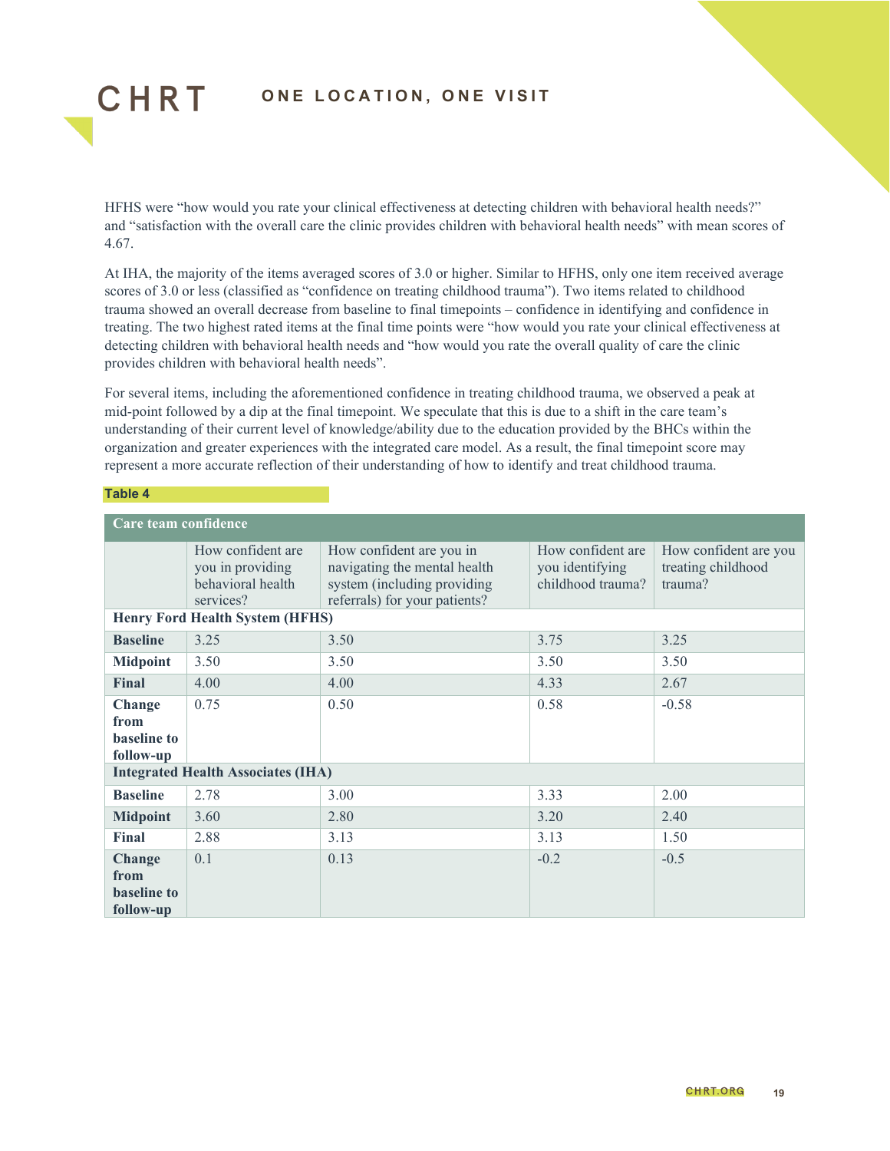

HFHS were "how would you rate your clinical effectiveness at detecting children with behavioral health needs?" and "satisfaction with the overall care the clinic provides children with behavioral health needs" with mean scores of 4.67.

At IHA, the majority of the items averaged scores of 3.0 or higher. Similar to HFHS, only one item received average scores of 3.0 or less (classified as "confidence on treating childhood trauma"). Two items related to childhood trauma showed an overall decrease from baseline to final timepoints – confidence in identifying and confidence in treating. The two highest rated items at the final time points were "how would you rate your clinical effectiveness at detecting children with behavioral health needs and "how would you rate the overall quality of care the clinic provides children with behavioral health needs".

For several items, including the aforementioned confidence in treating childhood trauma, we observed a peak at mid-point followed by a dip at the final timepoint. We speculate that this is due to a shift in the care team's understanding of their current level of knowledge/ability due to the education provided by the BHCs within the organization and greater experiences with the integrated care model. As a result, the final timepoint score may represent a more accurate reflection of their understanding of how to identify and treat childhood trauma.

#### **Table 4**

| Care team confidence                                     |                                                                         |                                                                                                                          |                                                           |                                                        |  |
|----------------------------------------------------------|-------------------------------------------------------------------------|--------------------------------------------------------------------------------------------------------------------------|-----------------------------------------------------------|--------------------------------------------------------|--|
|                                                          | How confident are<br>you in providing<br>behavioral health<br>services? | How confident are you in<br>navigating the mental health<br>system (including providing<br>referrals) for your patients? | How confident are<br>you identifying<br>childhood trauma? | How confident are you<br>treating childhood<br>trauma? |  |
|                                                          | <b>Henry Ford Health System (HFHS)</b>                                  |                                                                                                                          |                                                           |                                                        |  |
| <b>Baseline</b>                                          | 3.25                                                                    | 3.50                                                                                                                     | 3.75                                                      | 3.25                                                   |  |
| <b>Midpoint</b>                                          | 3.50                                                                    | 3.50                                                                                                                     | 3.50                                                      | 3.50                                                   |  |
| <b>Final</b>                                             | 4.00                                                                    | 4.00                                                                                                                     | 4.33                                                      | 2.67                                                   |  |
| Change<br>from<br><b>baseline</b> to<br>follow-up        | 0.75                                                                    | 0.50                                                                                                                     | 0.58                                                      | $-0.58$                                                |  |
|                                                          | <b>Integrated Health Associates (IHA)</b>                               |                                                                                                                          |                                                           |                                                        |  |
| <b>Baseline</b>                                          | 2.78                                                                    | 3.00                                                                                                                     | 3.33                                                      | 2.00                                                   |  |
| <b>Midpoint</b>                                          | 3.60                                                                    | 2.80                                                                                                                     | 3.20                                                      | 2.40                                                   |  |
| Final                                                    | 2.88                                                                    | 3.13                                                                                                                     | 3.13                                                      | 1.50                                                   |  |
| <b>Change</b><br>from<br><b>baseline</b> to<br>follow-up | 0.1                                                                     | 0.13                                                                                                                     | $-0.2$                                                    | $-0.5$                                                 |  |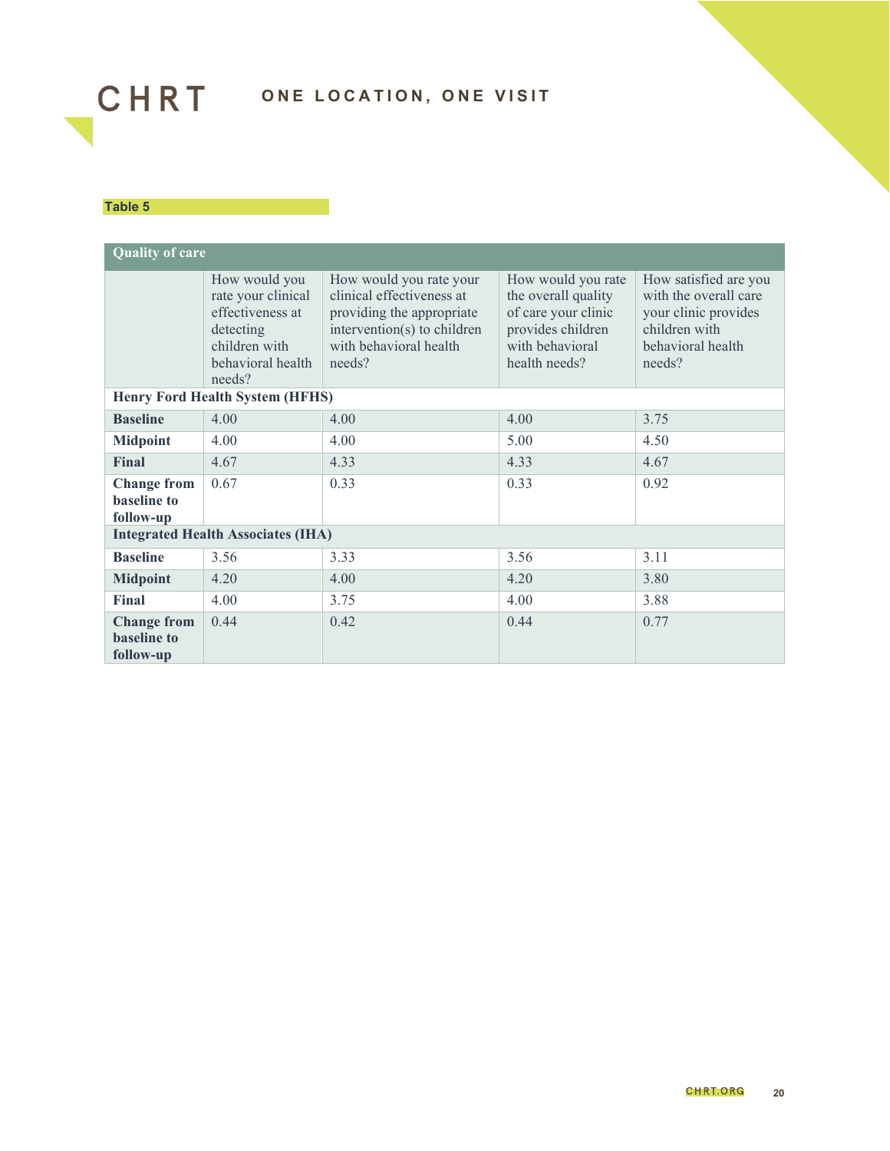

#### **Table 5**

| <b>Quality of care</b>                         |                                                                                                                      |                                                                                                                                                      |                                                                                                                           |                                                                                                                        |  |
|------------------------------------------------|----------------------------------------------------------------------------------------------------------------------|------------------------------------------------------------------------------------------------------------------------------------------------------|---------------------------------------------------------------------------------------------------------------------------|------------------------------------------------------------------------------------------------------------------------|--|
|                                                | How would you<br>rate your clinical<br>effectiveness at<br>detecting<br>children with<br>behavioral health<br>needs? | How would you rate your<br>clinical effectiveness at<br>providing the appropriate<br>intervention(s) to children<br>with behavioral health<br>needs? | How would you rate<br>the overall quality<br>of care your clinic<br>provides children<br>with behavioral<br>health needs? | How satisfied are you<br>with the overall care<br>your clinic provides<br>children with<br>behavioral health<br>needs? |  |
|                                                | <b>Henry Ford Health System (HFHS)</b>                                                                               |                                                                                                                                                      |                                                                                                                           |                                                                                                                        |  |
| <b>Baseline</b>                                | 4.00                                                                                                                 | 4.00                                                                                                                                                 | 4.00                                                                                                                      | 3.75                                                                                                                   |  |
| <b>Midpoint</b>                                | 4.00                                                                                                                 | 4.00                                                                                                                                                 | 5.00                                                                                                                      | 4.50                                                                                                                   |  |
| Final                                          | 4.67                                                                                                                 | 4.33                                                                                                                                                 | 4.33                                                                                                                      | 4.67                                                                                                                   |  |
| <b>Change from</b><br>baseline to<br>follow-up | 0.67                                                                                                                 | 0.33                                                                                                                                                 | 0.33                                                                                                                      | 0.92                                                                                                                   |  |
|                                                | <b>Integrated Health Associates (IHA)</b>                                                                            |                                                                                                                                                      |                                                                                                                           |                                                                                                                        |  |
| <b>Baseline</b>                                | 3.56                                                                                                                 | 3.33                                                                                                                                                 | 3.56                                                                                                                      | 3.11                                                                                                                   |  |
| <b>Midpoint</b>                                | 4.20                                                                                                                 | 4.00                                                                                                                                                 | 4.20                                                                                                                      | 3.80                                                                                                                   |  |
| Final                                          | 4.00                                                                                                                 | 3.75                                                                                                                                                 | 4.00                                                                                                                      | 3.88                                                                                                                   |  |
| <b>Change from</b><br>baseline to<br>follow-up | 0.44                                                                                                                 | 0.42                                                                                                                                                 | 0.44                                                                                                                      | 0.77                                                                                                                   |  |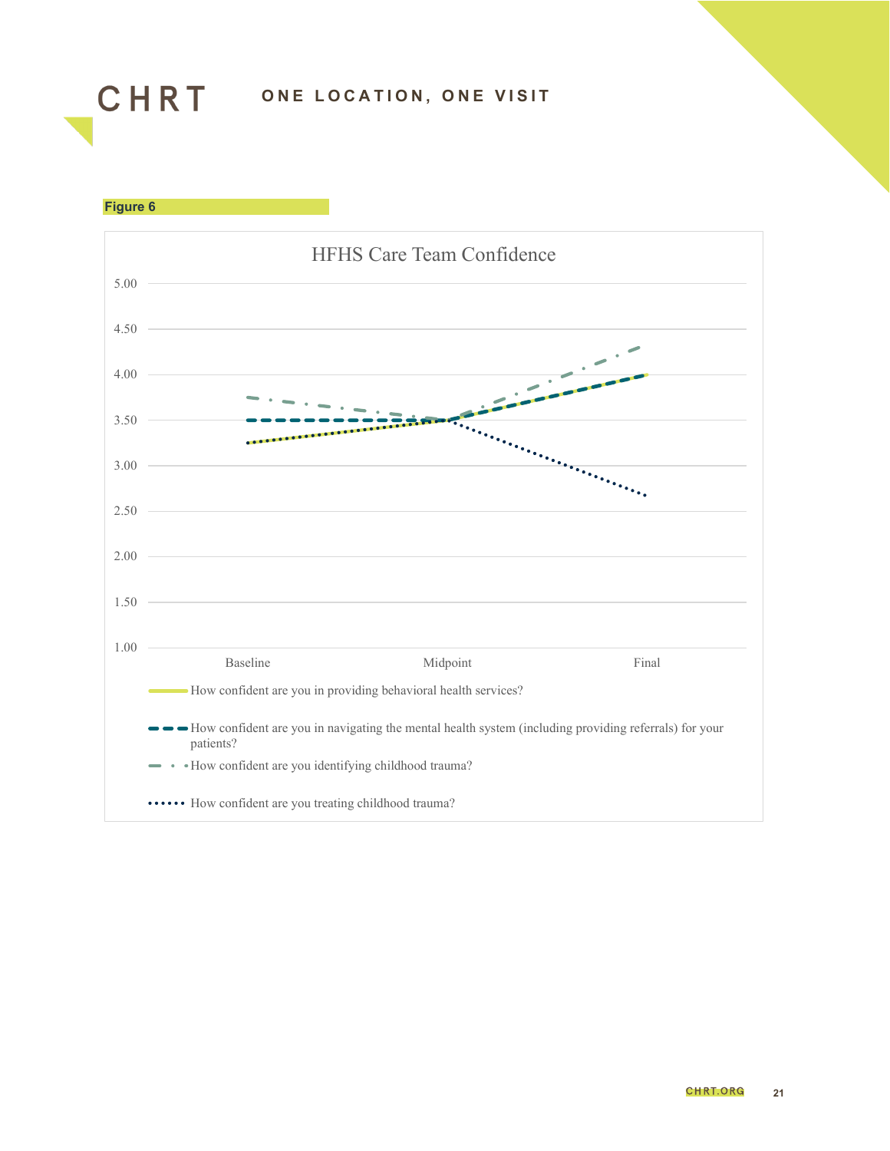

**Figure 6**

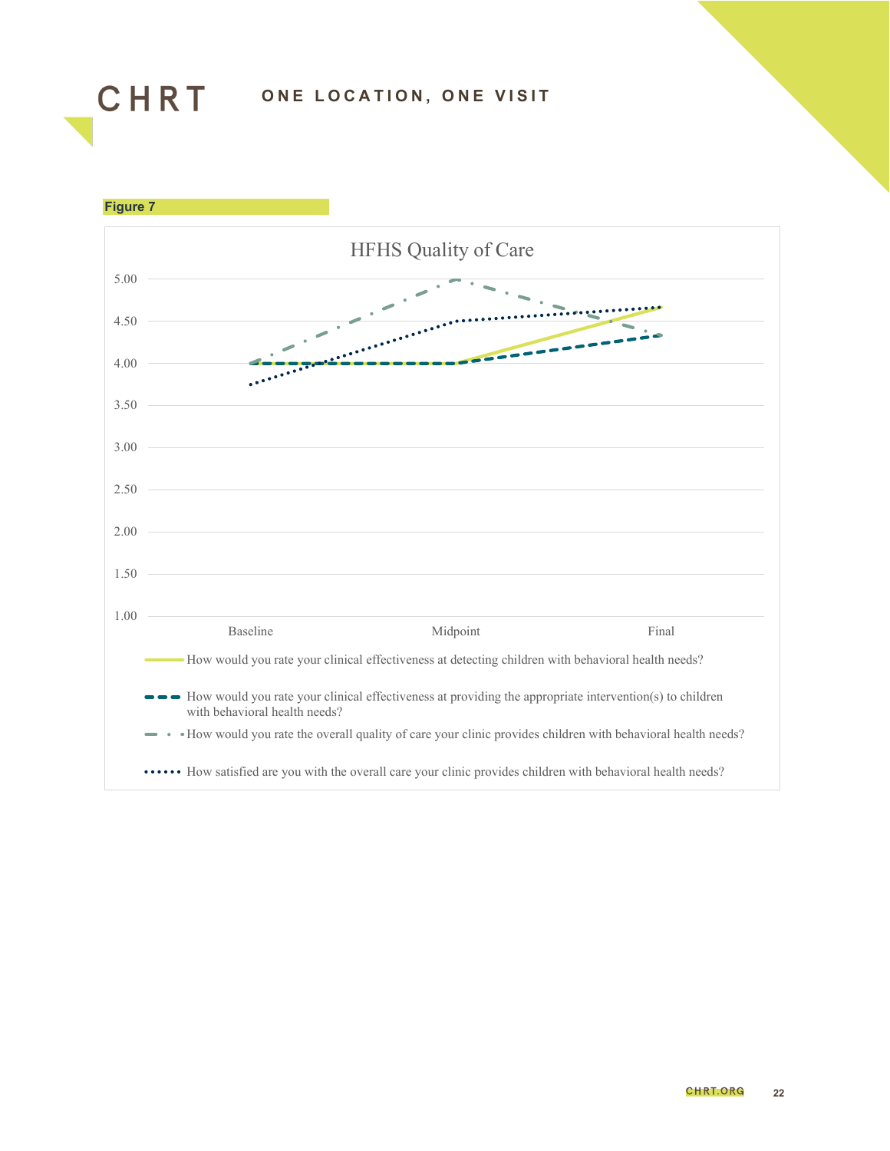

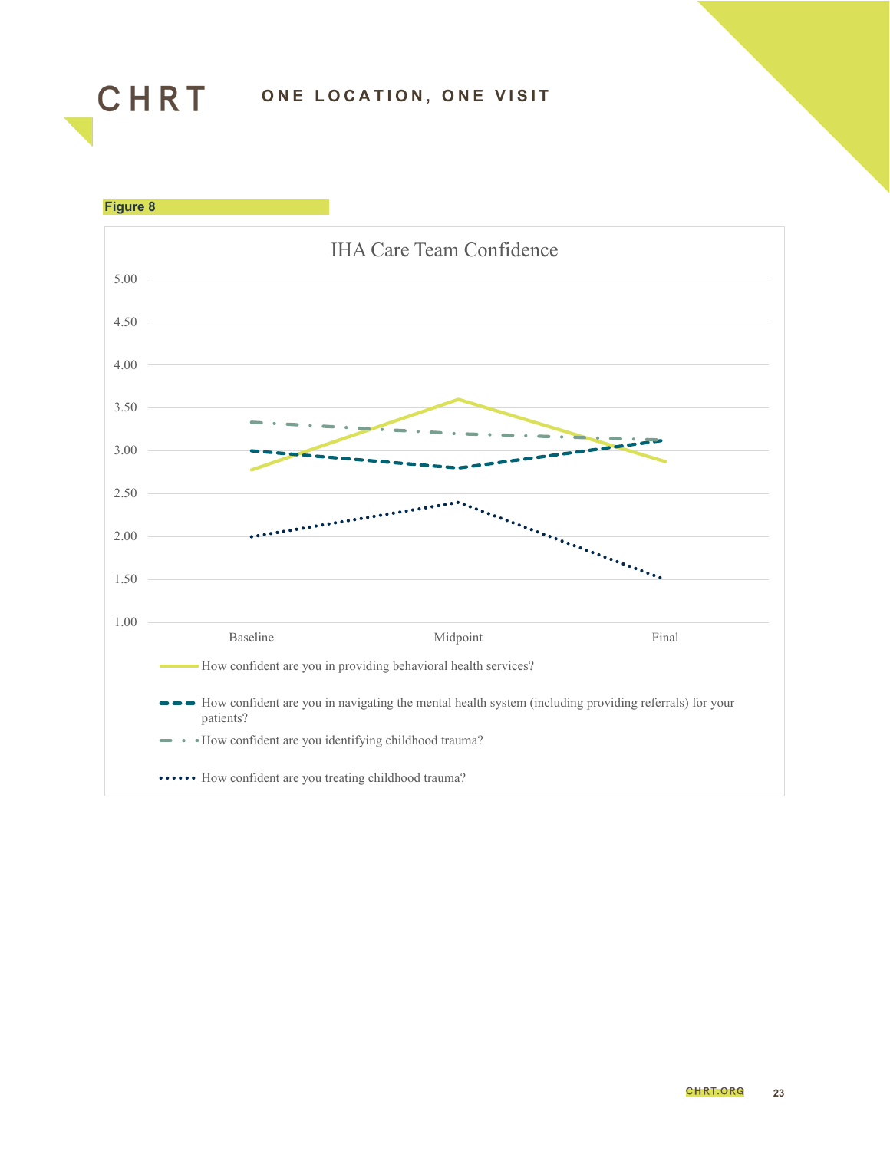

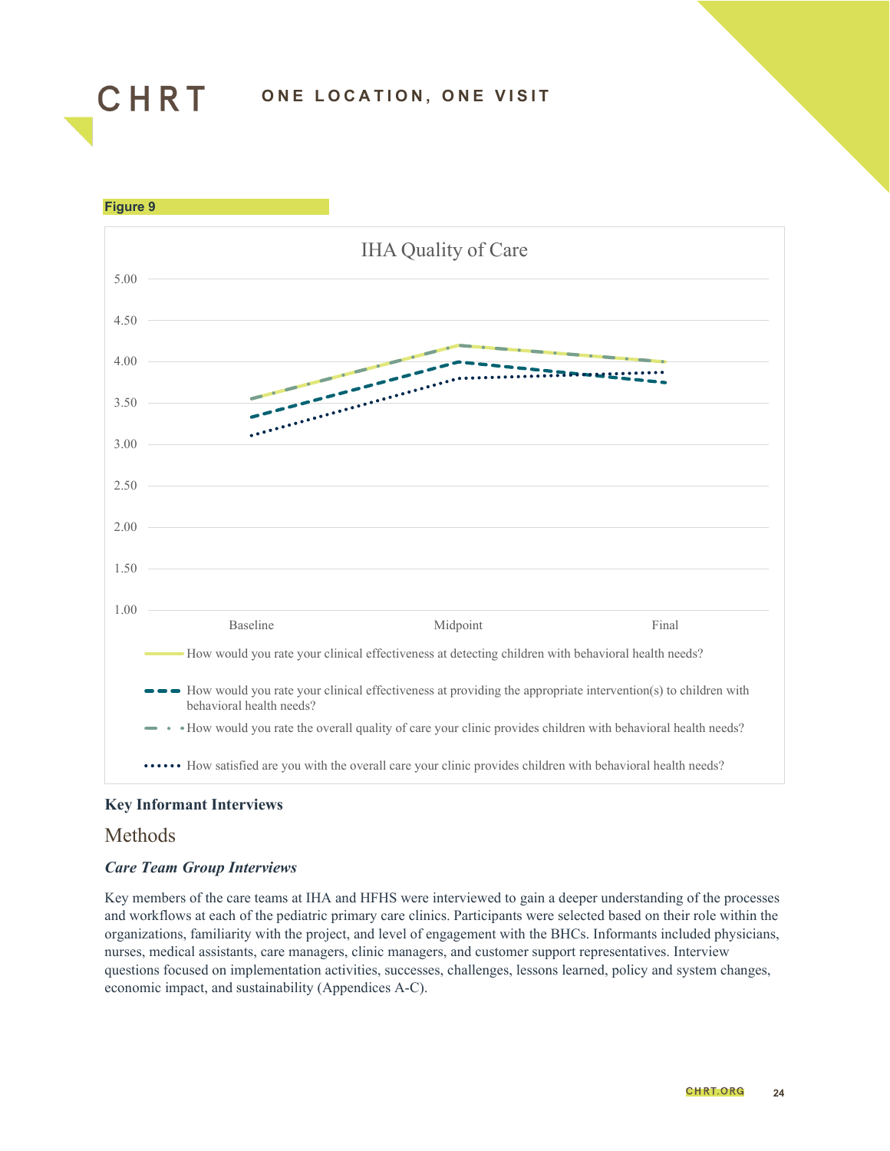



#### **Key Informant Interviews**

#### Methods

#### *Care Team Group Interviews*

Key members of the care teams at IHA and HFHS were interviewed to gain a deeper understanding of the processes and workflows at each of the pediatric primary care clinics. Participants were selected based on their role within the organizations, familiarity with the project, and level of engagement with the BHCs. Informants included physicians, nurses, medical assistants, care managers, clinic managers, and customer support representatives. Interview questions focused on implementation activities, successes, challenges, lessons learned, policy and system changes, economic impact, and sustainability (Appendices A-C).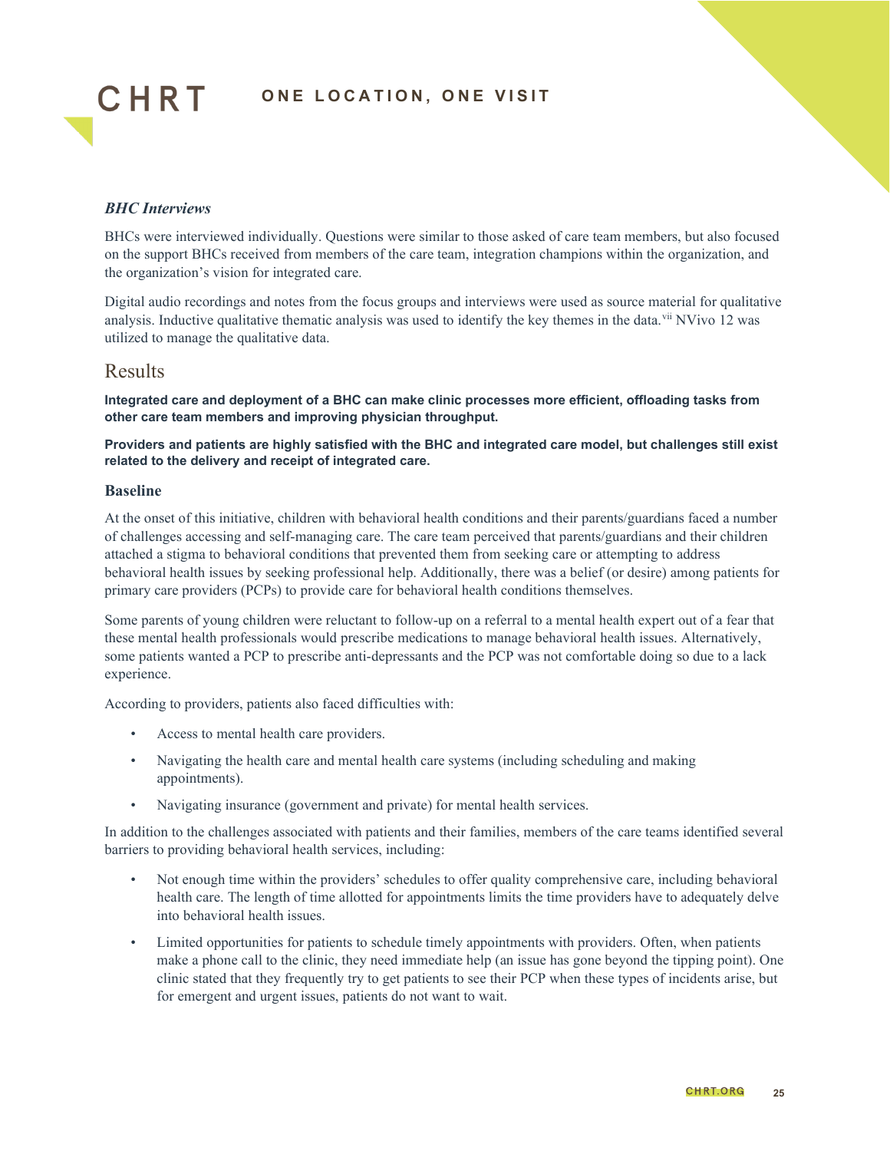

#### *BHC Interviews*

BHCs were interviewed individually. Questions were similar to those asked of care team members, but also focused on the support BHCs received from members of the care team, integration champions within the organization, and the organization's vision for integrated care.

Digital audio recordings and notes from the focus groups and interviews were used as source material for qualitative analysis. Inductive qualitative thematic analysis was used to identify the key themes in the data.<sup>[vii](#page-45-6)</sup> NVivo 12 was utilized to manage the qualitative data.

#### Results

**Integrated care and deployment of a BHC can make clinic processes more efficient, offloading tasks from other care team members and improving physician throughput.**

**Providers and patients are highly satisfied with the BHC and integrated care model, but challenges still exist related to the delivery and receipt of integrated care.**

#### **Baseline**

At the onset of this initiative, children with behavioral health conditions and their parents/guardians faced a number of challenges accessing and self-managing care. The care team perceived that parents/guardians and their children attached a stigma to behavioral conditions that prevented them from seeking care or attempting to address behavioral health issues by seeking professional help. Additionally, there was a belief (or desire) among patients for primary care providers (PCPs) to provide care for behavioral health conditions themselves.

Some parents of young children were reluctant to follow-up on a referral to a mental health expert out of a fear that these mental health professionals would prescribe medications to manage behavioral health issues. Alternatively, some patients wanted a PCP to prescribe anti-depressants and the PCP was not comfortable doing so due to a lack experience.

According to providers, patients also faced difficulties with:

- Access to mental health care providers.
- Navigating the health care and mental health care systems (including scheduling and making appointments).
- Navigating insurance (government and private) for mental health services.

In addition to the challenges associated with patients and their families, members of the care teams identified several barriers to providing behavioral health services, including:

- Not enough time within the providers' schedules to offer quality comprehensive care, including behavioral health care. The length of time allotted for appointments limits the time providers have to adequately delve into behavioral health issues.
- Limited opportunities for patients to schedule timely appointments with providers. Often, when patients make a phone call to the clinic, they need immediate help (an issue has gone beyond the tipping point). One clinic stated that they frequently try to get patients to see their PCP when these types of incidents arise, but for emergent and urgent issues, patients do not want to wait.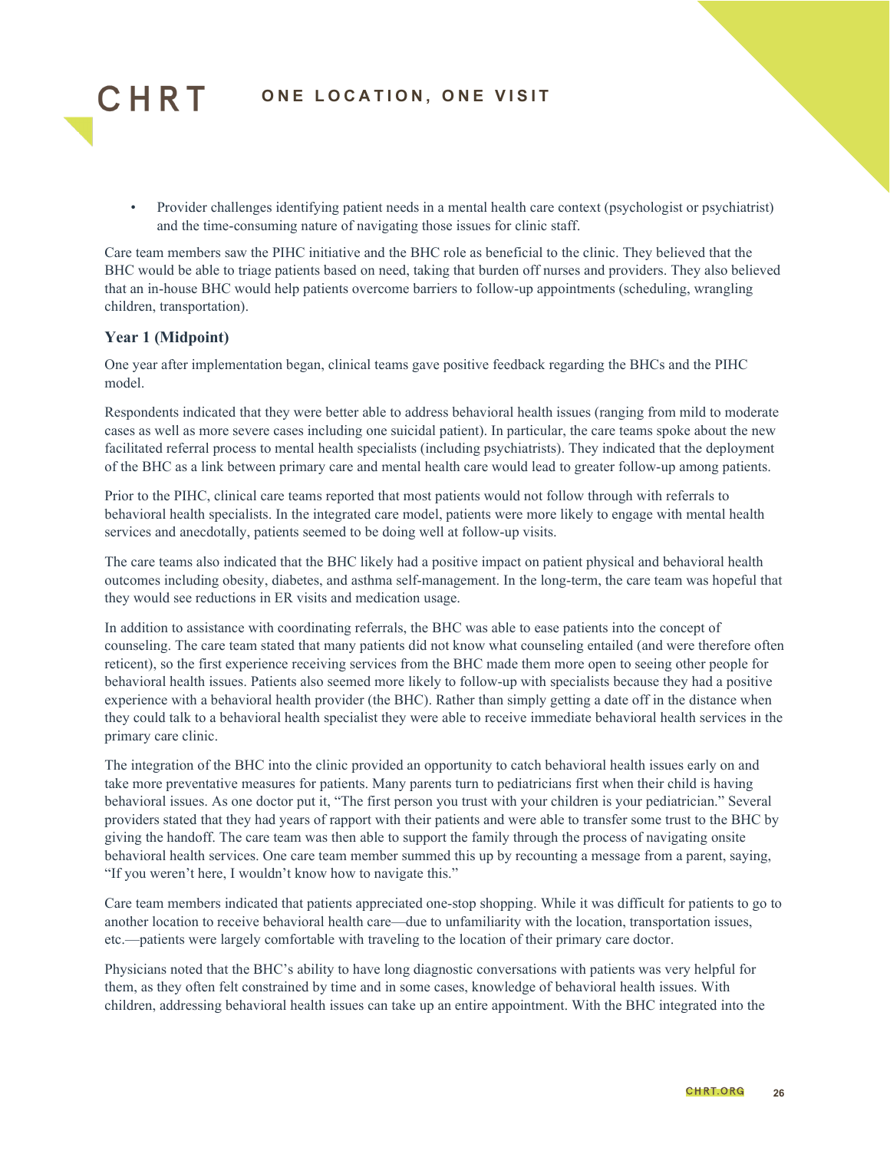

• Provider challenges identifying patient needs in a mental health care context (psychologist or psychiatrist) and the time-consuming nature of navigating those issues for clinic staff.

Care team members saw the PIHC initiative and the BHC role as beneficial to the clinic. They believed that the BHC would be able to triage patients based on need, taking that burden off nurses and providers. They also believed that an in-house BHC would help patients overcome barriers to follow-up appointments (scheduling, wrangling children, transportation).

#### **Year 1 (Midpoint)**

One year after implementation began, clinical teams gave positive feedback regarding the BHCs and the PIHC model.

Respondents indicated that they were better able to address behavioral health issues (ranging from mild to moderate cases as well as more severe cases including one suicidal patient). In particular, the care teams spoke about the new facilitated referral process to mental health specialists (including psychiatrists). They indicated that the deployment of the BHC as a link between primary care and mental health care would lead to greater follow-up among patients.

Prior to the PIHC, clinical care teams reported that most patients would not follow through with referrals to behavioral health specialists. In the integrated care model, patients were more likely to engage with mental health services and anecdotally, patients seemed to be doing well at follow-up visits.

The care teams also indicated that the BHC likely had a positive impact on patient physical and behavioral health outcomes including obesity, diabetes, and asthma self-management. In the long-term, the care team was hopeful that they would see reductions in ER visits and medication usage.

In addition to assistance with coordinating referrals, the BHC was able to ease patients into the concept of counseling. The care team stated that many patients did not know what counseling entailed (and were therefore often reticent), so the first experience receiving services from the BHC made them more open to seeing other people for behavioral health issues. Patients also seemed more likely to follow-up with specialists because they had a positive experience with a behavioral health provider (the BHC). Rather than simply getting a date off in the distance when they could talk to a behavioral health specialist they were able to receive immediate behavioral health services in the primary care clinic.

The integration of the BHC into the clinic provided an opportunity to catch behavioral health issues early on and take more preventative measures for patients. Many parents turn to pediatricians first when their child is having behavioral issues. As one doctor put it, "The first person you trust with your children is your pediatrician." Several providers stated that they had years of rapport with their patients and were able to transfer some trust to the BHC by giving the handoff. The care team was then able to support the family through the process of navigating onsite behavioral health services. One care team member summed this up by recounting a message from a parent, saying, "If you weren't here, I wouldn't know how to navigate this."

Care team members indicated that patients appreciated one-stop shopping. While it was difficult for patients to go to another location to receive behavioral health care—due to unfamiliarity with the location, transportation issues, etc.—patients were largely comfortable with traveling to the location of their primary care doctor.

Physicians noted that the BHC's ability to have long diagnostic conversations with patients was very helpful for them, as they often felt constrained by time and in some cases, knowledge of behavioral health issues. With children, addressing behavioral health issues can take up an entire appointment. With the BHC integrated into the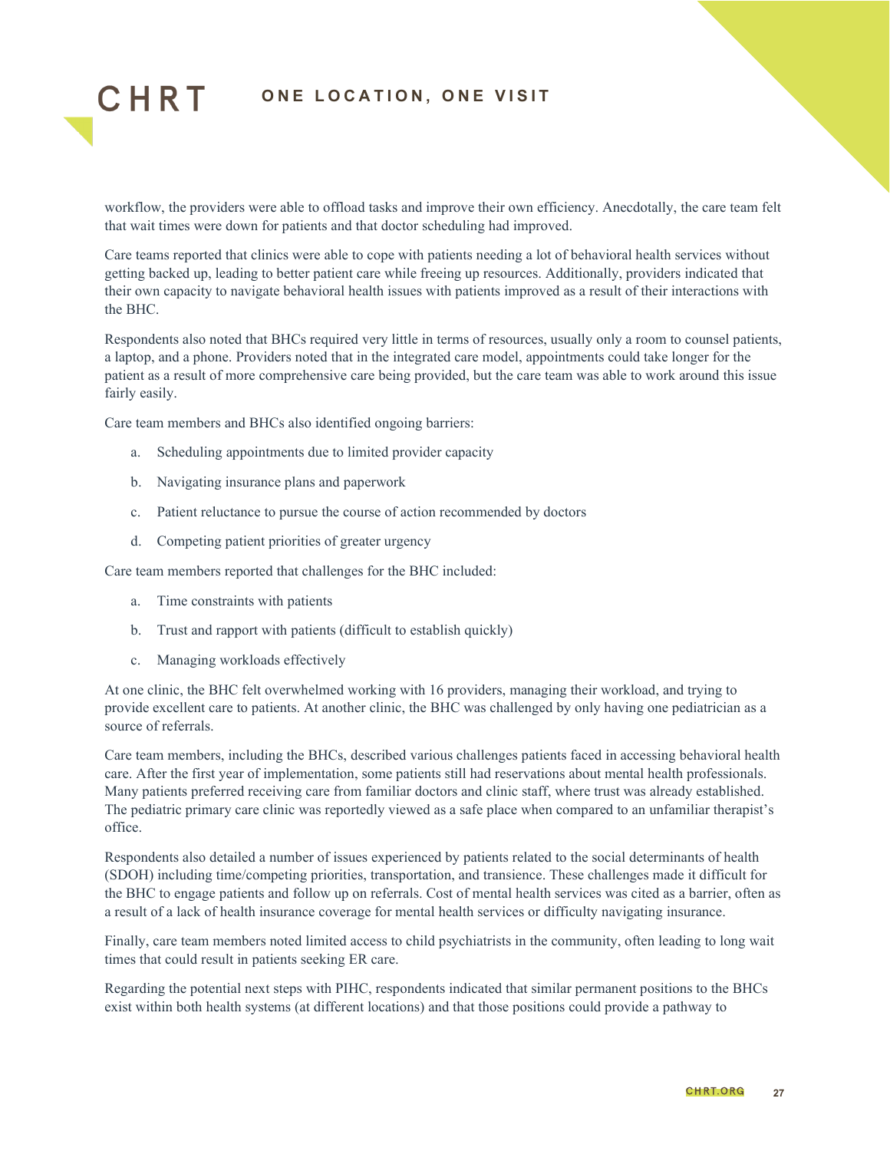

workflow, the providers were able to offload tasks and improve their own efficiency. Anecdotally, the care team felt that wait times were down for patients and that doctor scheduling had improved.

Care teams reported that clinics were able to cope with patients needing a lot of behavioral health services without getting backed up, leading to better patient care while freeing up resources. Additionally, providers indicated that their own capacity to navigate behavioral health issues with patients improved as a result of their interactions with the BHC.

Respondents also noted that BHCs required very little in terms of resources, usually only a room to counsel patients, a laptop, and a phone. Providers noted that in the integrated care model, appointments could take longer for the patient as a result of more comprehensive care being provided, but the care team was able to work around this issue fairly easily.

Care team members and BHCs also identified ongoing barriers:

- a. Scheduling appointments due to limited provider capacity
- b. Navigating insurance plans and paperwork
- c. Patient reluctance to pursue the course of action recommended by doctors
- d. Competing patient priorities of greater urgency

Care team members reported that challenges for the BHC included:

- a. Time constraints with patients
- b. Trust and rapport with patients (difficult to establish quickly)
- c. Managing workloads effectively

At one clinic, the BHC felt overwhelmed working with 16 providers, managing their workload, and trying to provide excellent care to patients. At another clinic, the BHC was challenged by only having one pediatrician as a source of referrals.

Care team members, including the BHCs, described various challenges patients faced in accessing behavioral health care. After the first year of implementation, some patients still had reservations about mental health professionals. Many patients preferred receiving care from familiar doctors and clinic staff, where trust was already established. The pediatric primary care clinic was reportedly viewed as a safe place when compared to an unfamiliar therapist's office.

Respondents also detailed a number of issues experienced by patients related to the social determinants of health (SDOH) including time/competing priorities, transportation, and transience. These challenges made it difficult for the BHC to engage patients and follow up on referrals. Cost of mental health services was cited as a barrier, often as a result of a lack of health insurance coverage for mental health services or difficulty navigating insurance.

Finally, care team members noted limited access to child psychiatrists in the community, often leading to long wait times that could result in patients seeking ER care.

Regarding the potential next steps with PIHC, respondents indicated that similar permanent positions to the BHCs exist within both health systems (at different locations) and that those positions could provide a pathway to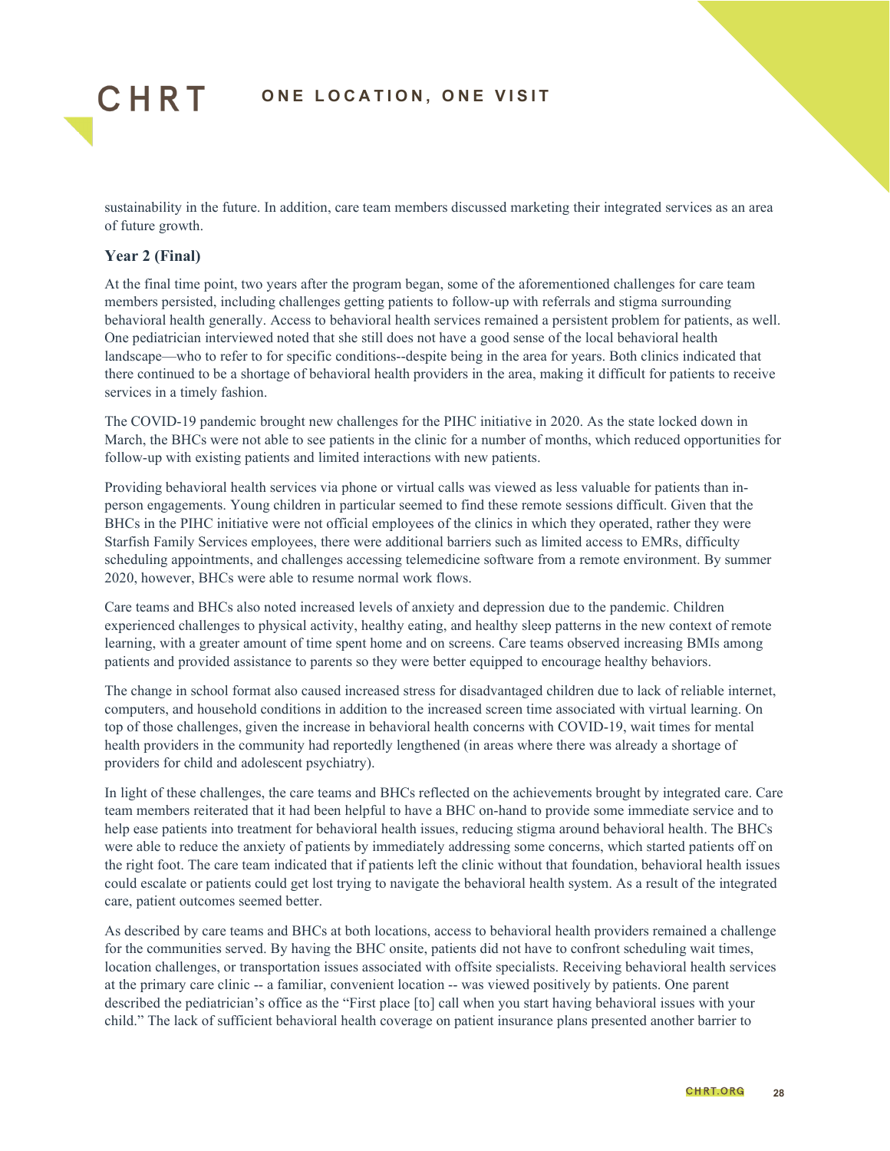

sustainability in the future. In addition, care team members discussed marketing their integrated services as an area of future growth.

#### **Year 2 (Final)**

At the final time point, two years after the program began, some of the aforementioned challenges for care team members persisted, including challenges getting patients to follow-up with referrals and stigma surrounding behavioral health generally. Access to behavioral health services remained a persistent problem for patients, as well. One pediatrician interviewed noted that she still does not have a good sense of the local behavioral health landscape—who to refer to for specific conditions--despite being in the area for years. Both clinics indicated that there continued to be a shortage of behavioral health providers in the area, making it difficult for patients to receive services in a timely fashion.

The COVID-19 pandemic brought new challenges for the PIHC initiative in 2020. As the state locked down in March, the BHCs were not able to see patients in the clinic for a number of months, which reduced opportunities for follow-up with existing patients and limited interactions with new patients.

Providing behavioral health services via phone or virtual calls was viewed as less valuable for patients than inperson engagements. Young children in particular seemed to find these remote sessions difficult. Given that the BHCs in the PIHC initiative were not official employees of the clinics in which they operated, rather they were Starfish Family Services employees, there were additional barriers such as limited access to EMRs, difficulty scheduling appointments, and challenges accessing telemedicine software from a remote environment. By summer 2020, however, BHCs were able to resume normal work flows.

Care teams and BHCs also noted increased levels of anxiety and depression due to the pandemic. Children experienced challenges to physical activity, healthy eating, and healthy sleep patterns in the new context of remote learning, with a greater amount of time spent home and on screens. Care teams observed increasing BMIs among patients and provided assistance to parents so they were better equipped to encourage healthy behaviors.

The change in school format also caused increased stress for disadvantaged children due to lack of reliable internet, computers, and household conditions in addition to the increased screen time associated with virtual learning. On top of those challenges, given the increase in behavioral health concerns with COVID-19, wait times for mental health providers in the community had reportedly lengthened (in areas where there was already a shortage of providers for child and adolescent psychiatry).

In light of these challenges, the care teams and BHCs reflected on the achievements brought by integrated care. Care team members reiterated that it had been helpful to have a BHC on-hand to provide some immediate service and to help ease patients into treatment for behavioral health issues, reducing stigma around behavioral health. The BHCs were able to reduce the anxiety of patients by immediately addressing some concerns, which started patients off on the right foot. The care team indicated that if patients left the clinic without that foundation, behavioral health issues could escalate or patients could get lost trying to navigate the behavioral health system. As a result of the integrated care, patient outcomes seemed better.

As described by care teams and BHCs at both locations, access to behavioral health providers remained a challenge for the communities served. By having the BHC onsite, patients did not have to confront scheduling wait times, location challenges, or transportation issues associated with offsite specialists. Receiving behavioral health services at the primary care clinic -- a familiar, convenient location -- was viewed positively by patients. One parent described the pediatrician's office as the "First place [to] call when you start having behavioral issues with your child." The lack of sufficient behavioral health coverage on patient insurance plans presented another barrier to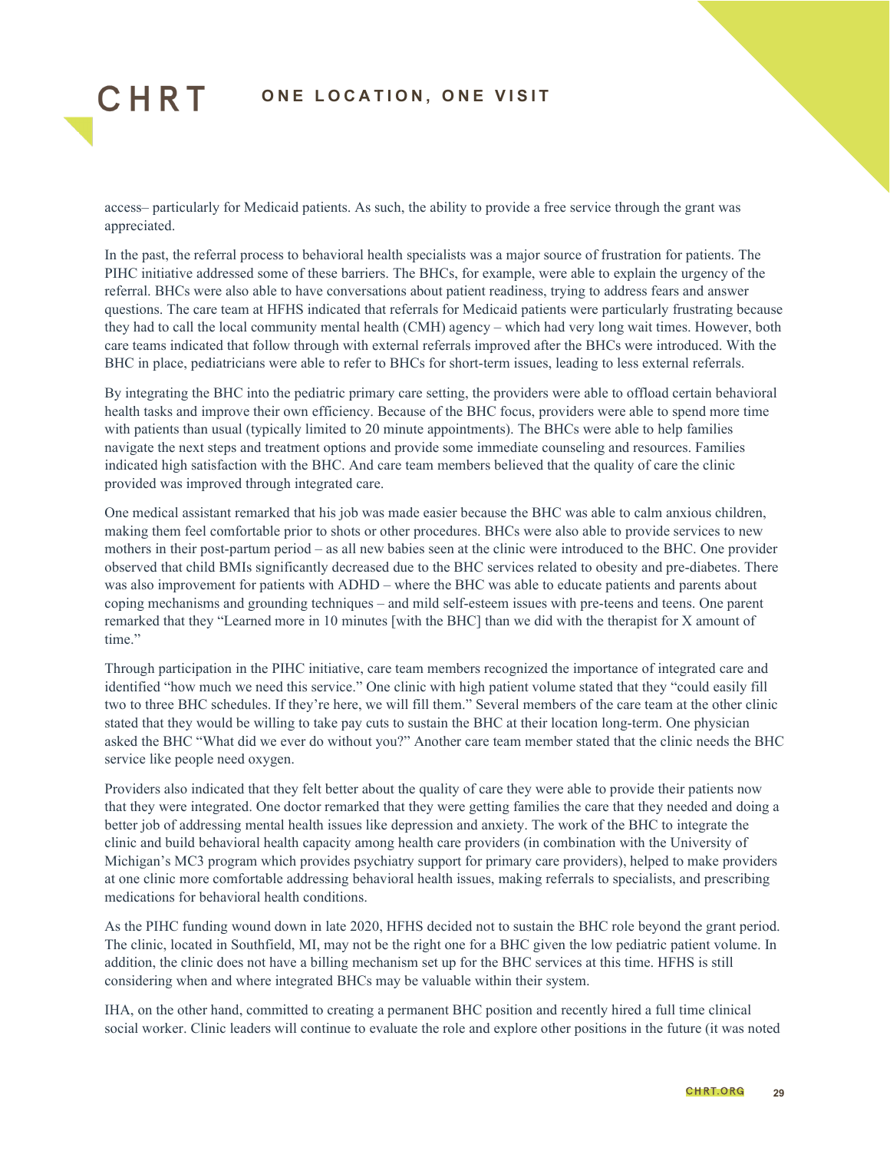

access– particularly for Medicaid patients. As such, the ability to provide a free service through the grant was appreciated.

In the past, the referral process to behavioral health specialists was a major source of frustration for patients. The PIHC initiative addressed some of these barriers. The BHCs, for example, were able to explain the urgency of the referral. BHCs were also able to have conversations about patient readiness, trying to address fears and answer questions. The care team at HFHS indicated that referrals for Medicaid patients were particularly frustrating because they had to call the local community mental health (CMH) agency – which had very long wait times. However, both care teams indicated that follow through with external referrals improved after the BHCs were introduced. With the BHC in place, pediatricians were able to refer to BHCs for short-term issues, leading to less external referrals.

By integrating the BHC into the pediatric primary care setting, the providers were able to offload certain behavioral health tasks and improve their own efficiency. Because of the BHC focus, providers were able to spend more time with patients than usual (typically limited to 20 minute appointments). The BHCs were able to help families navigate the next steps and treatment options and provide some immediate counseling and resources. Families indicated high satisfaction with the BHC. And care team members believed that the quality of care the clinic provided was improved through integrated care.

One medical assistant remarked that his job was made easier because the BHC was able to calm anxious children, making them feel comfortable prior to shots or other procedures. BHCs were also able to provide services to new mothers in their post-partum period – as all new babies seen at the clinic were introduced to the BHC. One provider observed that child BMIs significantly decreased due to the BHC services related to obesity and pre-diabetes. There was also improvement for patients with ADHD – where the BHC was able to educate patients and parents about coping mechanisms and grounding techniques – and mild self-esteem issues with pre-teens and teens. One parent remarked that they "Learned more in 10 minutes [with the BHC] than we did with the therapist for X amount of time."

Through participation in the PIHC initiative, care team members recognized the importance of integrated care and identified "how much we need this service." One clinic with high patient volume stated that they "could easily fill two to three BHC schedules. If they're here, we will fill them." Several members of the care team at the other clinic stated that they would be willing to take pay cuts to sustain the BHC at their location long-term. One physician asked the BHC "What did we ever do without you?" Another care team member stated that the clinic needs the BHC service like people need oxygen.

Providers also indicated that they felt better about the quality of care they were able to provide their patients now that they were integrated. One doctor remarked that they were getting families the care that they needed and doing a better job of addressing mental health issues like depression and anxiety. The work of the BHC to integrate the clinic and build behavioral health capacity among health care providers (in combination with the University of Michigan's MC3 program which provides psychiatry support for primary care providers), helped to make providers at one clinic more comfortable addressing behavioral health issues, making referrals to specialists, and prescribing medications for behavioral health conditions.

As the PIHC funding wound down in late 2020, HFHS decided not to sustain the BHC role beyond the grant period. The clinic, located in Southfield, MI, may not be the right one for a BHC given the low pediatric patient volume. In addition, the clinic does not have a billing mechanism set up for the BHC services at this time. HFHS is still considering when and where integrated BHCs may be valuable within their system.

IHA, on the other hand, committed to creating a permanent BHC position and recently hired a full time clinical social worker. Clinic leaders will continue to evaluate the role and explore other positions in the future (it was noted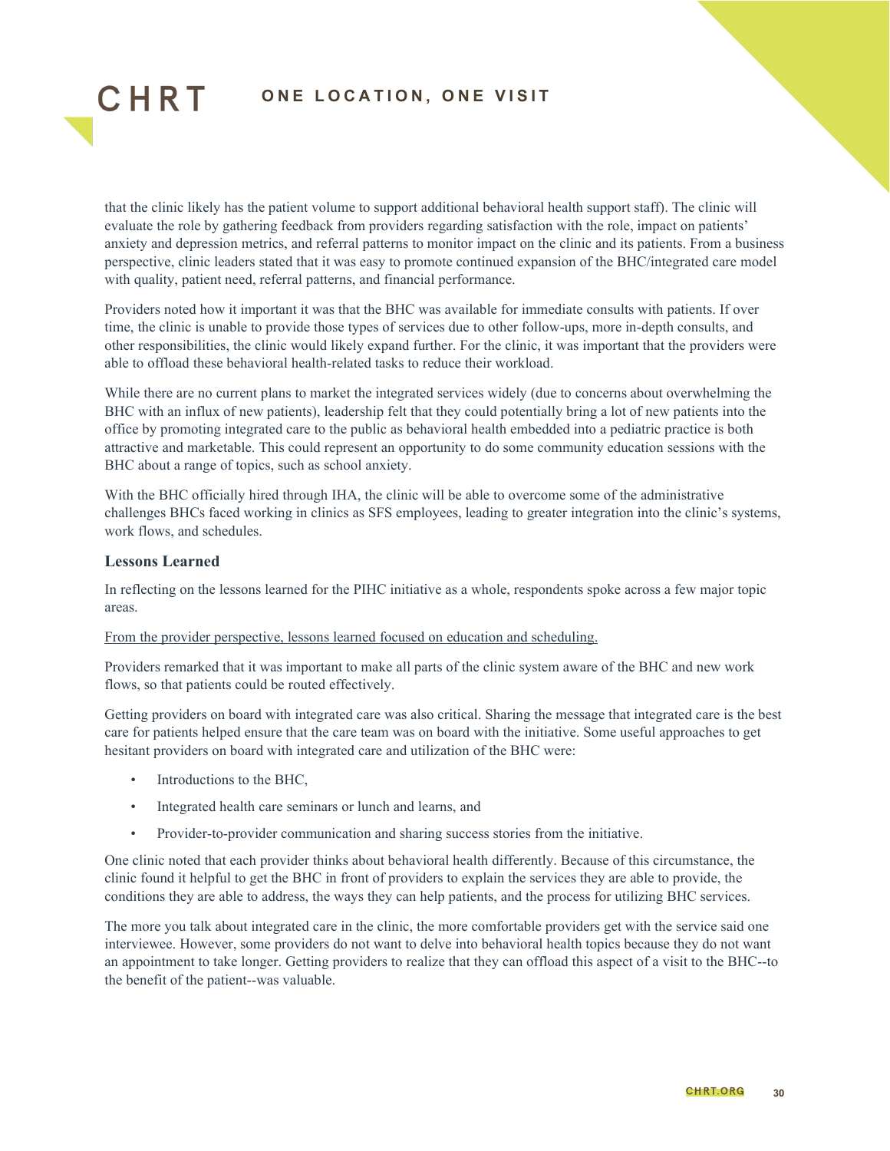

that the clinic likely has the patient volume to support additional behavioral health support staff). The clinic will evaluate the role by gathering feedback from providers regarding satisfaction with the role, impact on patients' anxiety and depression metrics, and referral patterns to monitor impact on the clinic and its patients. From a business perspective, clinic leaders stated that it was easy to promote continued expansion of the BHC/integrated care model with quality, patient need, referral patterns, and financial performance.

Providers noted how it important it was that the BHC was available for immediate consults with patients. If over time, the clinic is unable to provide those types of services due to other follow-ups, more in-depth consults, and other responsibilities, the clinic would likely expand further. For the clinic, it was important that the providers were able to offload these behavioral health-related tasks to reduce their workload.

While there are no current plans to market the integrated services widely (due to concerns about overwhelming the BHC with an influx of new patients), leadership felt that they could potentially bring a lot of new patients into the office by promoting integrated care to the public as behavioral health embedded into a pediatric practice is both attractive and marketable. This could represent an opportunity to do some community education sessions with the BHC about a range of topics, such as school anxiety.

With the BHC officially hired through IHA, the clinic will be able to overcome some of the administrative challenges BHCs faced working in clinics as SFS employees, leading to greater integration into the clinic's systems, work flows, and schedules.

#### **Lessons Learned**

In reflecting on the lessons learned for the PIHC initiative as a whole, respondents spoke across a few major topic areas.

#### From the provider perspective, lessons learned focused on education and scheduling.

Providers remarked that it was important to make all parts of the clinic system aware of the BHC and new work flows, so that patients could be routed effectively.

Getting providers on board with integrated care was also critical. Sharing the message that integrated care is the best care for patients helped ensure that the care team was on board with the initiative. Some useful approaches to get hesitant providers on board with integrated care and utilization of the BHC were:

- Introductions to the BHC.
- Integrated health care seminars or lunch and learns, and
- Provider-to-provider communication and sharing success stories from the initiative.

One clinic noted that each provider thinks about behavioral health differently. Because of this circumstance, the clinic found it helpful to get the BHC in front of providers to explain the services they are able to provide, the conditions they are able to address, the ways they can help patients, and the process for utilizing BHC services.

The more you talk about integrated care in the clinic, the more comfortable providers get with the service said one interviewee. However, some providers do not want to delve into behavioral health topics because they do not want an appointment to take longer. Getting providers to realize that they can offload this aspect of a visit to the BHC--to the benefit of the patient--was valuable.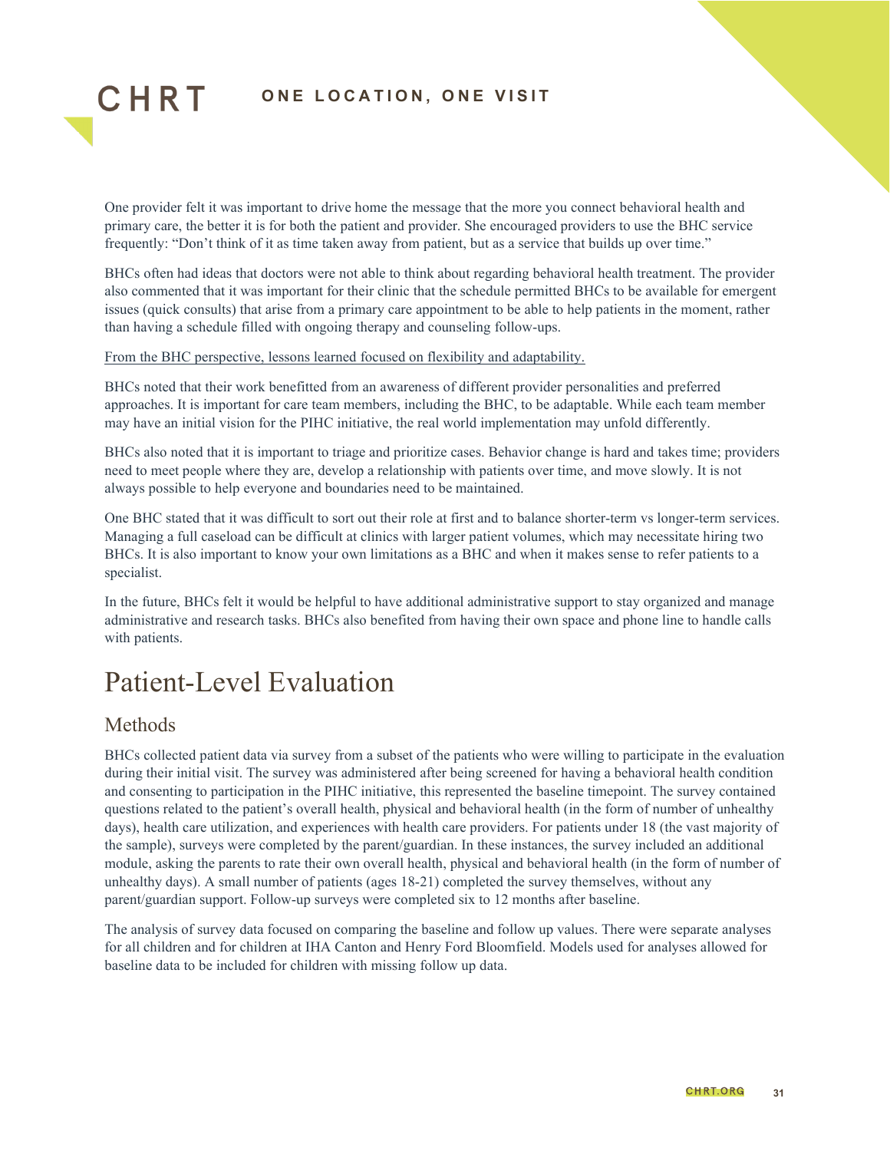One provider felt it was important to drive home the message that the more you connect behavioral health and primary care, the better it is for both the patient and provider. She encouraged providers to use the BHC service frequently: "Don't think of it as time taken away from patient, but as a service that builds up over time."

BHCs often had ideas that doctors were not able to think about regarding behavioral health treatment. The provider also commented that it was important for their clinic that the schedule permitted BHCs to be available for emergent issues (quick consults) that arise from a primary care appointment to be able to help patients in the moment, rather than having a schedule filled with ongoing therapy and counseling follow-ups.

#### From the BHC perspective, lessons learned focused on flexibility and adaptability.

BHCs noted that their work benefitted from an awareness of different provider personalities and preferred approaches. It is important for care team members, including the BHC, to be adaptable. While each team member may have an initial vision for the PIHC initiative, the real world implementation may unfold differently.

BHCs also noted that it is important to triage and prioritize cases. Behavior change is hard and takes time; providers need to meet people where they are, develop a relationship with patients over time, and move slowly. It is not always possible to help everyone and boundaries need to be maintained.

One BHC stated that it was difficult to sort out their role at first and to balance shorter-term vs longer-term services. Managing a full caseload can be difficult at clinics with larger patient volumes, which may necessitate hiring two BHCs. It is also important to know your own limitations as a BHC and when it makes sense to refer patients to a specialist.

In the future, BHCs felt it would be helpful to have additional administrative support to stay organized and manage administrative and research tasks. BHCs also benefited from having their own space and phone line to handle calls with patients.

## <span id="page-30-0"></span>Patient-Level Evaluation

#### Methods

CHRT

BHCs collected patient data via survey from a subset of the patients who were willing to participate in the evaluation during their initial visit. The survey was administered after being screened for having a behavioral health condition and consenting to participation in the PIHC initiative, this represented the baseline timepoint. The survey contained questions related to the patient's overall health, physical and behavioral health (in the form of number of unhealthy days), health care utilization, and experiences with health care providers. For patients under 18 (the vast majority of the sample), surveys were completed by the parent/guardian. In these instances, the survey included an additional module, asking the parents to rate their own overall health, physical and behavioral health (in the form of number of unhealthy days). A small number of patients (ages 18-21) completed the survey themselves, without any parent/guardian support. Follow-up surveys were completed six to 12 months after baseline.

The analysis of survey data focused on comparing the baseline and follow up values. There were separate analyses for all children and for children at IHA Canton and Henry Ford Bloomfield. Models used for analyses allowed for baseline data to be included for children with missing follow up data.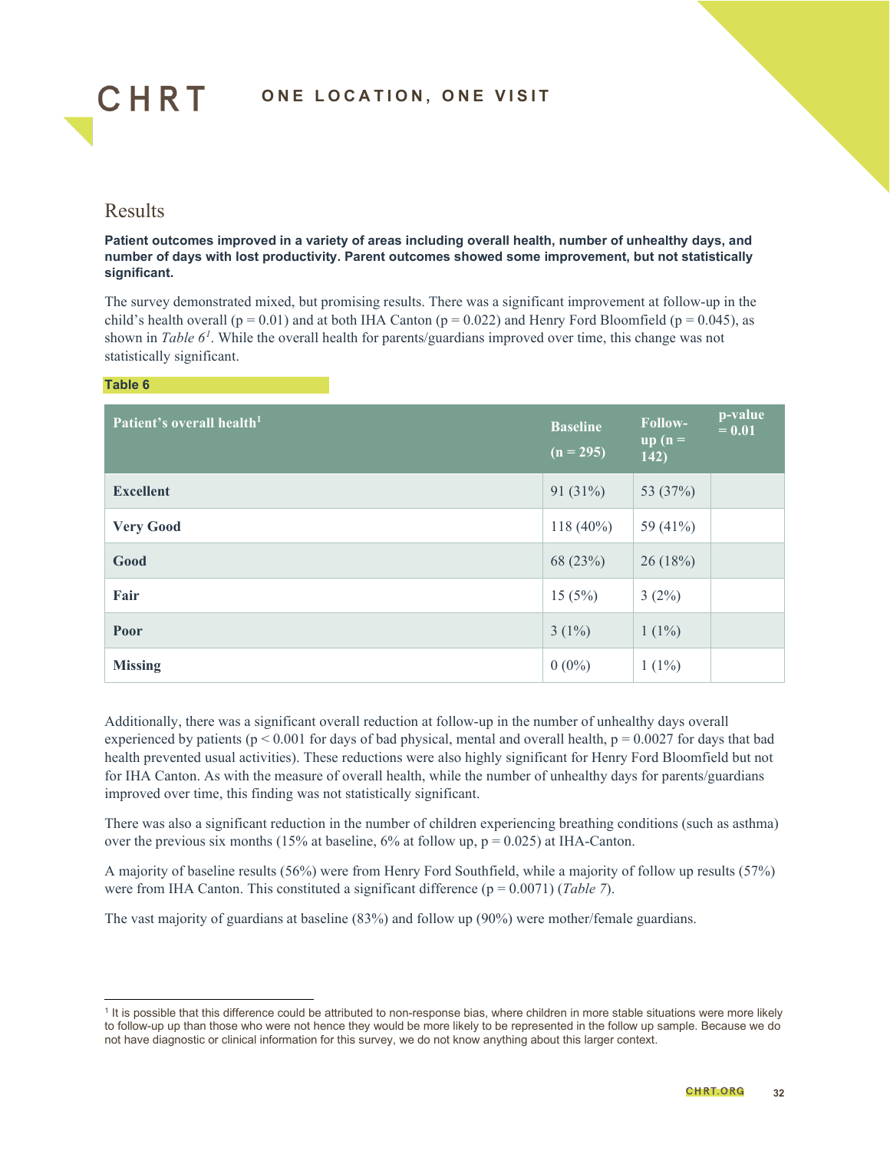

#### Results

#### **Patient outcomes improved in a variety of areas including overall health, number of unhealthy days, and number of days with lost productivity. Parent outcomes showed some improvement, but not statistically significant.**

The survey demonstrated mixed, but promising results. There was a significant improvement at follow-up in the child's health overall ( $p = 0.01$ ) and at both IHA Canton ( $p = 0.022$ ) and Henry Ford Bloomfield ( $p = 0.045$ ), as shown in *Table 6<sup>[1](#page-31-0)</sup>*. While the overall health for parents/guardians improved over time, this change was not statistically significant.

#### **Table 6**

| Patient's overall health <sup>1</sup> | <b>Baseline</b><br>$(n = 295)$ | Follow-<br>$\overline{\mathbf{u}}\mathbf{p}$ ( $\mathbf{n} =$<br>142) | p-value<br>$= 0.01$ |
|---------------------------------------|--------------------------------|-----------------------------------------------------------------------|---------------------|
| <b>Excellent</b>                      | 91 $(31\%)$                    | 53 (37%)                                                              |                     |
| <b>Very Good</b>                      | $118(40\%)$                    | 59 (41%)                                                              |                     |
| Good                                  | 68 (23%)                       | 26(18%)                                                               |                     |
| Fair                                  | 15(5%)                         | $3(2\%)$                                                              |                     |
| Poor                                  | $3(1\%)$                       | $1(1\%)$                                                              |                     |
| <b>Missing</b>                        | $0(0\%)$                       | $1(1\%)$                                                              |                     |

Additionally, there was a significant overall reduction at follow-up in the number of unhealthy days overall experienced by patients ( $p < 0.001$  for days of bad physical, mental and overall health,  $p = 0.0027$  for days that bad health prevented usual activities). These reductions were also highly significant for Henry Ford Bloomfield but not for IHA Canton. As with the measure of overall health, while the number of unhealthy days for parents/guardians improved over time, this finding was not statistically significant.

There was also a significant reduction in the number of children experiencing breathing conditions (such as asthma) over the previous six months (15% at baseline, 6% at follow up,  $p = 0.025$ ) at IHA-Canton.

A majority of baseline results (56%) were from Henry Ford Southfield, while a majority of follow up results (57%) were from IHA Canton. This constituted a significant difference ( $p = 0.0071$ ) (*Table 7*).

The vast majority of guardians at baseline (83%) and follow up (90%) were mother/female guardians.

<span id="page-31-0"></span> $1$  It is possible that this difference could be attributed to non-response bias, where children in more stable situations were more likely to follow-up up than those who were not hence they would be more likely to be represented in the follow up sample. Because we do not have diagnostic or clinical information for this survey, we do not know anything about this larger context.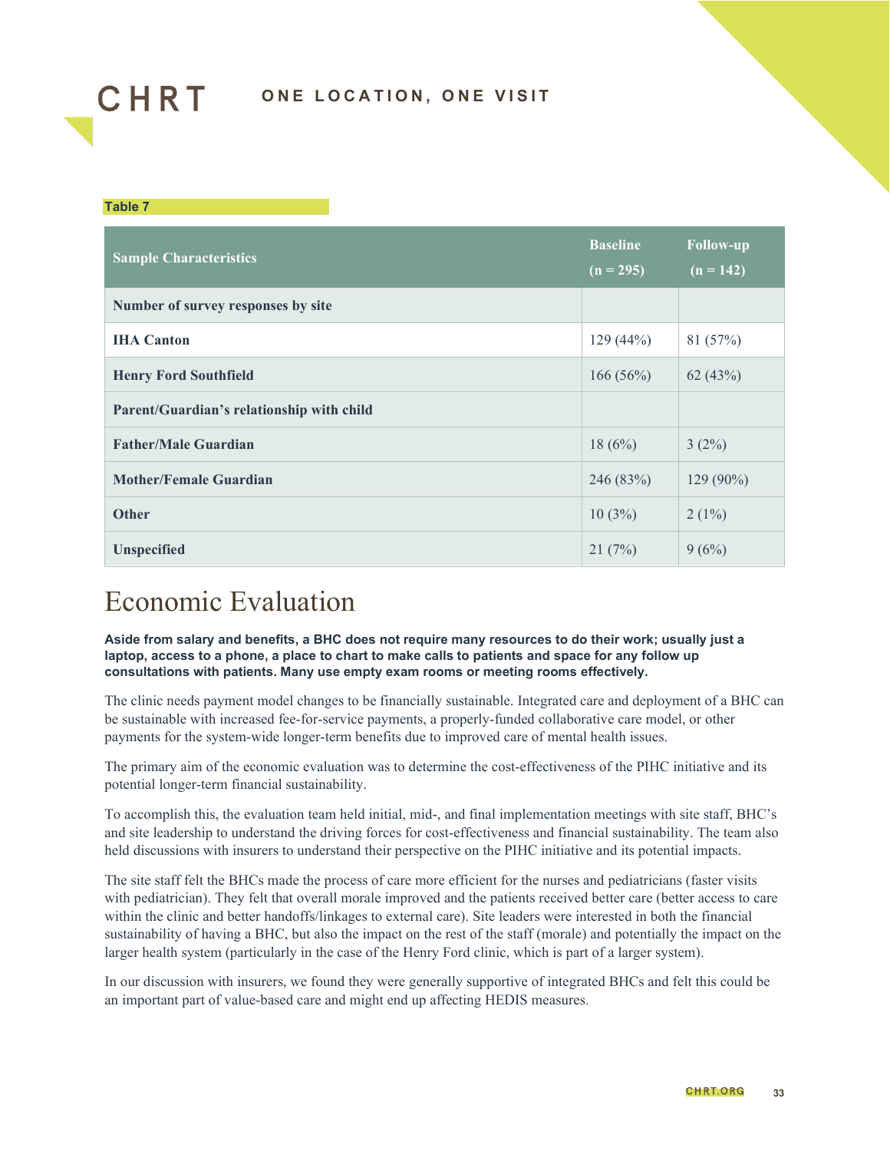

#### **Table 7**

| <b>Sample Characteristics</b>             | <b>Baseline</b><br>$(n = 295)$ | <b>Follow-up</b><br>$(n = 142)$ |
|-------------------------------------------|--------------------------------|---------------------------------|
| Number of survey responses by site        |                                |                                 |
| <b>IHA</b> Canton                         | 129(44%)                       | 81 (57%)                        |
| <b>Henry Ford Southfield</b>              | 166(56%)                       | 62(43%)                         |
| Parent/Guardian's relationship with child |                                |                                 |
| <b>Father/Male Guardian</b>               | 18(6%)                         | $3(2\%)$                        |
| <b>Mother/Female Guardian</b>             | 246 (83%)                      | $129(90\%)$                     |
| <b>Other</b>                              | 10(3%)                         | $2(1\%)$                        |
| <b>Unspecified</b>                        | 21(7%)                         | 9(6%)                           |

## <span id="page-32-0"></span>Economic Evaluation

**Aside from salary and benefits, a BHC does not require many resources to do their work; usually just a laptop, access to a phone, a place to chart to make calls to patients and space for any follow up consultations with patients. Many use empty exam rooms or meeting rooms effectively.**

The clinic needs payment model changes to be financially sustainable. Integrated care and deployment of a BHC can be sustainable with increased fee-for-service payments, a properly-funded collaborative care model, or other payments for the system-wide longer-term benefits due to improved care of mental health issues.

The primary aim of the economic evaluation was to determine the cost-effectiveness of the PIHC initiative and its potential longer-term financial sustainability.

To accomplish this, the evaluation team held initial, mid-, and final implementation meetings with site staff, BHC's and site leadership to understand the driving forces for cost-effectiveness and financial sustainability. The team also held discussions with insurers to understand their perspective on the PIHC initiative and its potential impacts.

The site staff felt the BHCs made the process of care more efficient for the nurses and pediatricians (faster visits with pediatrician). They felt that overall morale improved and the patients received better care (better access to care within the clinic and better handoffs/linkages to external care). Site leaders were interested in both the financial sustainability of having a BHC, but also the impact on the rest of the staff (morale) and potentially the impact on the larger health system (particularly in the case of the Henry Ford clinic, which is part of a larger system).

In our discussion with insurers, we found they were generally supportive of integrated BHCs and felt this could be an important part of value-based care and might end up affecting HEDIS measures.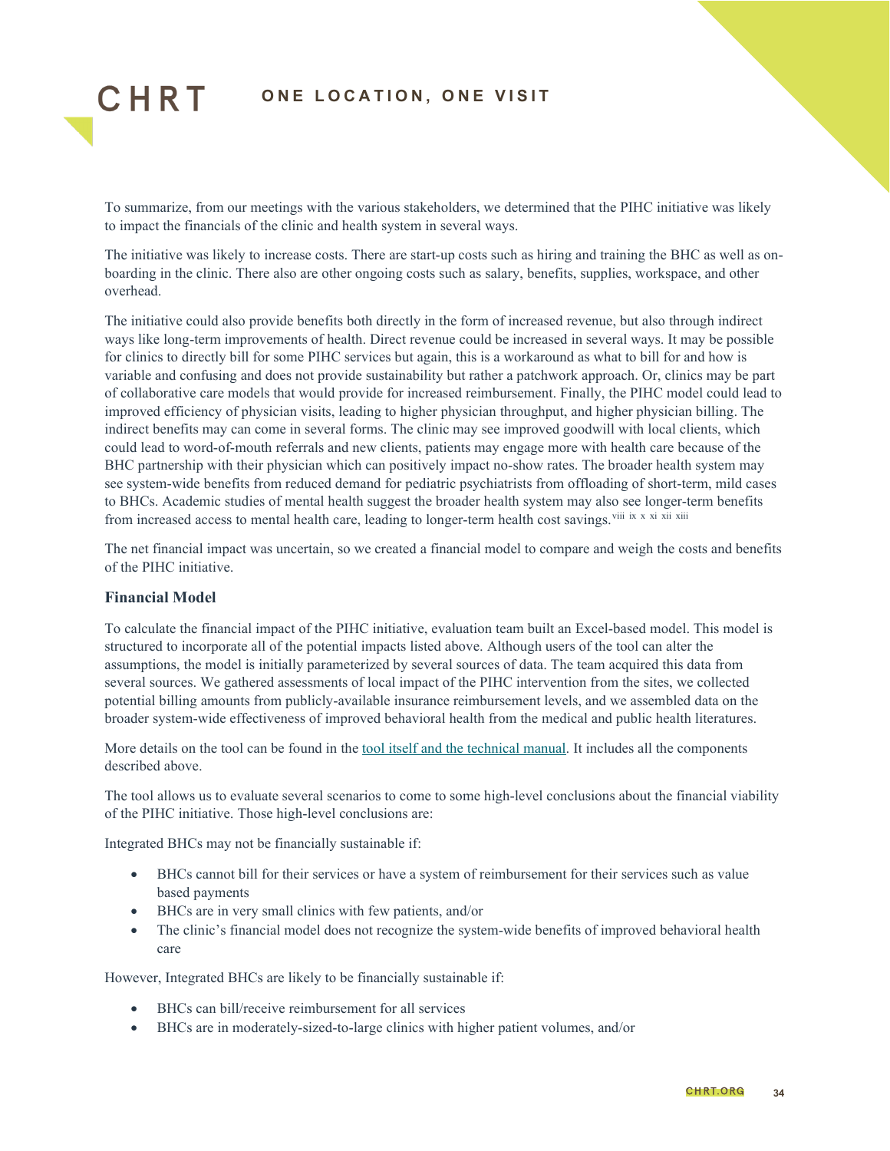

To summarize, from our meetings with the various stakeholders, we determined that the PIHC initiative was likely to impact the financials of the clinic and health system in several ways.

The initiative was likely to increase costs. There are start-up costs such as hiring and training the BHC as well as onboarding in the clinic. There also are other ongoing costs such as salary, benefits, supplies, workspace, and other overhead.

The initiative could also provide benefits both directly in the form of increased revenue, but also through indirect ways like long-term improvements of health. Direct revenue could be increased in several ways. It may be possible for clinics to directly bill for some PIHC services but again, this is a workaround as what to bill for and how is variable and confusing and does not provide sustainability but rather a patchwork approach. Or, clinics may be part of collaborative care models that would provide for increased reimbursement. Finally, the PIHC model could lead to improved efficiency of physician visits, leading to higher physician throughput, and higher physician billing. The indirect benefits may can come in several forms. The clinic may see improved goodwill with local clients, which could lead to word-of-mouth referrals and new clients, patients may engage more with health care because of the BHC partnership with their physician which can positively impact no-show rates. The broader health system may see system-wide benefits from reduced demand for pediatric psychiatrists from offloading of short-term, mild cases to BHCs. Academic studies of mental health suggest the broader health system may also see longer-term benefits from increased access to mental health care, leading to longer-term health cost savings. Viii [ix](#page-45-8) [x](#page-45-9) [xi](#page-45-10) [xii](#page-45-11) [xiii](#page-45-12)

The net financial impact was uncertain, so we created a financial model to compare and weigh the costs and benefits of the PIHC initiative.

#### **Financial Model**

To calculate the financial impact of the PIHC initiative, evaluation team built an Excel-based model. This model is structured to incorporate all of the potential impacts listed above. Although users of the tool can alter the assumptions, the model is initially parameterized by several sources of data. The team acquired this data from several sources. We gathered assessments of local impact of the PIHC intervention from the sites, we collected potential billing amounts from publicly-available insurance reimbursement levels, and we assembled data on the broader system-wide effectiveness of improved behavioral health from the medical and public health literatures.

More details on the tool can be found in the tool itself [and the technical manual.](https://drive.google.com/drive/folders/12YGSFCYAgoQUPeEVRwjKSxpXxS32VPJE?usp=sharing) It includes all the components described above.

The tool allows us to evaluate several scenarios to come to some high-level conclusions about the financial viability of the PIHC initiative. Those high-level conclusions are:

Integrated BHCs may not be financially sustainable if:

- BHCs cannot bill for their services or have a system of reimbursement for their services such as value based payments
- BHCs are in very small clinics with few patients, and/or
- The clinic's financial model does not recognize the system-wide benefits of improved behavioral health care

However, Integrated BHCs are likely to be financially sustainable if:

- BHCs can bill/receive reimbursement for all services
- BHCs are in moderately-sized-to-large clinics with higher patient volumes, and/or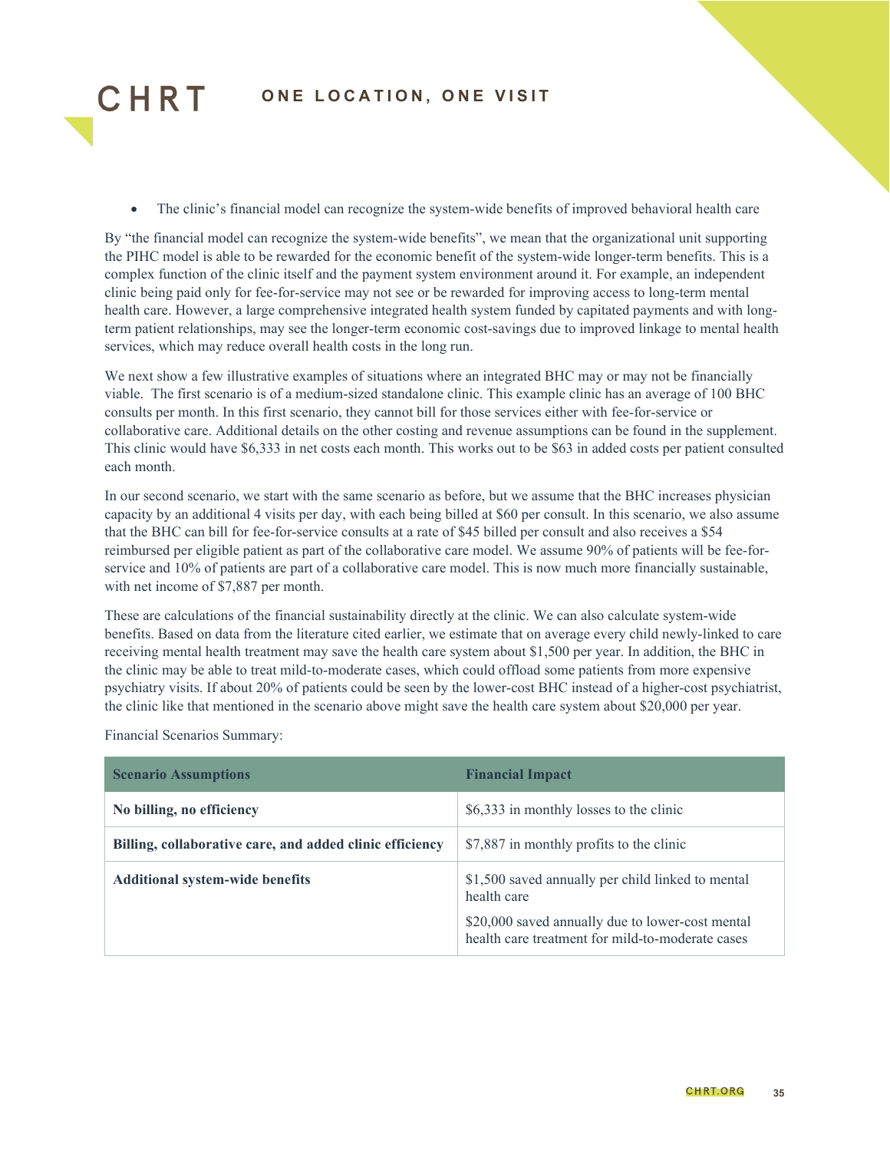

• The clinic's financial model can recognize the system-wide benefits of improved behavioral health care

By "the financial model can recognize the system-wide benefits", we mean that the organizational unit supporting the PIHC model is able to be rewarded for the economic benefit of the system-wide longer-term benefits. This is a complex function of the clinic itself and the payment system environment around it. For example, an independent clinic being paid only for fee-for-service may not see or be rewarded for improving access to long-term mental health care. However, a large comprehensive integrated health system funded by capitated payments and with longterm patient relationships, may see the longer-term economic cost-savings due to improved linkage to mental health services, which may reduce overall health costs in the long run.

We next show a few illustrative examples of situations where an integrated BHC may or may not be financially viable. The first scenario is of a medium-sized standalone clinic. This example clinic has an average of 100 BHC consults per month. In this first scenario, they cannot bill for those services either with fee-for-service or collaborative care. Additional details on the other costing and revenue assumptions can be found in the supplement. This clinic would have \$6,333 in net costs each month. This works out to be \$63 in added costs per patient consulted each month.

In our second scenario, we start with the same scenario as before, but we assume that the BHC increases physician capacity by an additional 4 visits per day, with each being billed at \$60 per consult. In this scenario, we also assume that the BHC can bill for fee-for-service consults at a rate of \$45 billed per consult and also receives a \$54 reimbursed per eligible patient as part of the collaborative care model. We assume 90% of patients will be fee-forservice and 10% of patients are part of a collaborative care model. This is now much more financially sustainable, with net income of \$7,887 per month.

These are calculations of the financial sustainability directly at the clinic. We can also calculate system-wide benefits. Based on data from the literature cited earlier, we estimate that on average every child newly-linked to care receiving mental health treatment may save the health care system about \$1,500 per year. In addition, the BHC in the clinic may be able to treat mild-to-moderate cases, which could offload some patients from more expensive psychiatry visits. If about 20% of patients could be seen by the lower-cost BHC instead of a higher-cost psychiatrist, the clinic like that mentioned in the scenario above might save the health care system about \$20,000 per year.

Financial Scenarios Summary:

| <b>Scenario Assumptions</b>                              | <b>Financial Impact</b>                                                                              |
|----------------------------------------------------------|------------------------------------------------------------------------------------------------------|
| No billing, no efficiency                                | \$6,333 in monthly losses to the clinic                                                              |
| Billing, collaborative care, and added clinic efficiency | \$7,887 in monthly profits to the clinic                                                             |
| <b>Additional system-wide benefits</b>                   | \$1,500 saved annually per child linked to mental<br>health care                                     |
|                                                          | \$20,000 saved annually due to lower-cost mental<br>health care treatment for mild-to-moderate cases |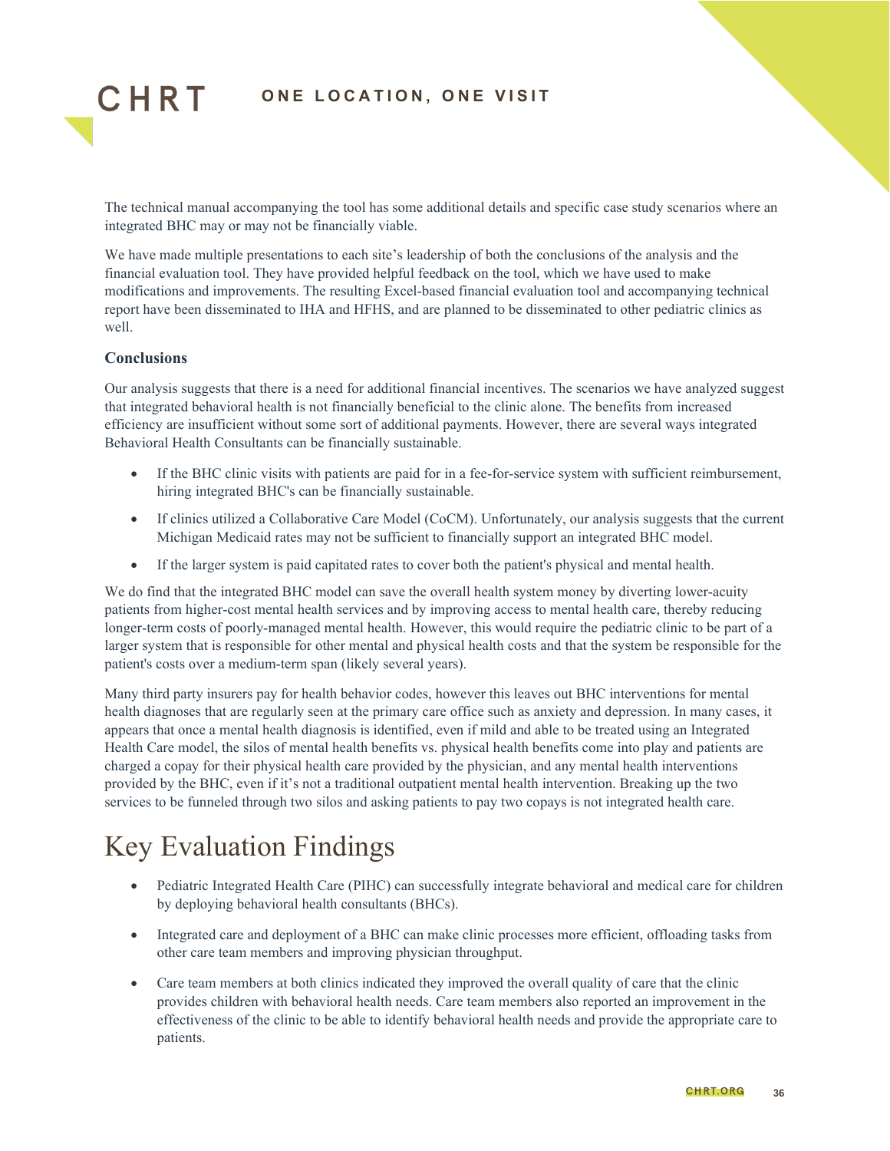

The technical manual accompanying the tool has some additional details and specific case study scenarios where an integrated BHC may or may not be financially viable.

We have made multiple presentations to each site's leadership of both the conclusions of the analysis and the financial evaluation tool. They have provided helpful feedback on the tool, which we have used to make modifications and improvements. The resulting Excel-based financial evaluation tool and accompanying technical report have been disseminated to IHA and HFHS, and are planned to be disseminated to other pediatric clinics as well.

#### **Conclusions**

Our analysis suggests that there is a need for additional financial incentives. The scenarios we have analyzed suggest that integrated behavioral health is not financially beneficial to the clinic alone. The benefits from increased efficiency are insufficient without some sort of additional payments. However, there are several ways integrated Behavioral Health Consultants can be financially sustainable.

- If the BHC clinic visits with patients are paid for in a fee-for-service system with sufficient reimbursement, hiring integrated BHC's can be financially sustainable.
- If clinics utilized a Collaborative Care Model (CoCM). Unfortunately, our analysis suggests that the current Michigan Medicaid rates may not be sufficient to financially support an integrated BHC model.
- If the larger system is paid capitated rates to cover both the patient's physical and mental health.

We do find that the integrated BHC model can save the overall health system money by diverting lower-acuity patients from higher-cost mental health services and by improving access to mental health care, thereby reducing longer-term costs of poorly-managed mental health. However, this would require the pediatric clinic to be part of a larger system that is responsible for other mental and physical health costs and that the system be responsible for the patient's costs over a medium-term span (likely several years).

Many third party insurers pay for health behavior codes, however this leaves out BHC interventions for mental health diagnoses that are regularly seen at the primary care office such as anxiety and depression. In many cases, it appears that once a mental health diagnosis is identified, even if mild and able to be treated using an Integrated Health Care model, the silos of mental health benefits vs. physical health benefits come into play and patients are charged a copay for their physical health care provided by the physician, and any mental health interventions provided by the BHC, even if it's not a traditional outpatient mental health intervention. Breaking up the two services to be funneled through two silos and asking patients to pay two copays is not integrated health care.

## <span id="page-35-0"></span>Key Evaluation Findings

- Pediatric Integrated Health Care (PIHC) can successfully integrate behavioral and medical care for children by deploying behavioral health consultants (BHCs).
- Integrated care and deployment of a BHC can make clinic processes more efficient, offloading tasks from other care team members and improving physician throughput.
- Care team members at both clinics indicated they improved the overall quality of care that the clinic provides children with behavioral health needs. Care team members also reported an improvement in the effectiveness of the clinic to be able to identify behavioral health needs and provide the appropriate care to patients.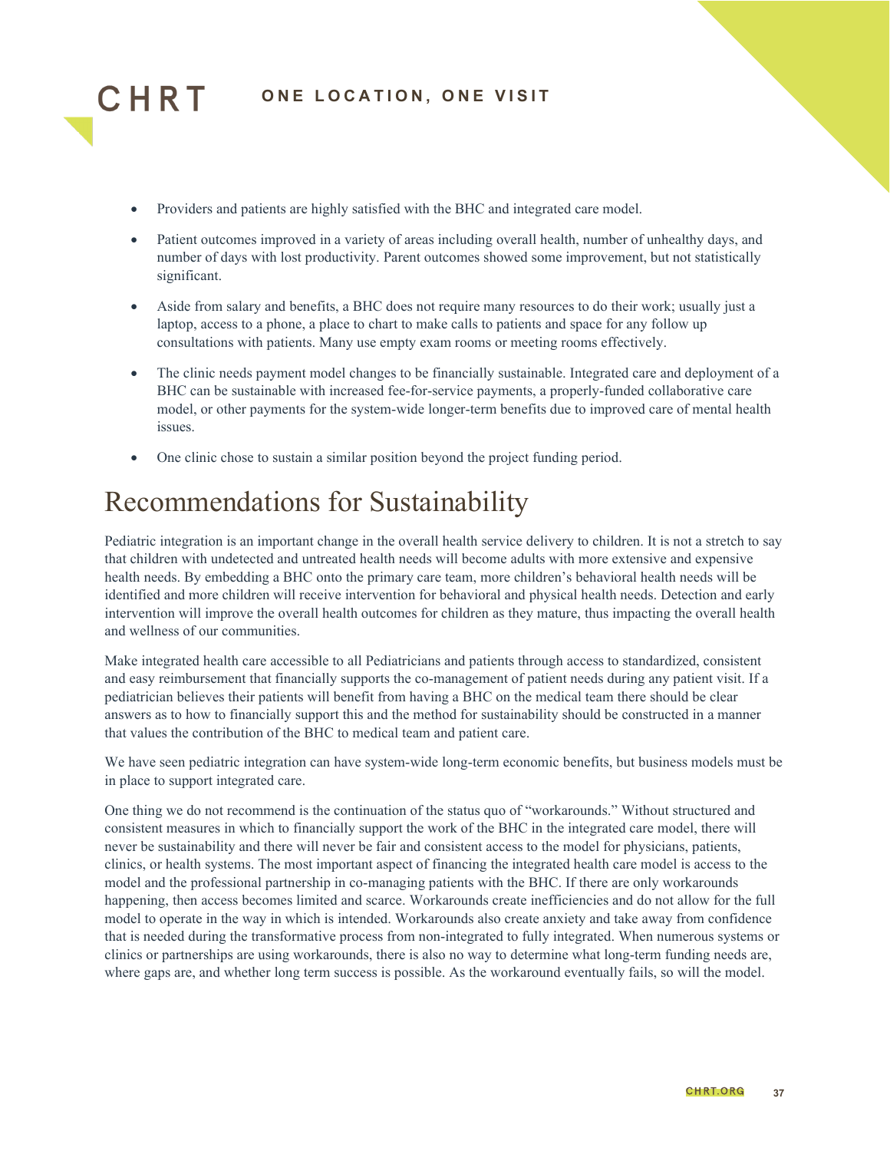

- Providers and patients are highly satisfied with the BHC and integrated care model.
- Patient outcomes improved in a variety of areas including overall health, number of unhealthy days, and number of days with lost productivity. Parent outcomes showed some improvement, but not statistically significant.
- Aside from salary and benefits, a BHC does not require many resources to do their work; usually just a laptop, access to a phone, a place to chart to make calls to patients and space for any follow up consultations with patients. Many use empty exam rooms or meeting rooms effectively.
- The clinic needs payment model changes to be financially sustainable. Integrated care and deployment of a BHC can be sustainable with increased fee-for-service payments, a properly-funded collaborative care model, or other payments for the system-wide longer-term benefits due to improved care of mental health issues.
- One clinic chose to sustain a similar position beyond the project funding period.

## <span id="page-36-0"></span>Recommendations for Sustainability

Pediatric integration is an important change in the overall health service delivery to children. It is not a stretch to say that children with undetected and untreated health needs will become adults with more extensive and expensive health needs. By embedding a BHC onto the primary care team, more children's behavioral health needs will be identified and more children will receive intervention for behavioral and physical health needs. Detection and early intervention will improve the overall health outcomes for children as they mature, thus impacting the overall health and wellness of our communities.

Make integrated health care accessible to all Pediatricians and patients through access to standardized, consistent and easy reimbursement that financially supports the co-management of patient needs during any patient visit. If a pediatrician believes their patients will benefit from having a BHC on the medical team there should be clear answers as to how to financially support this and the method for sustainability should be constructed in a manner that values the contribution of the BHC to medical team and patient care.

We have seen pediatric integration can have system-wide long-term economic benefits, but business models must be in place to support integrated care.

One thing we do not recommend is the continuation of the status quo of "workarounds." Without structured and consistent measures in which to financially support the work of the BHC in the integrated care model, there will never be sustainability and there will never be fair and consistent access to the model for physicians, patients, clinics, or health systems. The most important aspect of financing the integrated health care model is access to the model and the professional partnership in co-managing patients with the BHC. If there are only workarounds happening, then access becomes limited and scarce. Workarounds create inefficiencies and do not allow for the full model to operate in the way in which is intended. Workarounds also create anxiety and take away from confidence that is needed during the transformative process from non-integrated to fully integrated. When numerous systems or clinics or partnerships are using workarounds, there is also no way to determine what long-term funding needs are, where gaps are, and whether long term success is possible. As the workaround eventually fails, so will the model.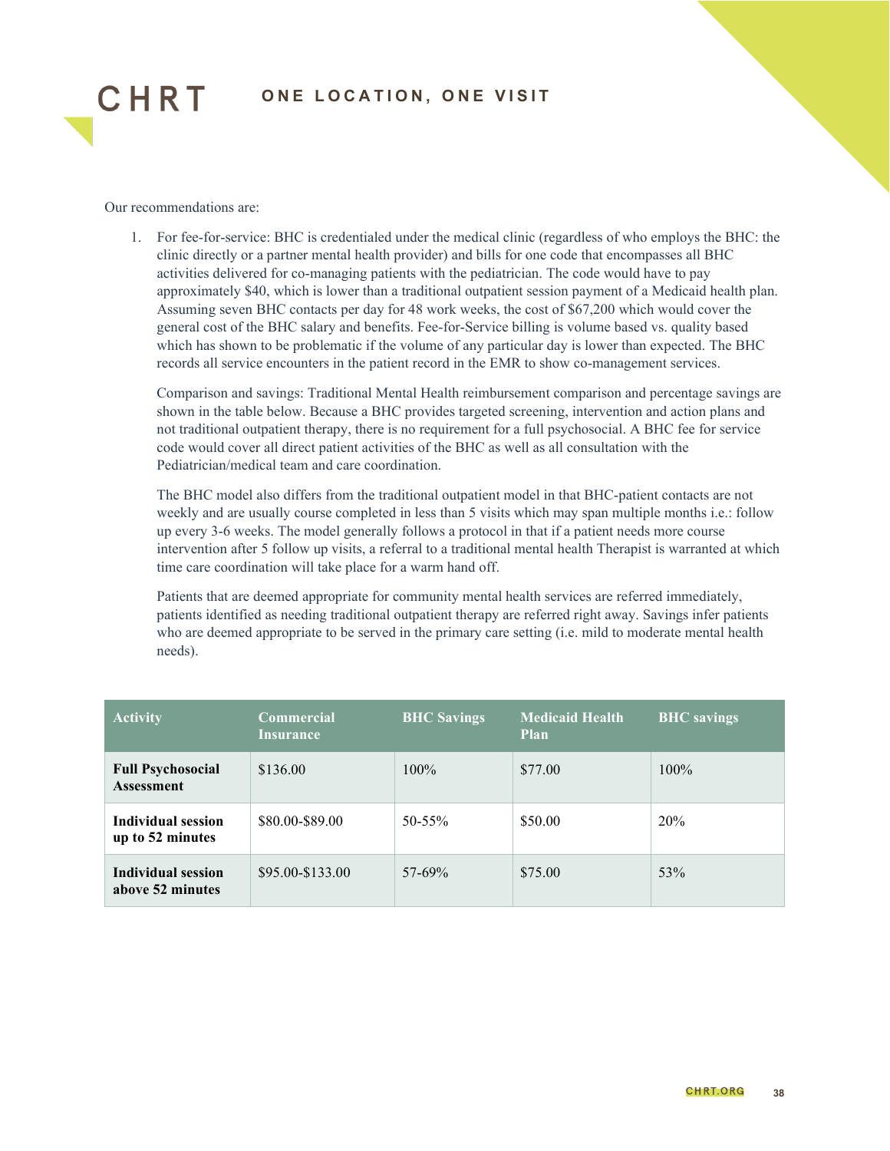

Our recommendations are:

1. For fee-for-service: BHC is credentialed under the medical clinic (regardless of who employs the BHC: the clinic directly or a partner mental health provider) and bills for one code that encompasses all BHC activities delivered for co-managing patients with the pediatrician. The code would have to pay approximately \$40, which is lower than a traditional outpatient session payment of a Medicaid health plan. Assuming seven BHC contacts per day for 48 work weeks, the cost of \$67,200 which would cover the general cost of the BHC salary and benefits. Fee-for-Service billing is volume based vs. quality based which has shown to be problematic if the volume of any particular day is lower than expected. The BHC records all service encounters in the patient record in the EMR to show co-management services.

Comparison and savings: Traditional Mental Health reimbursement comparison and percentage savings are shown in the table below. Because a BHC provides targeted screening, intervention and action plans and not traditional outpatient therapy, there is no requirement for a full psychosocial. A BHC fee for service code would cover all direct patient activities of the BHC as well as all consultation with the Pediatrician/medical team and care coordination.

The BHC model also differs from the traditional outpatient model in that BHC-patient contacts are not weekly and are usually course completed in less than 5 visits which may span multiple months i.e.: follow up every 3-6 weeks. The model generally follows a protocol in that if a patient needs more course intervention after 5 follow up visits, a referral to a traditional mental health Therapist is warranted at which time care coordination will take place for a warm hand off.

Patients that are deemed appropriate for community mental health services are referred immediately, patients identified as needing traditional outpatient therapy are referred right away. Savings infer patients who are deemed appropriate to be served in the primary care setting (i.e. mild to moderate mental health needs).

| <b>Activity</b>                               | <b>Commercial</b><br>Insurance | <b>BHC Savings</b> | <b>Medicaid Health</b><br><b>Plan</b> | <b>BHC</b> savings |
|-----------------------------------------------|--------------------------------|--------------------|---------------------------------------|--------------------|
| <b>Full Psychosocial</b><br><b>Assessment</b> | \$136.00                       | $100\%$            | \$77.00                               | $100\%$            |
| Individual session<br>up to 52 minutes        | \$80.00-\$89.00                | $50 - 55\%$        | \$50.00                               | 20%                |
| <b>Individual session</b><br>above 52 minutes | \$95.00-\$133.00               | $57-69\%$          | \$75.00                               | 53%                |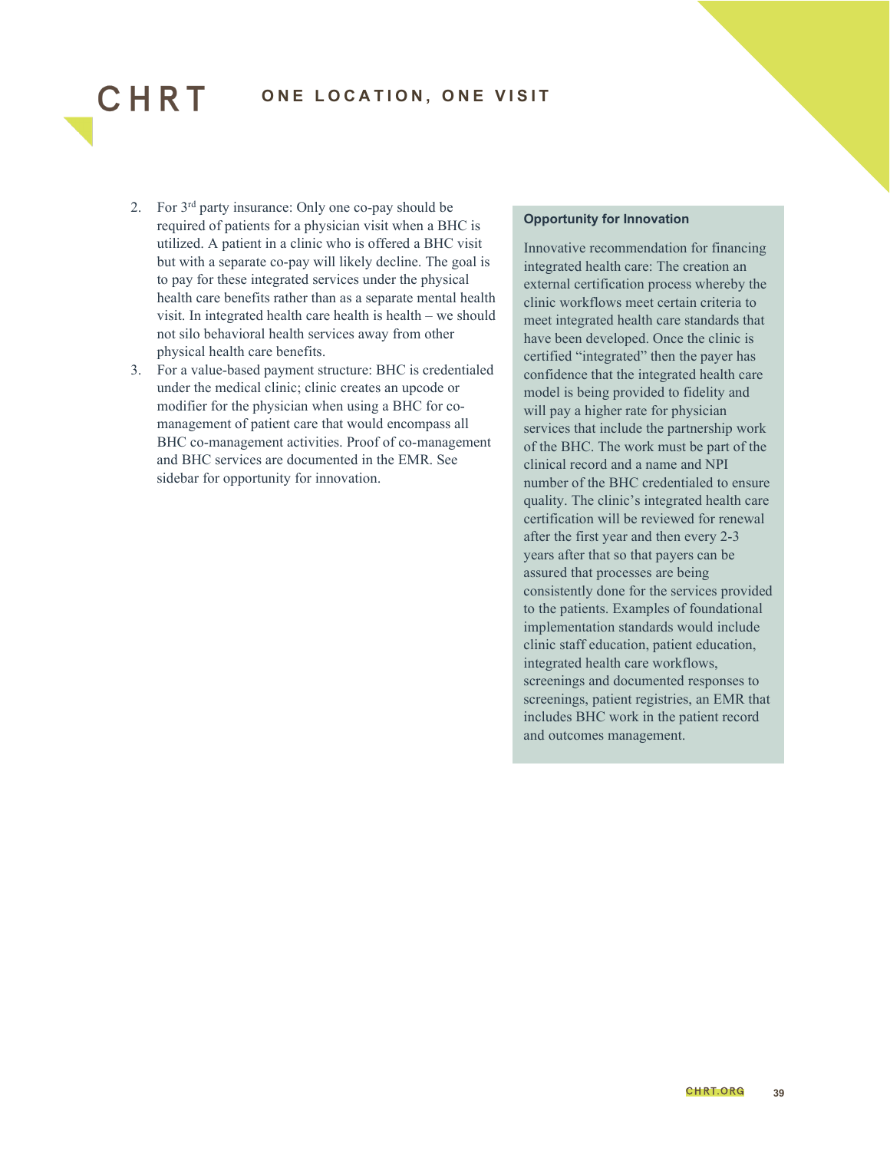

2. For 3rd party insurance: Only one co-pay should be required of patients for a physician visit when a BHC is utilized. A patient in a clinic who is offered a BHC visit but with a separate co-pay will likely decline. The goal is to pay for these integrated services under the physical health care benefits rather than as a separate mental health visit. In integrated health care health is health – we should not silo behavioral health services away from other physical health care benefits.

CHRT

3. For a value-based payment structure: BHC is credentialed under the medical clinic; clinic creates an upcode or modifier for the physician when using a BHC for comanagement of patient care that would encompass all BHC co-management activities. Proof of co-management and BHC services are documented in the EMR. See sidebar for opportunity for innovation.

#### **Opportunity for Innovation**

Innovative recommendation for financing integrated health care: The creation an external certification process whereby the clinic workflows meet certain criteria to meet integrated health care standards that have been developed. Once the clinic is certified "integrated" then the payer has confidence that the integrated health care model is being provided to fidelity and will pay a higher rate for physician services that include the partnership work of the BHC. The work must be part of the clinical record and a name and NPI number of the BHC credentialed to ensure quality. The clinic's integrated health care certification will be reviewed for renewal after the first year and then every 2-3 years after that so that payers can be assured that processes are being consistently done for the services provided to the patients. Examples of foundational implementation standards would include clinic staff education, patient education, integrated health care workflows, screenings and documented responses to screenings, patient registries, an EMR that includes BHC work in the patient record and outcomes management.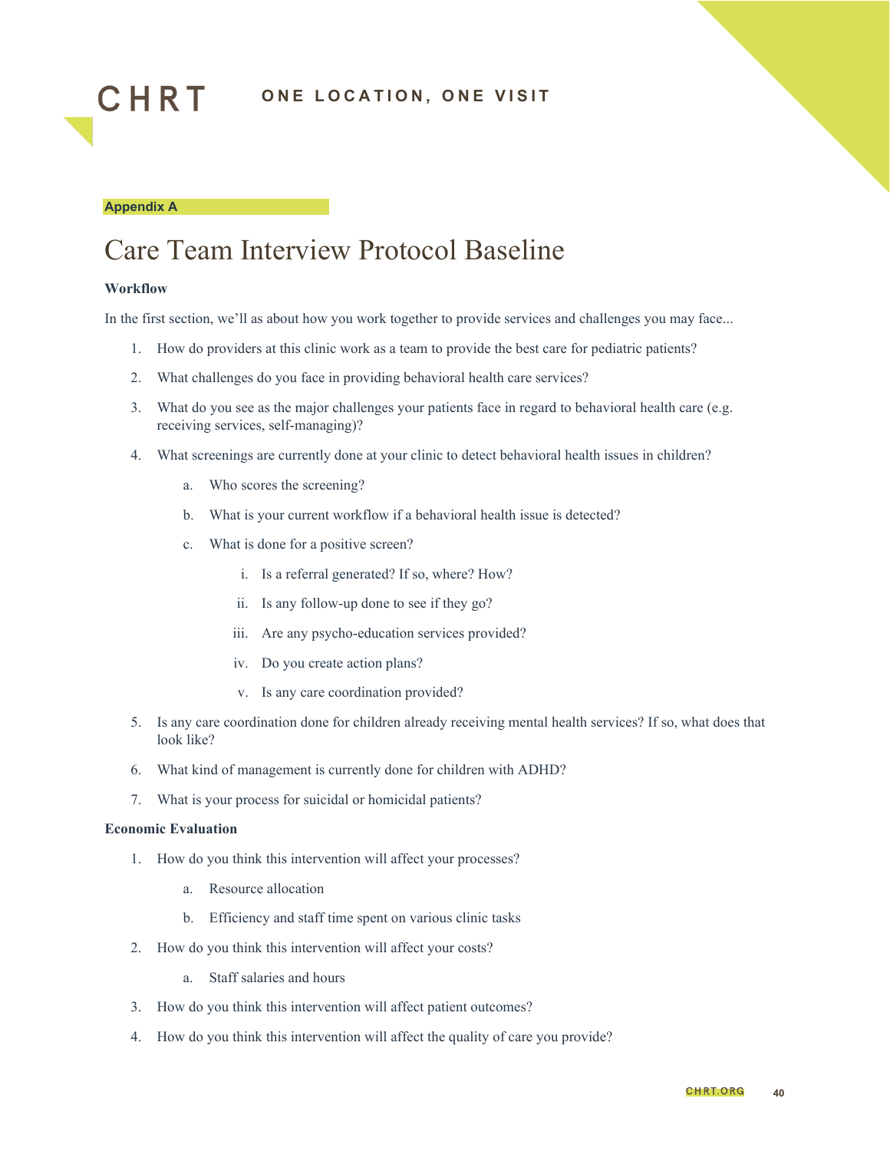



## <span id="page-39-0"></span>Care Team Interview Protocol Baseline

#### **Workflow**

In the first section, we'll as about how you work together to provide services and challenges you may face...

- 1. How do providers at this clinic work as a team to provide the best care for pediatric patients?
- 2. What challenges do you face in providing behavioral health care services?
- 3. What do you see as the major challenges your patients face in regard to behavioral health care (e.g. receiving services, self-managing)?
- 4. What screenings are currently done at your clinic to detect behavioral health issues in children?
	- a. Who scores the screening?
	- b. What is your current workflow if a behavioral health issue is detected?
	- c. What is done for a positive screen?
		- i. Is a referral generated? If so, where? How?
		- ii. Is any follow-up done to see if they go?
		- iii. Are any psycho-education services provided?
		- iv. Do you create action plans?
		- v. Is any care coordination provided?
- 5. Is any care coordination done for children already receiving mental health services? If so, what does that look like?
- 6. What kind of management is currently done for children with ADHD?
- 7. What is your process for suicidal or homicidal patients?

#### **Economic Evaluation**

- 1. How do you think this intervention will affect your processes?
	- a. Resource allocation
	- b. Efficiency and staff time spent on various clinic tasks
- 2. How do you think this intervention will affect your costs?
	- a. Staff salaries and hours
- 3. How do you think this intervention will affect patient outcomes?
- 4. How do you think this intervention will affect the quality of care you provide?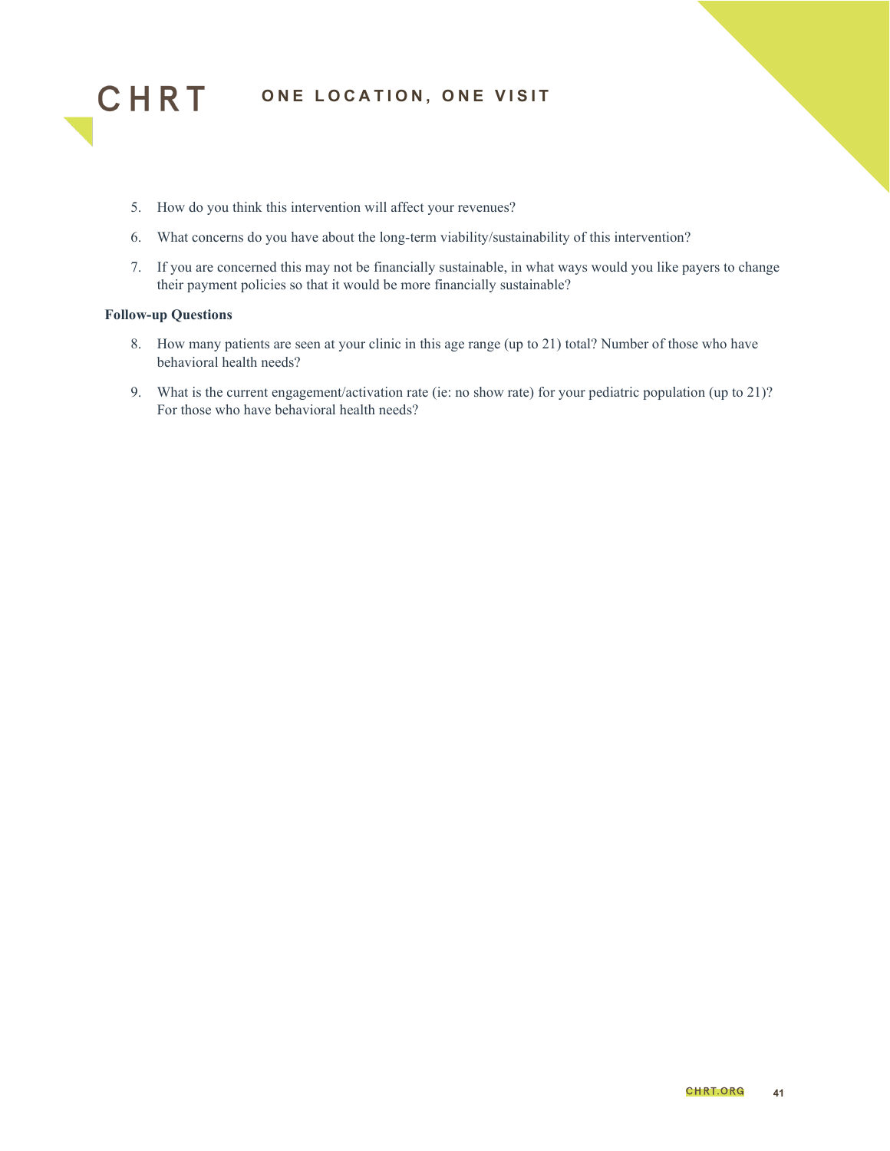

- 5. How do you think this intervention will affect your revenues?
- 6. What concerns do you have about the long-term viability/sustainability of this intervention?
- 7. If you are concerned this may not be financially sustainable, in what ways would you like payers to change their payment policies so that it would be more financially sustainable?

#### **Follow-up Questions**

- 8. How many patients are seen at your clinic in this age range (up to 21) total? Number of those who have behavioral health needs?
- 9. What is the current engagement/activation rate (ie: no show rate) for your pediatric population (up to 21)? For those who have behavioral health needs?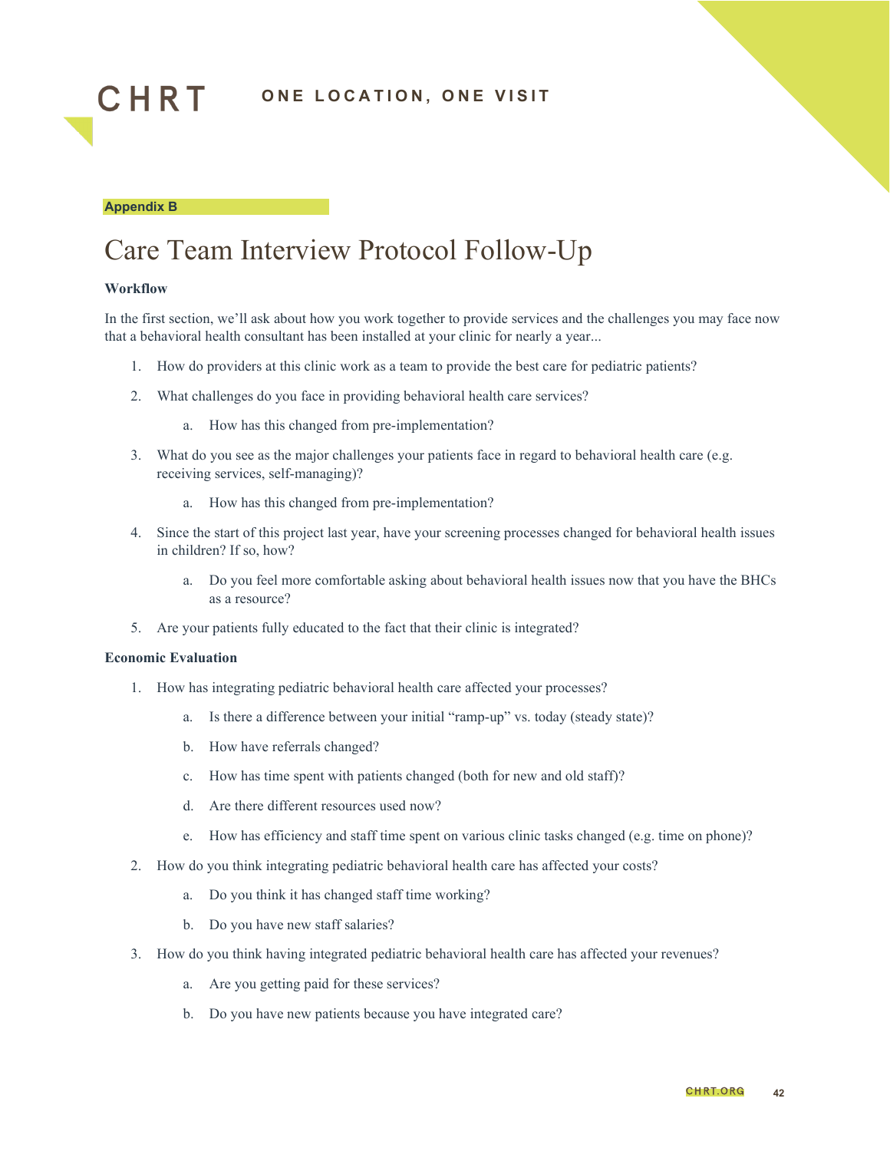

#### **Appendix B**

## <span id="page-41-0"></span>Care Team Interview Protocol Follow-Up

#### **Workflow**

In the first section, we'll ask about how you work together to provide services and the challenges you may face now that a behavioral health consultant has been installed at your clinic for nearly a year...

- 1. How do providers at this clinic work as a team to provide the best care for pediatric patients?
- 2. What challenges do you face in providing behavioral health care services?
	- a. How has this changed from pre-implementation?
- 3. What do you see as the major challenges your patients face in regard to behavioral health care (e.g. receiving services, self-managing)?
	- a. How has this changed from pre-implementation?
- 4. Since the start of this project last year, have your screening processes changed for behavioral health issues in children? If so, how?
	- a. Do you feel more comfortable asking about behavioral health issues now that you have the BHCs as a resource?
- 5. Are your patients fully educated to the fact that their clinic is integrated?

#### **Economic Evaluation**

- 1. How has integrating pediatric behavioral health care affected your processes?
	- a. Is there a difference between your initial "ramp-up" vs. today (steady state)?
	- b. How have referrals changed?
	- c. How has time spent with patients changed (both for new and old staff)?
	- d. Are there different resources used now?
	- e. How has efficiency and staff time spent on various clinic tasks changed (e.g. time on phone)?
- 2. How do you think integrating pediatric behavioral health care has affected your costs?
	- a. Do you think it has changed staff time working?
	- b. Do you have new staff salaries?
- 3. How do you think having integrated pediatric behavioral health care has affected your revenues?
	- a. Are you getting paid for these services?
	- b. Do you have new patients because you have integrated care?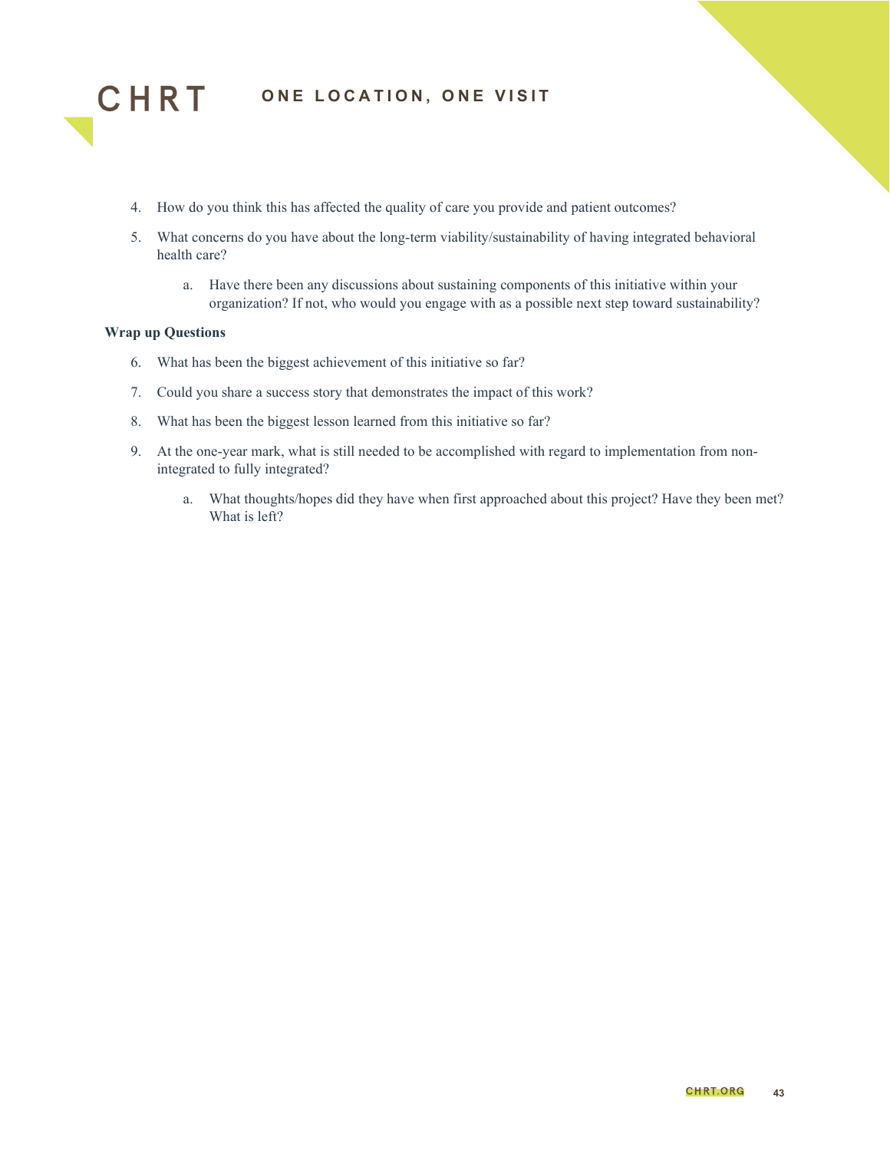

- 4. How do you think this has affected the quality of care you provide and patient outcomes?
- 5. What concerns do you have about the long-term viability/sustainability of having integrated behavioral health care?
	- a. Have there been any discussions about sustaining components of this initiative within your organization? If not, who would you engage with as a possible next step toward sustainability?

#### **Wrap up Questions**

- 6. What has been the biggest achievement of this initiative so far?
- 7. Could you share a success story that demonstrates the impact of this work?
- 8. What has been the biggest lesson learned from this initiative so far?
- 9. At the one-year mark, what is still needed to be accomplished with regard to implementation from nonintegrated to fully integrated?
	- a. What thoughts/hopes did they have when first approached about this project? Have they been met? What is left?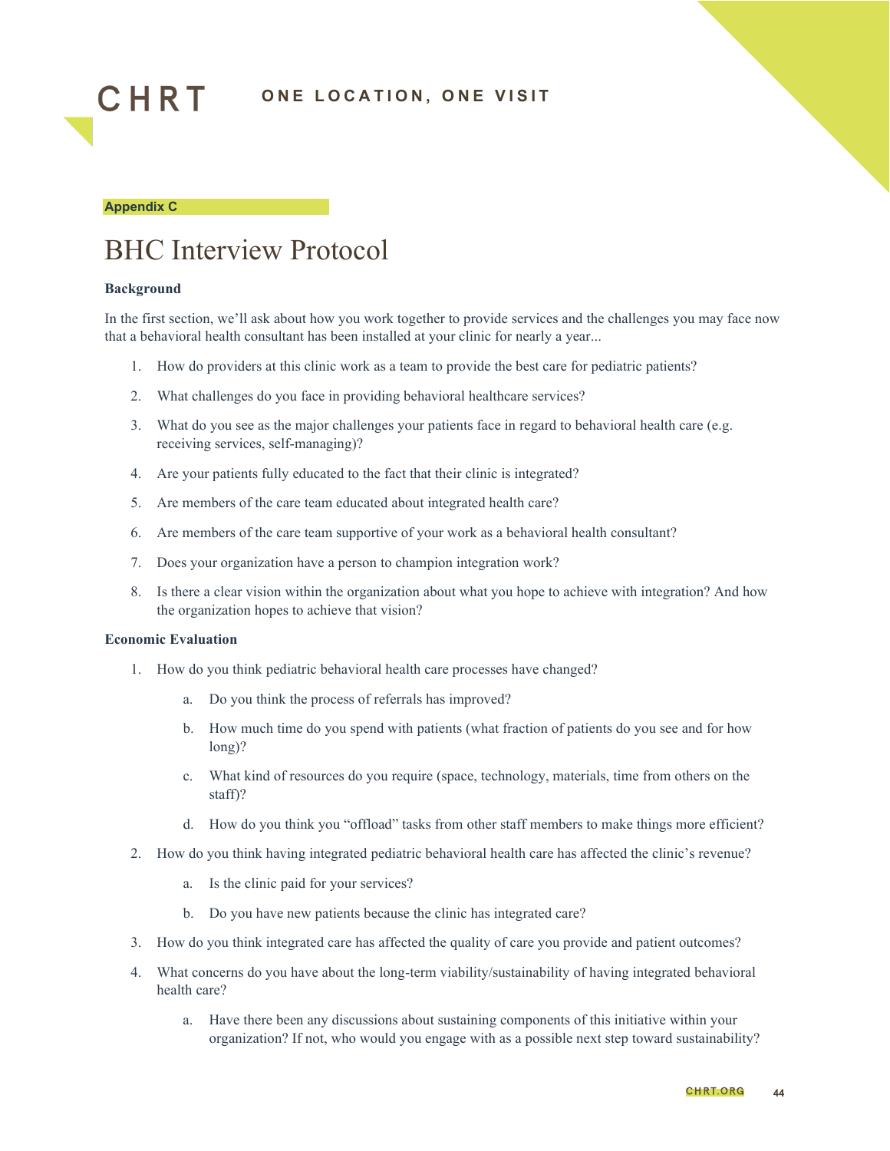

#### **Appendix C**

## <span id="page-43-0"></span>BHC Interview Protocol

#### **Background**

In the first section, we'll ask about how you work together to provide services and the challenges you may face now that a behavioral health consultant has been installed at your clinic for nearly a year...

- 1. How do providers at this clinic work as a team to provide the best care for pediatric patients?
- 2. What challenges do you face in providing behavioral healthcare services?
- 3. What do you see as the major challenges your patients face in regard to behavioral health care (e.g. receiving services, self-managing)?
- 4. Are your patients fully educated to the fact that their clinic is integrated?
- 5. Are members of the care team educated about integrated health care?
- 6. Are members of the care team supportive of your work as a behavioral health consultant?
- 7. Does your organization have a person to champion integration work?
- 8. Is there a clear vision within the organization about what you hope to achieve with integration? And how the organization hopes to achieve that vision?

#### **Economic Evaluation**

- 1. How do you think pediatric behavioral health care processes have changed?
	- a. Do you think the process of referrals has improved?
	- b. How much time do you spend with patients (what fraction of patients do you see and for how long)?
	- c. What kind of resources do you require (space, technology, materials, time from others on the staff)?
	- d. How do you think you "offload" tasks from other staff members to make things more efficient?
- 2. How do you think having integrated pediatric behavioral health care has affected the clinic's revenue?
	- a. Is the clinic paid for your services?
	- b. Do you have new patients because the clinic has integrated care?
- 3. How do you think integrated care has affected the quality of care you provide and patient outcomes?
- 4. What concerns do you have about the long-term viability/sustainability of having integrated behavioral health care?
	- a. Have there been any discussions about sustaining components of this initiative within your organization? If not, who would you engage with as a possible next step toward sustainability?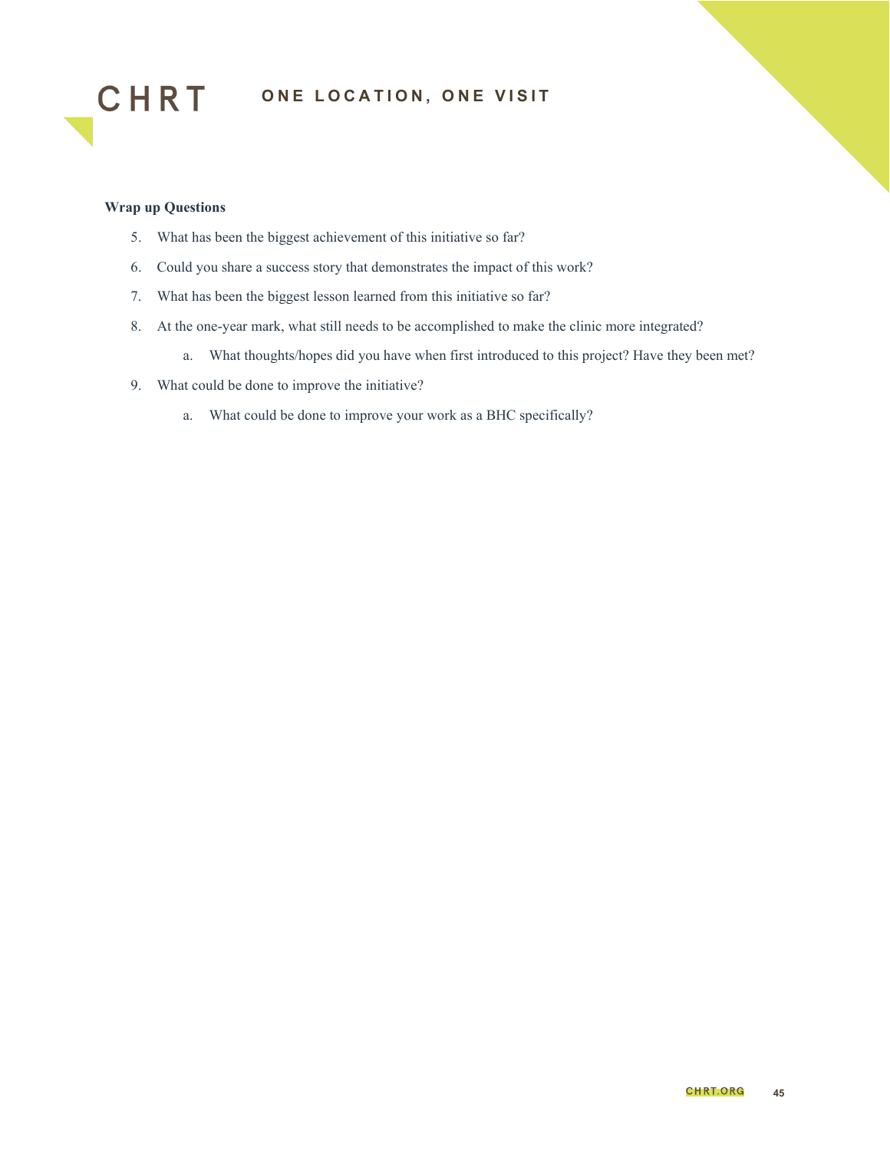



- 5. What has been the biggest achievement of this initiative so far?
- 6. Could you share a success story that demonstrates the impact of this work?
- 7. What has been the biggest lesson learned from this initiative so far?
- 8. At the one-year mark, what still needs to be accomplished to make the clinic more integrated?
	- a. What thoughts/hopes did you have when first introduced to this project? Have they been met?
- 9. What could be done to improve the initiative?
	- a. What could be done to improve your work as a BHC specifically?